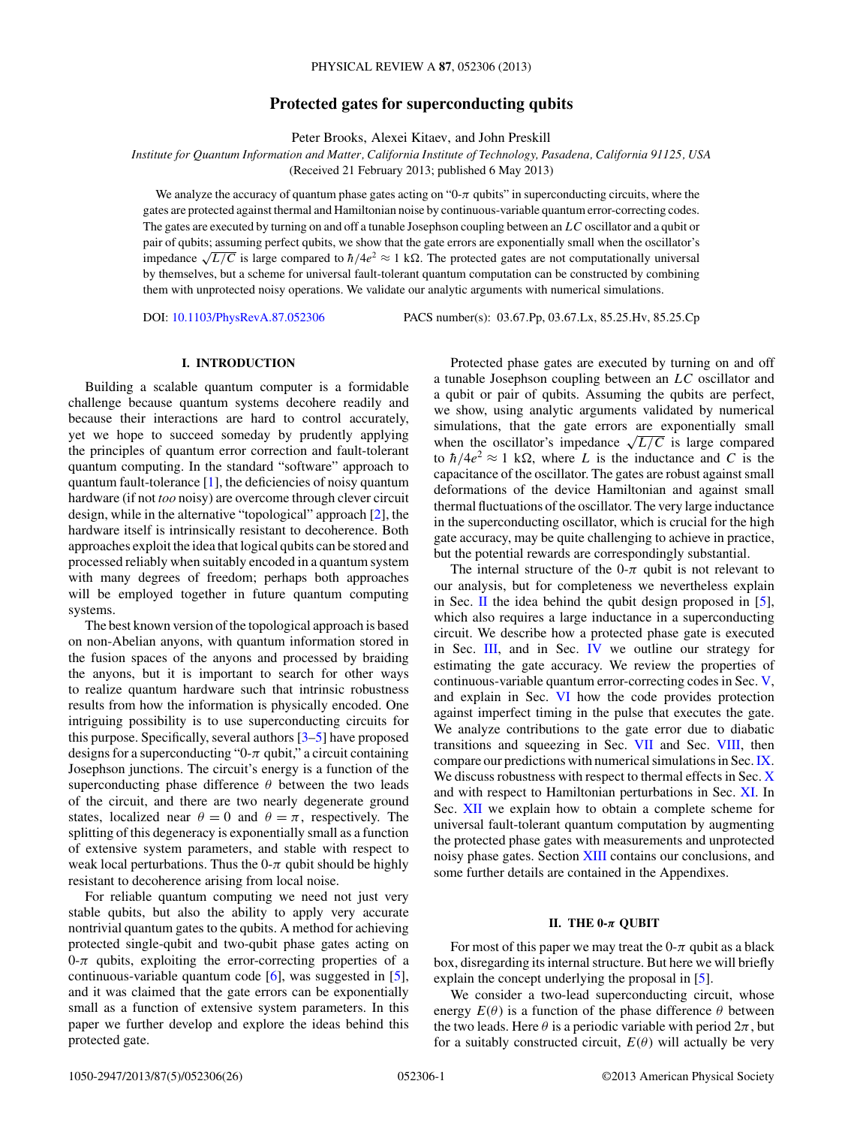# **Protected gates for superconducting qubits**

Peter Brooks, Alexei Kitaev, and John Preskill

<span id="page-0-0"></span>*Institute for Quantum Information and Matter, California Institute of Technology, Pasadena, California 91125, USA*

(Received 21 February 2013; published 6 May 2013)

We analyze the accuracy of quantum phase gates acting on " $0$ - $\pi$  qubits" in superconducting circuits, where the gates are protected against thermal and Hamiltonian noise by continuous-variable quantum error-correcting codes. The gates are executed by turning on and off a tunable Josephson coupling between an *LC* oscillator and a qubit or pair of qubits; assuming perfect qubits, we show that the gate errors are exponentially small when the oscillator's impedance  $\sqrt{L/C}$  is large compared to  $\hbar/4e^2 \approx 1 \text{ k}\Omega$ . The protected gates are not computationally universal by themselves, but a scheme for universal fault-tolerant quantum computation can be constructed by combining them with unprotected noisy operations. We validate our analytic arguments with numerical simulations.

DOI: [10.1103/PhysRevA.87.052306](http://dx.doi.org/10.1103/PhysRevA.87.052306) PACS number(s): 03*.*67*.*Pp, 03*.*67*.*Lx, 85*.*25*.*Hv, 85*.*25*.*Cp

## **I. INTRODUCTION**

Building a scalable quantum computer is a formidable challenge because quantum systems decohere readily and because their interactions are hard to control accurately, yet we hope to succeed someday by prudently applying the principles of quantum error correction and fault-tolerant quantum computing. In the standard "software" approach to quantum fault-tolerance [\[1\]](#page-25-0), the deficiencies of noisy quantum hardware (if not *too* noisy) are overcome through clever circuit design, while in the alternative "topological" approach [\[2\]](#page-25-0), the hardware itself is intrinsically resistant to decoherence. Both approaches exploit the idea that logical qubits can be stored and processed reliably when suitably encoded in a quantum system with many degrees of freedom; perhaps both approaches will be employed together in future quantum computing systems.

The best known version of the topological approach is based on non-Abelian anyons, with quantum information stored in the fusion spaces of the anyons and processed by braiding the anyons, but it is important to search for other ways to realize quantum hardware such that intrinsic robustness results from how the information is physically encoded. One intriguing possibility is to use superconducting circuits for this purpose. Specifically, several authors [\[3–5\]](#page-25-0) have proposed designs for a superconducting " $0$ - $\pi$  qubit," a circuit containing Josephson junctions. The circuit's energy is a function of the superconducting phase difference  $\theta$  between the two leads of the circuit, and there are two nearly degenerate ground states, localized near  $\theta = 0$  and  $\theta = \pi$ , respectively. The splitting of this degeneracy is exponentially small as a function of extensive system parameters, and stable with respect to weak local perturbations. Thus the  $0-\pi$  qubit should be highly resistant to decoherence arising from local noise.

For reliable quantum computing we need not just very stable qubits, but also the ability to apply very accurate nontrivial quantum gates to the qubits. A method for achieving protected single-qubit and two-qubit phase gates acting on  $0-\pi$  qubits, exploiting the error-correcting properties of a continuous-variable quantum code [\[6\]](#page-25-0), was suggested in [\[5\]](#page-25-0), and it was claimed that the gate errors can be exponentially small as a function of extensive system parameters. In this paper we further develop and explore the ideas behind this protected gate.

Protected phase gates are executed by turning on and off a tunable Josephson coupling between an *LC* oscillator and a qubit or pair of qubits. Assuming the qubits are perfect, we show, using analytic arguments validated by numerical simulations, that the gate errors are exponentially small when the oscillator's impedance  $\sqrt{L/C}$  is large compared to  $\hbar/4e^2 \approx 1$  k $\Omega$ , where *L* is the inductance and *C* is the capacitance of the oscillator. The gates are robust against small deformations of the device Hamiltonian and against small thermal fluctuations of the oscillator. The very large inductance in the superconducting oscillator, which is crucial for the high gate accuracy, may be quite challenging to achieve in practice, but the potential rewards are correspondingly substantial.

The internal structure of the 0- $\pi$  qubit is not relevant to our analysis, but for completeness we nevertheless explain in Sec. II the idea behind the qubit design proposed in [\[5\]](#page-25-0), which also requires a large inductance in a superconducting circuit. We describe how a protected phase gate is executed in Sec. [III,](#page-2-0) and in Sec. [IV](#page-5-0) we outline our strategy for estimating the gate accuracy. We review the properties of continuous-variable quantum error-correcting codes in Sec. [V,](#page-6-0) and explain in Sec. [VI](#page-8-0) how the code provides protection against imperfect timing in the pulse that executes the gate. We analyze contributions to the gate error due to diabatic transitions and squeezing in Sec. [VII](#page-11-0) and Sec. [VIII,](#page-13-0) then compare our predictions with numerical simulations in Sec.[IX.](#page-14-0) We discuss robustness with respect to thermal effects in Sec. [X](#page-14-0) and with respect to Hamiltonian perturbations in Sec. [XI.](#page-16-0) In Sec. [XII](#page-16-0) we explain how to obtain a complete scheme for universal fault-tolerant quantum computation by augmenting the protected phase gates with measurements and unprotected noisy phase gates. Section [XIII](#page-18-0) contains our conclusions, and some further details are contained in the Appendixes.

#### **II. THE 0-***π* **QUBIT**

For most of this paper we may treat the  $0-\pi$  qubit as a black box, disregarding its internal structure. But here we will briefly explain the concept underlying the proposal in [\[5\]](#page-25-0).

We consider a two-lead superconducting circuit, whose energy  $E(\theta)$  is a function of the phase difference  $\theta$  between the two leads. Here  $\theta$  is a periodic variable with period  $2\pi$ , but for a suitably constructed circuit,  $E(\theta)$  will actually be very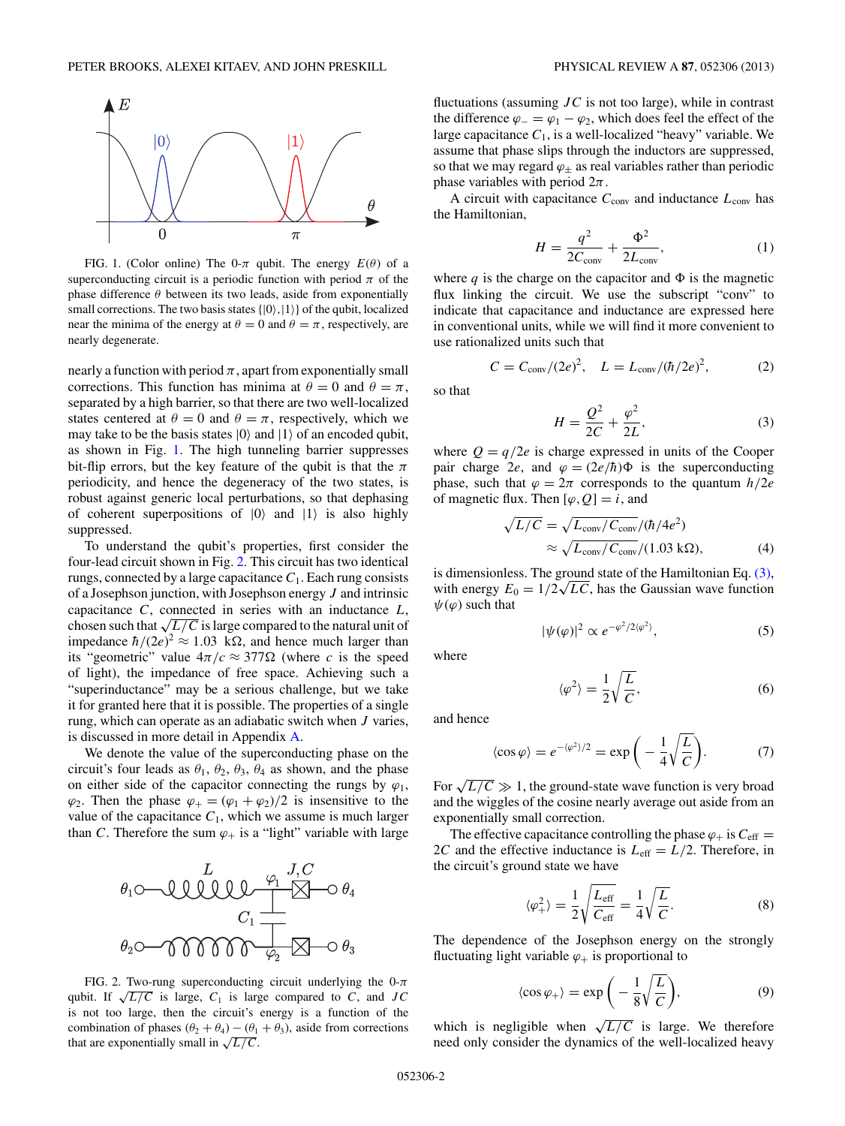<span id="page-1-0"></span>

FIG. 1. (Color online) The 0- $\pi$  qubit. The energy  $E(\theta)$  of a superconducting circuit is a periodic function with period  $\pi$  of the phase difference  $\theta$  between its two leads, aside from exponentially small corrections. The two basis states  $\{|0\rangle, |1\rangle\}$  of the qubit, localized near the minima of the energy at  $\theta = 0$  and  $\theta = \pi$ , respectively, are nearly degenerate.

nearly a function with period  $\pi$ , apart from exponentially small corrections. This function has minima at  $\theta = 0$  and  $\theta = \pi$ , separated by a high barrier, so that there are two well-localized states centered at  $\theta = 0$  and  $\theta = \pi$ , respectively, which we may take to be the basis states  $|0\rangle$  and  $|1\rangle$  of an encoded qubit, as shown in Fig. 1. The high tunneling barrier suppresses bit-flip errors, but the key feature of the qubit is that the *π* periodicity, and hence the degeneracy of the two states, is robust against generic local perturbations, so that dephasing of coherent superpositions of  $|0\rangle$  and  $|1\rangle$  is also highly suppressed.

To understand the qubit's properties, first consider the four-lead circuit shown in Fig. 2. This circuit has two identical rungs, connected by a large capacitance  $C_1$ . Each rung consists of a Josephson junction, with Josephson energy *J* and intrinsic capacitance *C*, connected in series with an inductance *L*, chosen such that  $\sqrt{L/C}$  is large compared to the natural unit of impedance  $\hbar/(2e)^2 \approx 1.03 \text{ k}\Omega$ , and hence much larger than its "geometric" value  $4\pi/c \approx 377\Omega$  (where *c* is the speed of light), the impedance of free space. Achieving such a "superinductance" may be a serious challenge, but we take it for granted here that it is possible. The properties of a single rung, which can operate as an adiabatic switch when *J* varies, is discussed in more detail in Appendix [A.](#page-18-0)

We denote the value of the superconducting phase on the circuit's four leads as  $\theta_1$ ,  $\theta_2$ ,  $\theta_3$ ,  $\theta_4$  as shown, and the phase on either side of the capacitor connecting the rungs by  $\varphi_1$ ,  $\varphi_2$ . Then the phase  $\varphi_+ = (\varphi_1 + \varphi_2)/2$  is insensitive to the value of the capacitance  $C_1$ , which we assume is much larger than *C*. Therefore the sum  $\varphi_+$  is a "light" variable with large



FIG. 2. Two-rung superconducting circuit underlying the 0-*π* qubit. If  $\sqrt{L/C}$  is large,  $C_1$  is large compared to *C*, and *JC* is not too large, then the circuit's energy is a function of the combination of phases  $(\theta_2 + \theta_4) - (\theta_1 + \theta_3)$ , aside from corrections that are exponentially small in  $\sqrt{L/C}$ .

fluctuations (assuming *JC* is not too large), while in contrast the difference  $\varphi = \varphi_1 - \varphi_2$ , which does feel the effect of the large capacitance  $C_1$ , is a well-localized "heavy" variable. We assume that phase slips through the inductors are suppressed, so that we may regard  $\varphi_{\pm}$  as real variables rather than periodic phase variables with period 2*π*.

A circuit with capacitance  $C_{\text{conv}}$  and inductance  $L_{\text{conv}}$  has the Hamiltonian,

$$
H = \frac{q^2}{2C_{\text{conv}}} + \frac{\Phi^2}{2L_{\text{conv}}},\tag{1}
$$

where  $q$  is the charge on the capacitor and  $\Phi$  is the magnetic flux linking the circuit. We use the subscript "conv" to indicate that capacitance and inductance are expressed here in conventional units, while we will find it more convenient to use rationalized units such that

$$
C = C_{\text{conv}}/(2e)^2, \quad L = L_{\text{conv}}/(\hbar/2e)^2,\tag{2}
$$

so that

$$
H = \frac{Q^2}{2C} + \frac{\varphi^2}{2L},\tag{3}
$$

where  $Q = q/2e$  is charge expressed in units of the Cooper pair charge 2*e*, and  $\varphi = (2e/\hbar)\Phi$  is the superconducting phase, such that  $\varphi = 2\pi$  corresponds to the quantum  $h/2e$ of magnetic flux. Then  $[\varphi, Q] = i$ , and

$$
\sqrt{L/C} = \sqrt{L_{\text{conv}}/C_{\text{conv}}}/(\hbar/4e^2)
$$
  

$$
\approx \sqrt{L_{\text{conv}}/C_{\text{conv}}}/(1.03 \text{ k}\Omega),
$$
 (4)

is dimensionless. The ground state of the Hamiltonian Eq. (3), is dimensionless. The ground state of the Hamiltonian Eq. (3), with energy  $E_0 = 1/2\sqrt{LC}$ , has the Gaussian wave function  $ψ(φ)$  such that

$$
|\psi(\varphi)|^2 \propto e^{-\varphi^2/2\langle\varphi^2\rangle},\tag{5}
$$

where

$$
\langle \varphi^2 \rangle = \frac{1}{2} \sqrt{\frac{L}{C}},\tag{6}
$$

and hence

$$
\langle \cos \varphi \rangle = e^{-\langle \varphi^2 \rangle/2} = \exp\bigg(-\frac{1}{4}\sqrt{\frac{L}{C}}\bigg). \tag{7}
$$

For  $\sqrt{L/C} \gg 1$ , the ground-state wave function is very broad and the wiggles of the cosine nearly average out aside from an exponentially small correction.

The effective capacitance controlling the phase  $\varphi$  is  $C_{\text{eff}} =$ 2*C* and the effective inductance is  $L_{\text{eff}} = L/2$ . Therefore, in the circuit's ground state we have

$$
\langle \varphi_+^2 \rangle = \frac{1}{2} \sqrt{\frac{L_{\text{eff}}}{C_{\text{eff}}}} = \frac{1}{4} \sqrt{\frac{L}{C}}.
$$
 (8)

The dependence of the Josephson energy on the strongly fluctuating light variable  $\varphi_+$  is proportional to

$$
\langle \cos \varphi_+ \rangle = \exp \bigg( -\frac{1}{8} \sqrt{\frac{L}{C}} \bigg), \tag{9}
$$

which is negligible when  $\sqrt{L/C}$  is large. We therefore need only consider the dynamics of the well-localized heavy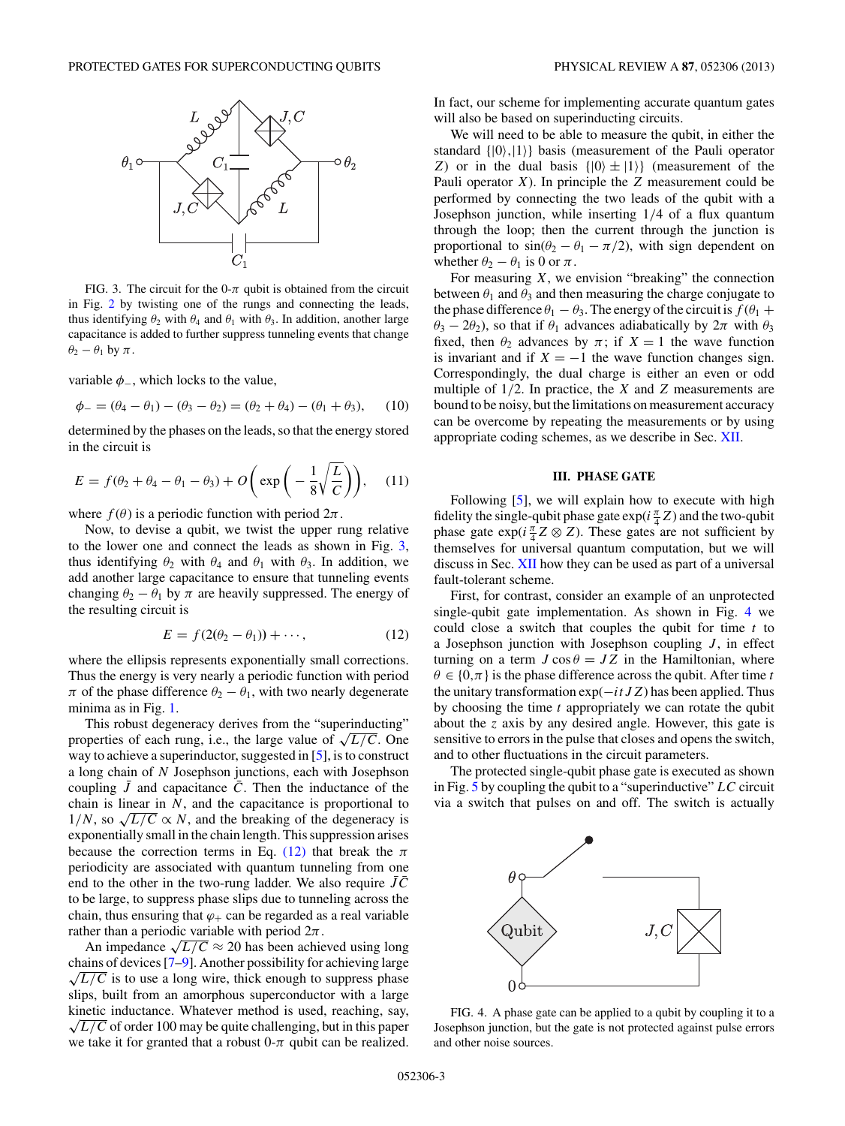<span id="page-2-0"></span>

FIG. 3. The circuit for the  $0-\pi$  qubit is obtained from the circuit in Fig. [2](#page-1-0) by twisting one of the rungs and connecting the leads, thus identifying  $\theta_2$  with  $\theta_4$  and  $\theta_1$  with  $\theta_3$ . In addition, another large capacitance is added to further suppress tunneling events that change  $\theta_2 - \theta_1$  by  $\pi$ .

variable  $\phi_$ , which locks to the value,

$$
\phi_{-} = (\theta_4 - \theta_1) - (\theta_3 - \theta_2) = (\theta_2 + \theta_4) - (\theta_1 + \theta_3), \quad (10)
$$

determined by the phases on the leads, so that the energy stored in the circuit is

$$
E = f(\theta_2 + \theta_4 - \theta_1 - \theta_3) + O\left(\exp\left(-\frac{1}{8}\sqrt{\frac{L}{C}}\right)\right), \quad (11)
$$

where  $f(\theta)$  is a periodic function with period  $2\pi$ .

Now, to devise a qubit, we twist the upper rung relative to the lower one and connect the leads as shown in Fig. 3, thus identifying  $\theta_2$  with  $\theta_4$  and  $\theta_1$  with  $\theta_3$ . In addition, we add another large capacitance to ensure that tunneling events changing  $\theta_2 - \theta_1$  by  $\pi$  are heavily suppressed. The energy of the resulting circuit is

$$
E = f(2(\theta_2 - \theta_1)) + \cdots,
$$
 (12)

where the ellipsis represents exponentially small corrections. Thus the energy is very nearly a periodic function with period *π* of the phase difference  $θ_2 - θ_1$ , with two nearly degenerate minima as in Fig. [1.](#page-1-0)

This robust degeneracy derives from the "superinducting" properties of each rung, i.e., the large value of  $\sqrt{L/C}$ . One way to achieve a superinductor, suggested in [\[5\]](#page-25-0), is to construct a long chain of *N* Josephson junctions, each with Josephson coupling  $\bar{J}$  and capacitance  $\bar{C}$ . Then the inductance of the chain is linear in *N*, and the capacitance is proportional to  $1/N$ , so  $\sqrt{L/C} \propto N$ , and the breaking of the degeneracy is exponentially small in the chain length. This suppression arises because the correction terms in Eq. (12) that break the  $\pi$ periodicity are associated with quantum tunneling from one end to the other in the two-rung ladder. We also require  $\overline{JC}$ to be large, to suppress phase slips due to tunneling across the chain, thus ensuring that  $\varphi_+$  can be regarded as a real variable rather than a periodic variable with period 2*π*.

An impedance  $\sqrt{L/C} \approx 20$  has been achieved using long chains of devices  $[7-9]$ . Another possibility for achieving large  $\sqrt{L/C}$  is to use a long wire, thick enough to suppress phase slips, built from an amorphous superconductor with a large kinetic inductance. Whatever method is used, reaching, say, <sup>√</sup>*L/C* of order 100 may be quite challenging, but in this paper we take it for granted that a robust  $0-\pi$  qubit can be realized.

In fact, our scheme for implementing accurate quantum gates will also be based on superinducting circuits.

We will need to be able to measure the qubit, in either the standard  $\{|0\rangle, |1\rangle\}$  basis (measurement of the Pauli operator *Z*) or in the dual basis  $\{|0\rangle \pm |1\rangle\}$  (measurement of the Pauli operator *X*). In principle the *Z* measurement could be performed by connecting the two leads of the qubit with a Josephson junction, while inserting 1*/*4 of a flux quantum through the loop; then the current through the junction is proportional to  $sin(\theta_2 - \theta_1 - \pi/2)$ , with sign dependent on whether  $\theta_2 - \theta_1$  is 0 or  $\pi$ .

For measuring *X*, we envision "breaking" the connection between  $\theta_1$  and  $\theta_3$  and then measuring the charge conjugate to the phase difference  $\theta_1 - \theta_3$ . The energy of the circuit is  $f(\theta_1 +$ *θ*<sub>3</sub> − 2*θ*<sub>2</sub>), so that if *θ*<sub>1</sub> advances adiabatically by  $2π$  with *θ*<sub>3</sub> fixed, then  $\theta_2$  advances by  $\pi$ ; if  $X = 1$  the wave function is invariant and if  $X = -1$  the wave function changes sign. Correspondingly, the dual charge is either an even or odd multiple of 1*/*2. In practice, the *X* and *Z* measurements are bound to be noisy, but the limitations on measurement accuracy can be overcome by repeating the measurements or by using appropriate coding schemes, as we describe in Sec. [XII.](#page-16-0)

## **III. PHASE GATE**

Following [\[5\]](#page-25-0), we will explain how to execute with high fidelity the single-qubit phase gate  $exp(i\frac{\pi}{4}Z)$  and the two-qubit phase gate  $\exp(i\frac{\pi}{4}Z \otimes Z)$ . These gates are not sufficient by themselves for universal quantum computation, but we will discuss in Sec. [XII](#page-16-0) how they can be used as part of a universal fault-tolerant scheme.

First, for contrast, consider an example of an unprotected single-qubit gate implementation. As shown in Fig. 4 we could close a switch that couples the qubit for time *t* to a Josephson junction with Josephson coupling *J*, in effect turning on a term  $J \cos \theta = JZ$  in the Hamiltonian, where  $\theta \in \{0, \pi\}$  is the phase difference across the qubit. After time *t* the unitary transformation exp(−*itJZ*) has been applied. Thus by choosing the time *t* appropriately we can rotate the qubit about the *z* axis by any desired angle. However, this gate is sensitive to errors in the pulse that closes and opens the switch, and to other fluctuations in the circuit parameters.

The protected single-qubit phase gate is executed as shown in Fig. [5](#page-3-0) by coupling the qubit to a "superinductive" *LC* circuit via a switch that pulses on and off. The switch is actually



FIG. 4. A phase gate can be applied to a qubit by coupling it to a Josephson junction, but the gate is not protected against pulse errors and other noise sources.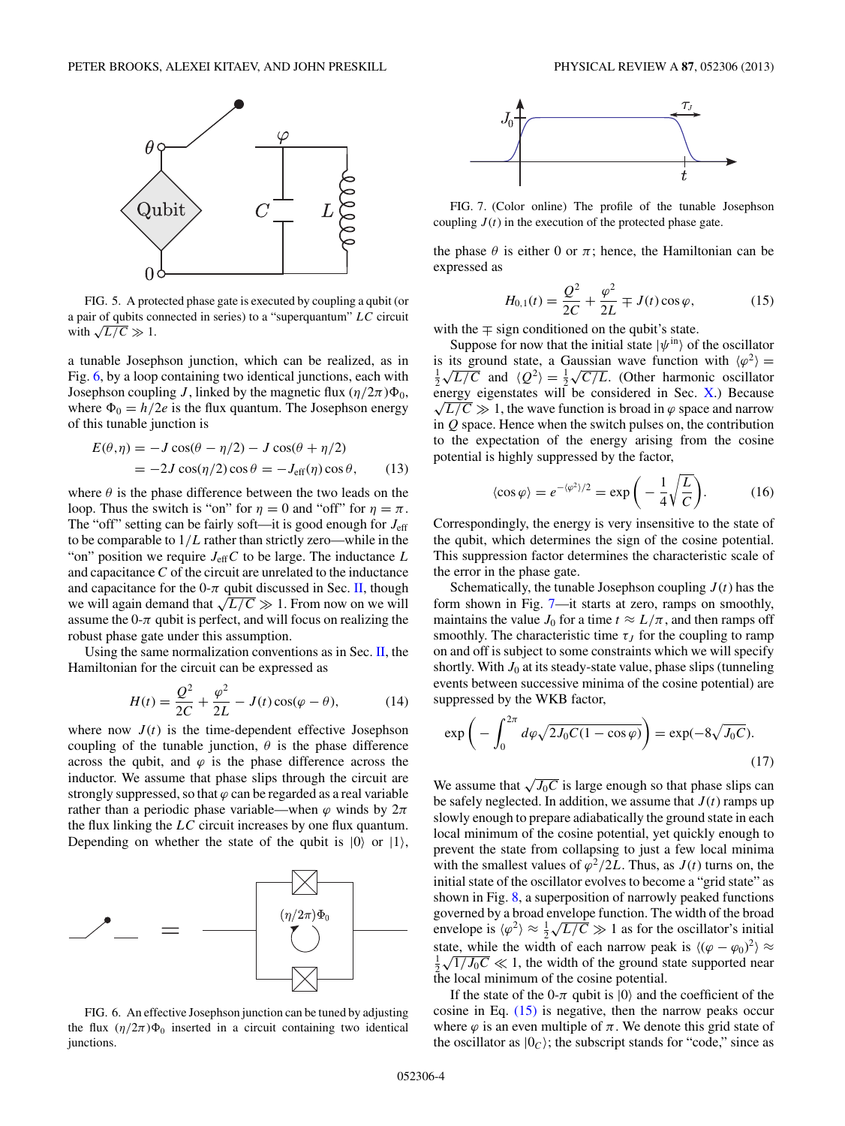<span id="page-3-0"></span>

FIG. 5. A protected phase gate is executed by coupling a qubit (or a pair of qubits connected in series) to a "superquantum" *LC* circuit with  $\sqrt{L/C} \gg 1$ .

a tunable Josephson junction, which can be realized, as in Fig. 6, by a loop containing two identical junctions, each with Josephson coupling *J*, linked by the magnetic flux  $(\eta/2\pi)\Phi_0$ , where  $\Phi_0 = h/2e$  is the flux quantum. The Josephson energy of this tunable junction is

$$
E(\theta, \eta) = -J\cos(\theta - \eta/2) - J\cos(\theta + \eta/2)
$$
  
= -2J\cos(\eta/2)\cos\theta = -J\_{eff}(\eta)\cos\theta, (13)

where  $\theta$  is the phase difference between the two leads on the loop. Thus the switch is "on" for  $\eta = 0$  and "off" for  $\eta = \pi$ . The "off" setting can be fairly soft—it is good enough for  $J_{\text{eff}}$ to be comparable to 1*/L* rather than strictly zero—while in the "on" position we require  $J_{\text{eff}}C$  to be large. The inductance  $L$ and capacitance *C* of the circuit are unrelated to the inductance and capacitance for the  $0-\pi$  qubit discussed in Sec. [II,](#page-0-0) though we will again demand that  $\sqrt{L/C} \gg 1$ . From now on we will assume the  $0-\pi$  qubit is perfect, and will focus on realizing the robust phase gate under this assumption.

Using the same normalization conventions as in Sec. [II,](#page-0-0) the Hamiltonian for the circuit can be expressed as

$$
H(t) = \frac{Q^2}{2C} + \frac{\varphi^2}{2L} - J(t)\cos(\varphi - \theta),
$$
 (14)

where now  $J(t)$  is the time-dependent effective Josephson coupling of the tunable junction,  $\theta$  is the phase difference across the qubit, and  $\varphi$  is the phase difference across the inductor. We assume that phase slips through the circuit are strongly suppressed, so that  $\varphi$  can be regarded as a real variable rather than a periodic phase variable—when  $\varphi$  winds by  $2\pi$ the flux linking the *LC* circuit increases by one flux quantum. Depending on whether the state of the qubit is  $|0\rangle$  or  $|1\rangle$ ,



FIG. 6. An effective Josephson junction can be tuned by adjusting the flux  $(\eta/2\pi)\Phi_0$  inserted in a circuit containing two identical junctions.



FIG. 7. (Color online) The profile of the tunable Josephson coupling  $J(t)$  in the execution of the protected phase gate.

the phase  $\theta$  is either 0 or  $\pi$ ; hence, the Hamiltonian can be expressed as

$$
H_{0,1}(t) = \frac{Q^2}{2C} + \frac{\varphi^2}{2L} \mp J(t) \cos \varphi, \tag{15}
$$

with the  $\mp$  sign conditioned on the qubit's state.

Suppose for now that the initial state  $|\psi^{in}\rangle$  of the oscillator is its ground state, a Gaussian wave function with  $\langle \varphi^2 \rangle$  = is its ground state, a Gaussian wave function with  $\langle \varphi^2 \rangle = \frac{1}{2} \sqrt{L/C}$  and  $\langle Q^2 \rangle = \frac{1}{2} \sqrt{C/L}$ . (Other harmonic oscillator energy eigenstates will be considered in Sec. [X.](#page-14-0)) Because  $\sqrt{L/C} \gg 1$ , the wave function is broad in  $\varphi$  space and narrow in *Q* space. Hence when the switch pulses on, the contribution to the expectation of the energy arising from the cosine potential is highly suppressed by the factor,

$$
\langle \cos \varphi \rangle = e^{-\langle \varphi^2 \rangle/2} = \exp\bigg(-\frac{1}{4}\sqrt{\frac{L}{C}}\bigg). \tag{16}
$$

Correspondingly, the energy is very insensitive to the state of the qubit, which determines the sign of the cosine potential. This suppression factor determines the characteristic scale of the error in the phase gate.

Schematically, the tunable Josephson coupling  $J(t)$  has the form shown in Fig. 7—it starts at zero, ramps on smoothly, maintains the value  $J_0$  for a time  $t \approx L/\pi$ , and then ramps off smoothly. The characteristic time  $\tau_J$  for the coupling to ramp on and off is subject to some constraints which we will specify shortly. With  $J_0$  at its steady-state value, phase slips (tunneling events between successive minima of the cosine potential) are suppressed by the WKB factor,

$$
\exp\left(-\int_0^{2\pi} d\varphi \sqrt{2J_0C(1-\cos\varphi)}\right) = \exp(-8\sqrt{J_0C}).\tag{17}
$$

We assume that  $\sqrt{J_0C}$  is large enough so that phase slips can be safely neglected. In addition, we assume that  $J(t)$  ramps up slowly enough to prepare adiabatically the ground state in each local minimum of the cosine potential, yet quickly enough to prevent the state from collapsing to just a few local minima with the smallest values of  $\varphi^2/2L$ . Thus, as  $J(t)$  turns on, the initial state of the oscillator evolves to become a "grid state" as shown in Fig. [8,](#page-4-0) a superposition of narrowly peaked functions governed by a broad envelope function. The width of the broad governed by a broad envelope function. The width of the broad<br>envelope is  $\langle \varphi^2 \rangle \approx \frac{1}{2} \sqrt{L/C} \gg 1$  as for the oscillator's initial state, while the width of each narrow peak is  $\langle (\varphi - \varphi_0)^2 \rangle \approx$ state, while the width of each harrow peak is  $((\varphi - \varphi_0)^2) \approx \frac{1}{2} \sqrt{1/J_0C} \ll 1$ , the width of the ground state supported near the local minimum of the cosine potential.

If the state of the 0- $\pi$  qubit is  $|0\rangle$  and the coefficient of the cosine in Eq.  $(15)$  is negative, then the narrow peaks occur where  $\varphi$  is an even multiple of  $\pi$ . We denote this grid state of the oscillator as  $|0_c\rangle$ ; the subscript stands for "code," since as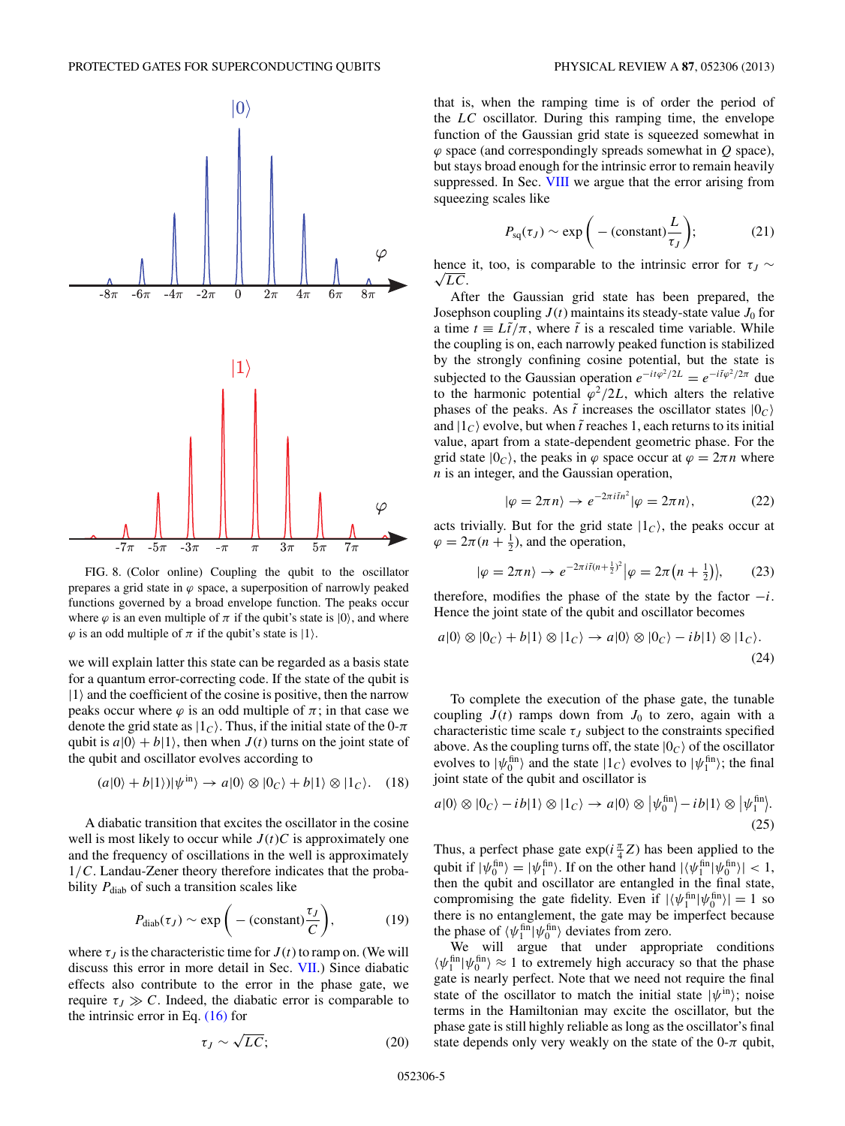<span id="page-4-0"></span>

FIG. 8. (Color online) Coupling the qubit to the oscillator prepares a grid state in  $\varphi$  space, a superposition of narrowly peaked functions governed by a broad envelope function. The peaks occur where  $\varphi$  is an even multiple of  $\pi$  if the qubit's state is  $|0\rangle$ , and where  $\varphi$  is an odd multiple of  $\pi$  if the qubit's state is  $|1\rangle$ .

we will explain latter this state can be regarded as a basis state for a quantum error-correcting code. If the state of the qubit is  $|1\rangle$  and the coefficient of the cosine is positive, then the narrow peaks occur where  $\varphi$  is an odd multiple of  $\pi$ ; in that case we denote the grid state as  $|1_c\rangle$ . Thus, if the initial state of the 0- $\pi$ qubit is  $a|0\rangle + b|1\rangle$ , then when  $J(t)$  turns on the joint state of the qubit and oscillator evolves according to

$$
(a|0\rangle + b|1\rangle)|\psi^{\text{in}}\rangle \to a|0\rangle \otimes |0_C\rangle + b|1\rangle \otimes |1_C\rangle. \quad (18)
$$

A diabatic transition that excites the oscillator in the cosine well is most likely to occur while  $J(t)C$  is approximately one and the frequency of oscillations in the well is approximately 1*/C*. Landau-Zener theory therefore indicates that the probability  $P_{\text{diab}}$  of such a transition scales like

$$
P_{\text{diab}}(\tau_J) \sim \exp\bigg(-(\text{constant})\frac{\tau_J}{C}\bigg),\tag{19}
$$

where  $\tau_J$  is the characteristic time for  $J(t)$  to ramp on. (We will discuss this error in more detail in Sec. [VII.](#page-11-0)) Since diabatic effects also contribute to the error in the phase gate, we require  $τ_J \gg C$ . Indeed, the diabatic error is comparable to the intrinsic error in Eq.  $(16)$  for

that is, when the ramping time is of order the period of the *LC* oscillator. During this ramping time, the envelope function of the Gaussian grid state is squeezed somewhat in *ϕ* space (and correspondingly spreads somewhat in *Q* space), but stays broad enough for the intrinsic error to remain heavily suppressed. In Sec. [VIII](#page-13-0) we argue that the error arising from squeezing scales like

$$
P_{\text{sq}}(\tau_J) \sim \exp\bigg(-(\text{constant})\frac{L}{\tau_J}\bigg); \tag{21}
$$

hence it, too, is comparable to the intrinsic error for  $\tau_J \sim$  $\sqrt{LC}$ .

After the Gaussian grid state has been prepared, the Josephson coupling  $J(t)$  maintains its steady-state value  $J_0$  for a time  $t \equiv L\tilde{t}/\pi$ , where  $\tilde{t}$  is a rescaled time variable. While the coupling is on, each narrowly peaked function is stabilized by the strongly confining cosine potential, but the state is subjected to the Gaussian operation  $e^{-it\varphi^2/2L} = e^{-i\tilde{t}\varphi^2/2\pi}$  due to the harmonic potential  $\varphi^2/2L$ , which alters the relative phases of the peaks. As  $\tilde{t}$  increases the oscillator states  $|0_C\rangle$ and  $|1_c\rangle$  evolve, but when  $\tilde{t}$  reaches 1, each returns to its initial value, apart from a state-dependent geometric phase. For the grid state  $|0_c\rangle$ , the peaks in  $\varphi$  space occur at  $\varphi = 2\pi n$  where *n* is an integer, and the Gaussian operation,

$$
|\varphi = 2\pi n\rangle \to e^{-2\pi i \tilde{t} n^2} |\varphi = 2\pi n\rangle, \tag{22}
$$

acts trivially. But for the grid state  $|1<sub>C</sub>\rangle$ , the peaks occur at  $\varphi = 2\pi (n + \frac{1}{2})$ , and the operation,

$$
|\varphi = 2\pi n\rangle \to e^{-2\pi i \tilde{t}(n + \frac{1}{2})^2} |\varphi = 2\pi (n + \frac{1}{2})\rangle, \qquad (23)
$$

therefore, modifies the phase of the state by the factor −*i*. Hence the joint state of the qubit and oscillator becomes

$$
a|0\rangle \otimes |0_C\rangle + b|1\rangle \otimes |1_C\rangle \to a|0\rangle \otimes |0_C\rangle - ib|1\rangle \otimes |1_C\rangle.
$$
\n(24)

To complete the execution of the phase gate, the tunable coupling  $J(t)$  ramps down from  $J_0$  to zero, again with a characteristic time scale  $\tau$ <sub>*I*</sub> subject to the constraints specified above. As the coupling turns off, the state  $|0_C\rangle$  of the oscillator evolves to  $|\psi_0^{\text{fin}}\rangle$  and the state  $|1_C\rangle$  evolves to  $|\psi_1^{\text{fin}}\rangle$ ; the final joint state of the qubit and oscillator is

$$
a|0\rangle \otimes |0_C\rangle - ib|1\rangle \otimes |1_C\rangle \to a|0\rangle \otimes |\psi_0^{\text{fin}}\rangle - ib|1\rangle \otimes |\psi_1^{\text{fin}}\rangle. \tag{25}
$$

Thus, a perfect phase gate  $exp(i\frac{\pi}{4}Z)$  has been applied to the qubit if  $|\psi_0^{\text{fin}}\rangle = |\psi_1^{\text{fin}}\rangle$ . If on the other hand  $|\langle \psi_1^{\text{fin}} | \psi_0^{\text{fin}} \rangle| < 1$ , then the qubit and oscillator are entangled in the final state, compromising the gate fidelity. Even if  $|\langle \psi_1^{\text{fin}} | \psi_0^{\text{fin}} \rangle| = 1$  so there is no entanglement, the gate may be imperfect because the phase of  $\langle \psi_1^{\text{fin}} | \psi_0^{\text{fin}} \rangle$  deviates from zero.

We will argue that under appropriate conditions  $\langle \psi_1^{\text{fin}} | \psi_0^{\text{fin}} \rangle \approx 1$  to extremely high accuracy so that the phase gate is nearly perfect. Note that we need not require the final state of the oscillator to match the initial state  $|\psi^{in}\rangle$ ; noise terms in the Hamiltonian may excite the oscillator, but the phase gate is still highly reliable as long as the oscillator's final state depends only very weakly on the state of the 0- $\pi$  qubit,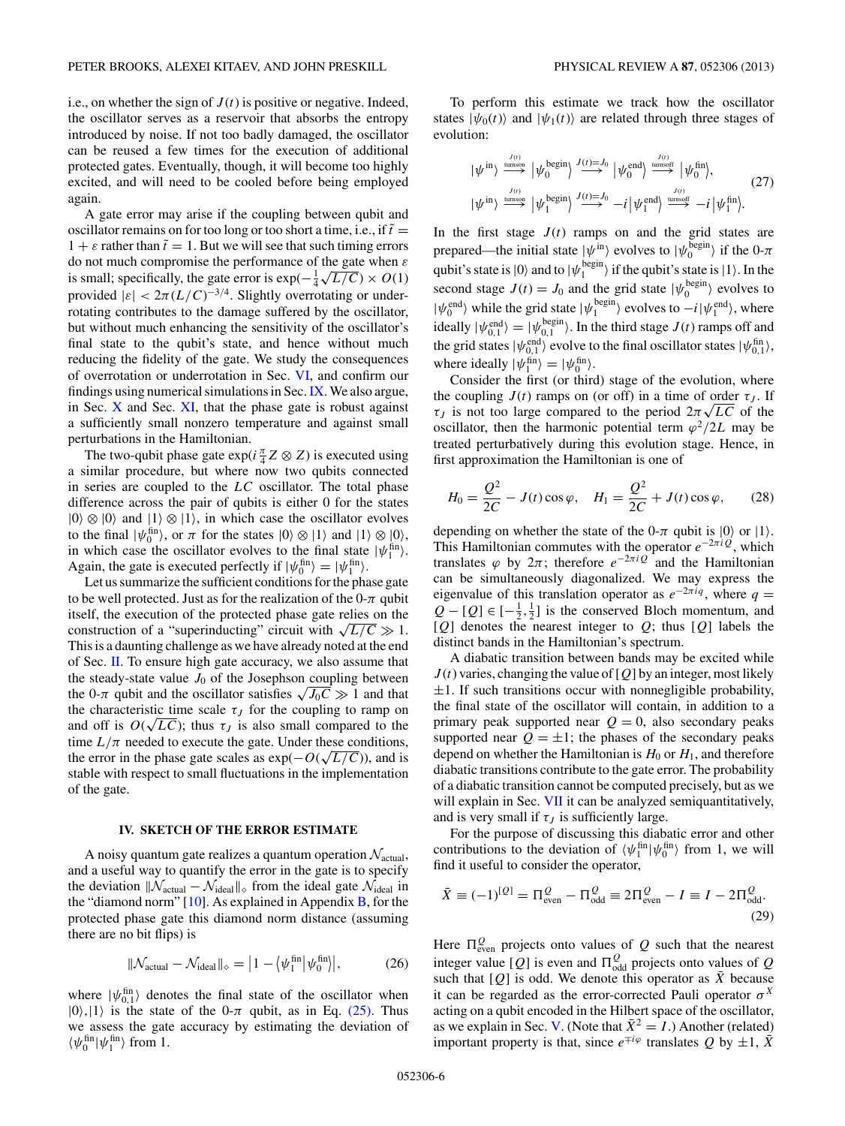<span id="page-5-0"></span>i.e., on whether the sign of  $J(t)$  is positive or negative. Indeed, the oscillator serves as a reservoir that absorbs the entropy introduced by noise. If not too badly damaged, the oscillator can be reused a few times for the execution of additional protected gates. Eventually, though, it will become too highly excited, and will need to be cooled before being employed again.

A gate error may arise if the coupling between qubit and oscillator remains on for too long or too short a time, i.e., if  $\tilde{t} =$  $1 + \varepsilon$  rather than  $\tilde{t} = 1$ . But we will see that such timing errors do not much compromise the performance of the gate when *ε* do not much compromise the performance of the gate when *ε* is small; specifically, the gate error is  $exp(-\frac{1}{4} \sqrt{L/C}) \times O(1)$ provided  $|\varepsilon| < 2\pi (L/C)^{-3/4}$ . Slightly overrotating or underrotating contributes to the damage suffered by the oscillator, but without much enhancing the sensitivity of the oscillator's final state to the qubit's state, and hence without much reducing the fidelity of the gate. We study the consequences of overrotation or underrotation in Sec. [VI,](#page-8-0) and confirm our findings using numerical simulations in Sec.[IX.](#page-14-0) We also argue, in Sec.  $X$  and Sec.  $XI$ , that the phase gate is robust against a sufficiently small nonzero temperature and against small perturbations in the Hamiltonian.

The two-qubit phase gate  $exp(i\frac{\pi}{4}Z \otimes Z)$  is executed using a similar procedure, but where now two qubits connected in series are coupled to the *LC* oscillator. The total phase difference across the pair of qubits is either 0 for the states  $|0\rangle \otimes |0\rangle$  and  $|1\rangle \otimes |1\rangle$ , in which case the oscillator evolves to the final  $|\psi_0^{\text{fin}}\rangle$ , or  $\pi$  for the states  $|0\rangle \otimes |1\rangle$  and  $|1\rangle \otimes |0\rangle$ , in which case the oscillator evolves to the final state  $|\psi_1^{\text{fin}}\rangle$ . Again, the gate is executed perfectly if  $|\psi_0^{\text{fin}}\rangle = |\psi_1^{\text{fin}}\rangle$ .

Let us summarize the sufficient conditions for the phase gate to be well protected. Just as for the realization of the  $0-\pi$  qubit itself, the execution of the protected phase gate relies on the construction of a "superinducting" circuit with  $\sqrt{L/C} \gg 1$ . This is a daunting challenge as we have already noted at the end of Sec. [II.](#page-0-0) To ensure high gate accuracy, we also assume that the steady-state value  $J_0$  of the Josephson coupling between the 0- $\pi$  qubit and the oscillator satisfies  $\sqrt{J_0 C} \gg 1$  and that the characteristic time scale  $\tau_J$  for the coupling to ramp on the characteristic time scale  $\tau_J$  for the coupling to ramp on<br>and off is  $O(\sqrt{LC})$ ; thus  $\tau_J$  is also small compared to the time  $L/\pi$  needed to execute the gate. Under these conditions, the error in the phase gate scales as  $exp(-O(\sqrt{L/C}))$ , and is stable with respect to small fluctuations in the implementation of the gate.

### **IV. SKETCH OF THE ERROR ESTIMATE**

A noisy quantum gate realizes a quantum operation  $\mathcal{N}_{\text{actual}}$ , and a useful way to quantify the error in the gate is to specify the deviation  $\|\mathcal{N}_{\text{actual}} - \mathcal{N}_{\text{ideal}}\|_{\diamond}$  from the ideal gate  $\mathcal{N}_{\text{ideal}}$  in the "diamond norm"  $[10]$ . As explained in Appendix  $\overline{B}$ , for the protected phase gate this diamond norm distance (assuming there are no bit flips) is

$$
\|\mathcal{N}_{actual} - \mathcal{N}_{ideal}\|_{\diamond} = \left|1 - \left\langle \psi_1^{\text{fin}} \middle| \psi_0^{\text{fin}} \right\rangle\right|,\tag{26}
$$

where  $|\psi_{0,1}^{\text{fin}}\rangle$  denotes the final state of the oscillator when  $|0\rangle,|1\rangle$  is the state of the 0- $\pi$  qubit, as in Eq. [\(25\).](#page-4-0) Thus we assess the gate accuracy by estimating the deviation of  $\langle \psi_0^{\text{fin}} | \psi_1^{\text{fin}} \rangle$  from 1.

To perform this estimate we track how the oscillator states  $|\psi_0(t)\rangle$  and  $|\psi_1(t)\rangle$  are related through three stages of evolution:

$$
|\psi^{\text{in}}\rangle \stackrel{\text{J}(t)}{\longrightarrow} |\psi_0^{\text{begin}}\rangle \stackrel{J(t)=J_0}{\longrightarrow} |\psi_0^{\text{end}}\rangle \stackrel{\text{J}(t)=J_0}{\longrightarrow} |\psi_0^{\text{end}}\rangle \stackrel{\text{unmost}}{\longrightarrow} |\psi_0^{\text{fin}}\rangle, \tag{27}
$$
  

$$
|\psi^{\text{in}}\rangle \stackrel{\text{J}(t)}{\longrightarrow} |\psi_1^{\text{begin}}\rangle \stackrel{J(t)=J_0}{\longrightarrow} -i |\psi_1^{\text{end}}\rangle \stackrel{\text{J}(t)}{\longrightarrow} -i |\psi_1^{\text{fin}}\rangle.
$$

In the first stage  $J(t)$  ramps on and the grid states are prepared—the initial state  $|\psi^{in}\rangle$  evolves to  $|\psi^{begin}_0\rangle$  if the 0- $\pi$ qubit's state is  $|0\rangle$  and to  $|\psi_1^{\text{begin}}\rangle$  if the qubit's state is  $|1\rangle$ . In the second stage  $J(t) = J_0$  and the grid state  $|\psi_0^{\text{begin}}\rangle$  evolves to  $|\psi_0^{\text{end}}\rangle$  while the grid state  $|\psi_1^{\text{begin}}\rangle$  evolves to  $-i|\psi_1^{\text{end}}\rangle$ , where ideally  $|\psi_{0,1}^{\text{end}}\rangle = |\psi_{0,1}^{\text{begin}}\rangle$ . In the third stage  $J(t)$  ramps off and the grid states  $|\psi_{0,1}^{\text{end}}\rangle$  evolve to the final oscillator states  $|\psi_{0,1}^{\text{fin}}\rangle$ , where ideally  $|\psi_1^{\text{fin}}\rangle = |\psi_0^{\text{fin}}\rangle$ .

Consider the first (or third) stage of the evolution, where the coupling  $J(t)$  ramps on (or off) in a time of order  $\tau_J$ . If the coupling  $J(t)$  ramps on (or off) in a time of order  $\tau_J$ . If  $\tau_J$  is not too large compared to the period  $2\pi\sqrt{LC}$  of the oscillator, then the harmonic potential term  $\varphi^2/2L$  may be treated perturbatively during this evolution stage. Hence, in first approximation the Hamiltonian is one of

$$
H_0 = \frac{Q^2}{2C} - J(t)\cos\varphi, \quad H_1 = \frac{Q^2}{2C} + J(t)\cos\varphi, \quad (28)
$$

depending on whether the state of the 0- $\pi$  qubit is  $|0\rangle$  or  $|1\rangle$ . This Hamiltonian commutes with the operator *e*−2*πiQ*, which translates  $\varphi$  by  $2\pi$ ; therefore  $e^{-2\pi i Q}$  and the Hamiltonian can be simultaneously diagonalized. We may express the eigenvalue of this translation operator as  $e^{-2\pi i q}$ , where  $q =$  $Q - [Q] \in [-\frac{1}{2}, \frac{1}{2}]$  is the conserved Bloch momentum, and [*Q*] denotes the nearest integer to *Q*; thus [*Q*] labels the distinct bands in the Hamiltonian's spectrum.

A diabatic transition between bands may be excited while  $J(t)$  varies, changing the value of  $[Q]$  by an integer, most likely  $\pm 1$ . If such transitions occur with nonnegligible probability, the final state of the oscillator will contain, in addition to a primary peak supported near  $Q = 0$ , also secondary peaks supported near  $Q = \pm 1$ ; the phases of the secondary peaks depend on whether the Hamiltonian is  $H_0$  or  $H_1$ , and therefore diabatic transitions contribute to the gate error. The probability of a diabatic transition cannot be computed precisely, but as we will explain in Sec. [VII](#page-11-0) it can be analyzed semiquantitatively, and is very small if  $\tau$ <sub>*I*</sub> is sufficiently large.

For the purpose of discussing this diabatic error and other contributions to the deviation of  $\langle \psi_1^{\text{fin}} | \psi_0^{\text{fin}} \rangle$  from 1, we will find it useful to consider the operator,

$$
\bar{X} \equiv (-1)^{[Q]} = \Pi_{\text{even}}^Q - \Pi_{\text{odd}}^Q \equiv 2\Pi_{\text{even}}^Q - I \equiv I - 2\Pi_{\text{odd}}^Q.
$$
\n(29)

Here  $\Pi_{\text{even}}^Q$  projects onto values of  $Q$  such that the nearest integer value [*Q*] is even and  $\Pi_{\text{odd}}^Q$  projects onto values of *Q* such that  $[Q]$  is odd. We denote this operator as  $\overline{X}$  because it can be regarded as the error-corrected Pauli operator  $\sigma^X$ acting on a qubit encoded in the Hilbert space of the oscillator, as we explain in Sec. [V.](#page-6-0) (Note that  $\bar{X}^2 = I$ .) Another (related) important property is that, since  $e^{\mp i\varphi}$  translates *Q* by  $\pm 1$ ,  $\overline{X}$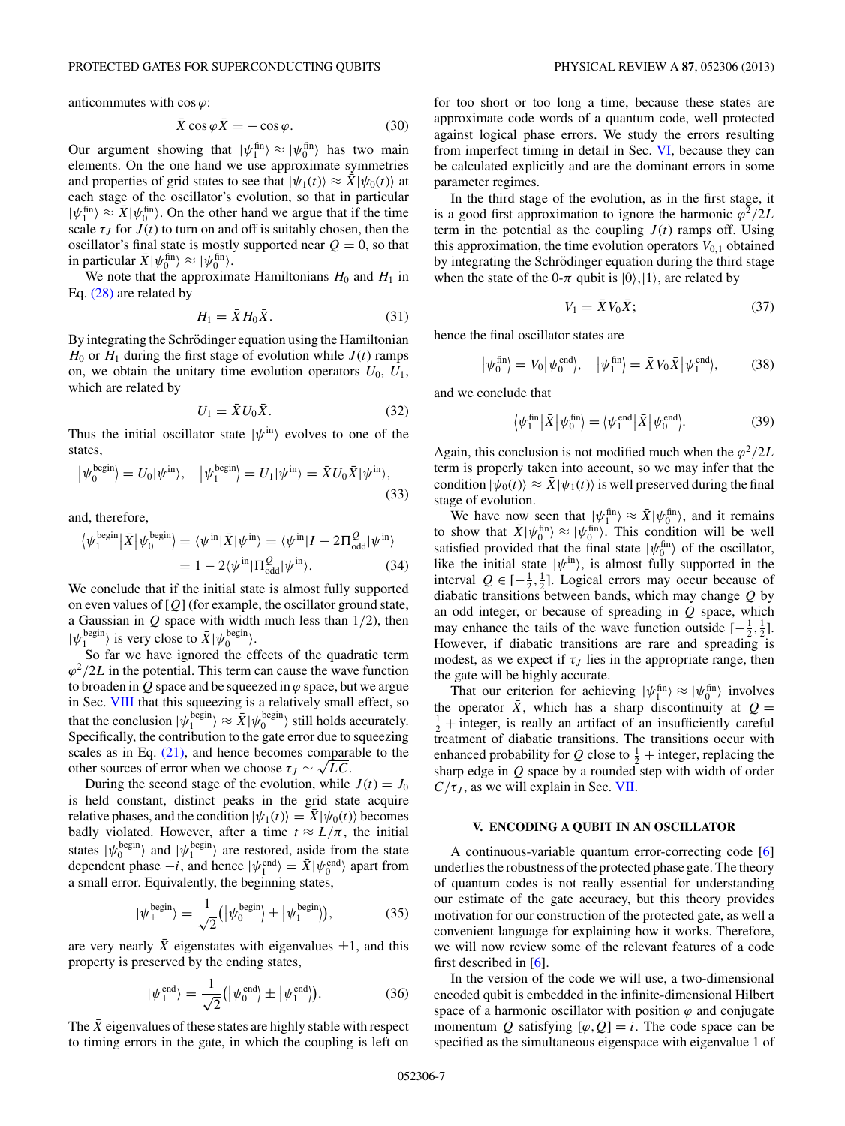<span id="page-6-0"></span>anticommutes with  $\cos \varphi$ :

$$
\bar{X}\cos\varphi\bar{X} = -\cos\varphi.\tag{30}
$$

Our argument showing that  $|\psi_1^{\text{fin}}\rangle \approx |\psi_0^{\text{fin}}\rangle$  has two main elements. On the one hand we use approximate symmetries and properties of grid states to see that  $|\psi_1(t)\rangle \approx \bar{X}|\psi_0(t)\rangle$  at each stage of the oscillator's evolution, so that in particular  $|\psi_1^{\text{fin}}\rangle \approx \bar{X}|\psi_0^{\text{fin}}\rangle$ . On the other hand we argue that if the time scale  $\tau_J$  for  $J(t)$  to turn on and off is suitably chosen, then the oscillator's final state is mostly supported near  $Q = 0$ , so that in particular  $\bar{X}|\psi_0^{\text{fin}}\rangle \approx |\psi_0^{\text{fin}}\rangle$ .

We note that the approximate Hamiltonians  $H_0$  and  $H_1$  in Eq. [\(28\)](#page-5-0) are related by

$$
H_1 = \bar{X} H_0 \bar{X}.
$$
 (31)

By integrating the Schrödinger equation using the Hamiltonian  $H_0$  or  $H_1$  during the first stage of evolution while  $J(t)$  ramps on, we obtain the unitary time evolution operators  $U_0$ ,  $U_1$ , which are related by

$$
U_1 = \bar{X}U_0\bar{X}.\tag{32}
$$

Thus the initial oscillator state  $|\psi^{\text{in}}\rangle$  evolves to one of the states,

$$
\left|\psi_0^{\text{begin}}\right\rangle = U_0|\psi^{\text{in}}\rangle, \quad \left|\psi_1^{\text{begin}}\right\rangle = U_1|\psi^{\text{in}}\rangle = \bar{X}U_0\bar{X}|\psi^{\text{in}}\rangle,\tag{33}
$$

and, therefore,

$$
\langle \psi_1^{\text{begin}} | \bar{X} | \psi_0^{\text{begin}} \rangle = \langle \psi^{\text{in}} | \bar{X} | \psi^{\text{in}} \rangle = \langle \psi^{\text{in}} | I - 2 \Pi_{\text{odd}}^{\mathcal{Q}} | \psi^{\text{in}} \rangle = 1 - 2 \langle \psi^{\text{in}} | \Pi_{\text{odd}}^{\mathcal{Q}} | \psi^{\text{in}} \rangle. \tag{34}
$$

We conclude that if the initial state is almost fully supported on even values of [*Q*] (for example, the oscillator ground state, a Gaussian in *Q* space with width much less than 1*/*2), then  $|\psi_1^{\text{begin}}\rangle$  is very close to  $\bar{X}|\psi_0^{\text{begin}}\rangle$ .

So far we have ignored the effects of the quadratic term  $\varphi^2/2L$  in the potential. This term can cause the wave function to broaden in  $Q$  space and be squeezed in  $\varphi$  space, but we argue in Sec. [VIII](#page-13-0) that this squeezing is a relatively small effect, so that the conclusion  $|\psi_1^{\text{begin}}\rangle \approx \bar{X}|\psi_0^{\text{begin}}\rangle$  still holds accurately. Specifically, the contribution to the gate error due to squeezing scales as in Eq.  $(21)$ , and hence becomes comparable to the other sources of error when we choose  $\tau_J \sim \sqrt{LC}$ .

During the second stage of the evolution, while  $J(t) = J_0$ is held constant, distinct peaks in the grid state acquire relative phases, and the condition  $|\psi_1(t)\rangle = \overline{X}|\psi_0(t)\rangle$  becomes badly violated. However, after a time  $t \approx L/\pi$ , the initial states  $|\psi_0^{\text{begin}}\rangle$  and  $|\psi_1^{\text{begin}}\rangle$  are restored, aside from the state dependent phase  $-i$ , and hence  $|\psi_1^{\text{end}}\rangle = \bar{X}|\psi_0^{\text{end}}\rangle$  apart from a small error. Equivalently, the beginning states,

$$
|\psi_{\pm}^{\text{begin}}\rangle = \frac{1}{\sqrt{2}} (|\psi_0^{\text{begin}}\rangle \pm |\psi_1^{\text{begin}}\rangle), \tag{35}
$$

are very nearly  $\bar{X}$  eigenstates with eigenvalues  $\pm 1$ , and this property is preserved by the ending states,

$$
|\psi_{\pm}^{\text{end}}\rangle = \frac{1}{\sqrt{2}} (|\psi_0^{\text{end}}\rangle \pm |\psi_1^{\text{end}}\rangle). \tag{36}
$$

The *X* eigenvalues of these states are highly stable with respect to timing errors in the gate, in which the coupling is left on for too short or too long a time, because these states are approximate code words of a quantum code, well protected against logical phase errors. We study the errors resulting from imperfect timing in detail in Sec. [VI,](#page-8-0) because they can be calculated explicitly and are the dominant errors in some parameter regimes.

In the third stage of the evolution, as in the first stage, it is a good first approximation to ignore the harmonic  $\varphi^2/2L$ term in the potential as the coupling  $J(t)$  ramps off. Using this approximation, the time evolution operators  $V_{0,1}$  obtained by integrating the Schrödinger equation during the third stage when the state of the 0- $\pi$  qubit is  $|0\rangle, |1\rangle$ , are related by

$$
V_1 = \bar{X} V_0 \bar{X};\tag{37}
$$

hence the final oscillator states are

$$
\left|\psi_0^{\text{fin}}\right\rangle = V_0 \left|\psi_0^{\text{end}}\right\rangle, \quad \left|\psi_1^{\text{fin}}\right\rangle = \bar{X} V_0 \bar{X} \left|\psi_1^{\text{end}}\right\rangle, \tag{38}
$$

and we conclude that

$$
\langle \psi_1^{\text{fin}} \, | \, \bar{X} \, | \, \psi_0^{\text{fin}} \rangle = \langle \psi_1^{\text{end}} \, | \, \bar{X} \, | \, \psi_0^{\text{end}} \rangle. \tag{39}
$$

Again, this conclusion is not modified much when the  $\varphi^2/2L$ term is properly taken into account, so we may infer that the condition  $|\psi_0(t)\rangle \approx \bar{X}|\psi_1(t)\rangle$  is well preserved during the final stage of evolution.

We have now seen that  $|\psi_1^{\text{fin}}\rangle \approx \bar{X}|\psi_0^{\text{fin}}\rangle$ , and it remains to show that  $\bar{X}|\psi_0^{\text{fin}}\rangle \approx |\psi_0^{\text{fin}}\rangle$ . This condition will be well satisfied provided that the final state  $|\psi_0^{\text{fin}}\rangle$  of the oscillator, like the initial state  $|\psi^{\text{in}}\rangle$ , is almost fully supported in the interval  $Q \in [-\frac{1}{2}, \frac{1}{2}]$ . Logical errors may occur because of diabatic transitions between bands, which may change *Q* by an odd integer, or because of spreading in *Q* space, which may enhance the tails of the wave function outside  $[-\frac{1}{2}, \frac{1}{2}]$ . However, if diabatic transitions are rare and spreading is modest, as we expect if  $\tau_J$  lies in the appropriate range, then the gate will be highly accurate.

That our criterion for achieving  $|\psi_1^{\text{fin}}\rangle \approx |\psi_0^{\text{fin}}\rangle$  involves the operator  $\bar{X}$ , which has a sharp discontinuity at  $Q =$  $\frac{1}{2}$  + integer, is really an artifact of an insufficiently careful treatment of diabatic transitions. The transitions occur with enhanced probability for Q close to  $\frac{1}{2}$  + integer, replacing the sharp edge in *Q* space by a rounded step with width of order  $C/\tau_J$ , as we will explain in Sec. [VII.](#page-11-0)

## **V. ENCODING A QUBIT IN AN OSCILLATOR**

A continuous-variable quantum error-correcting code [\[6\]](#page-25-0) underlies the robustness of the protected phase gate. The theory of quantum codes is not really essential for understanding our estimate of the gate accuracy, but this theory provides motivation for our construction of the protected gate, as well a convenient language for explaining how it works. Therefore, we will now review some of the relevant features of a code first described in [\[6\]](#page-25-0).

In the version of the code we will use, a two-dimensional encoded qubit is embedded in the infinite-dimensional Hilbert space of a harmonic oscillator with position  $\varphi$  and conjugate momentum *Q* satisfying  $[\varphi, Q] = i$ . The code space can be specified as the simultaneous eigenspace with eigenvalue 1 of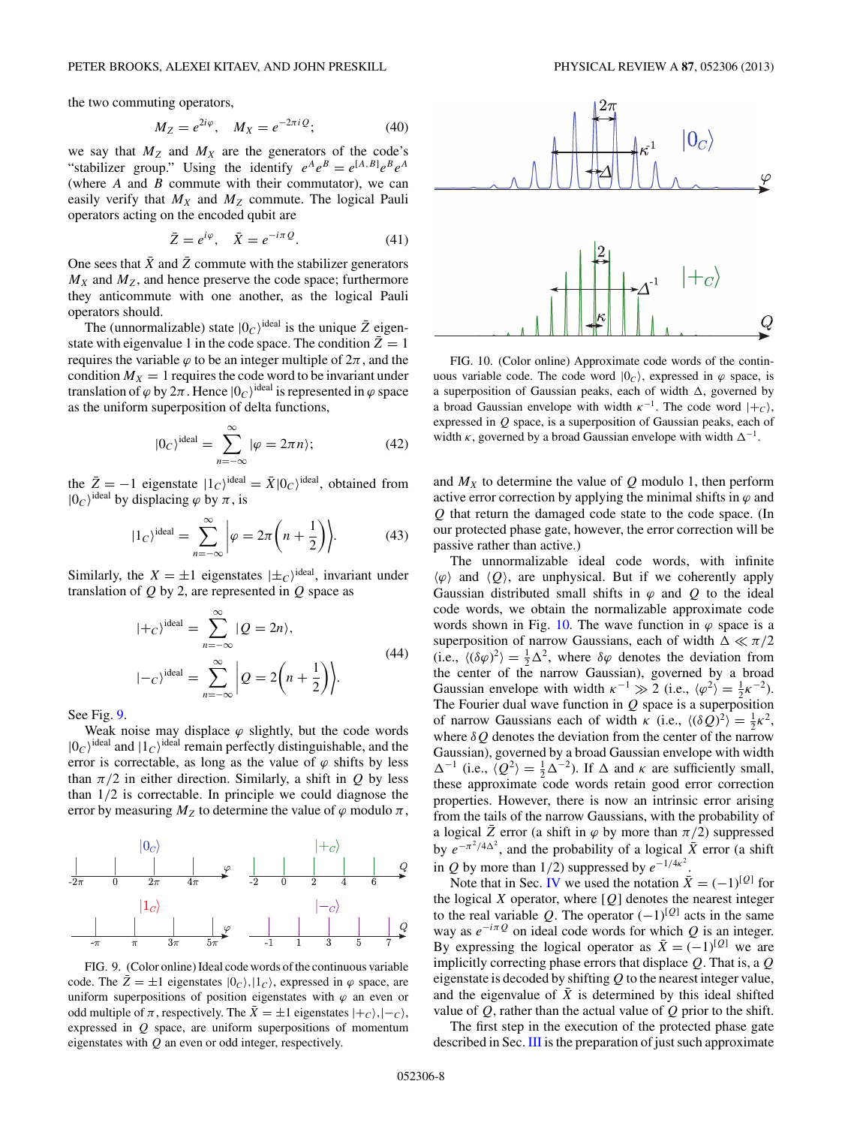the two commuting operators,

$$
M_Z = e^{2i\varphi}, \quad M_X = e^{-2\pi i Q}; \tag{40}
$$

we say that  $M_Z$  and  $M_X$  are the generators of the code's "stabilizer group." Using the identify  $e^A e^B = e^{[A,B]} e^B e^A$ (where *A* and *B* commute with their commutator), we can easily verify that  $M_X$  and  $M_Z$  commute. The logical Pauli operators acting on the encoded qubit are

$$
\bar{Z} = e^{i\varphi}, \quad \bar{X} = e^{-i\pi Q}.
$$
 (41)

One sees that  $\bar{X}$  and  $\bar{Z}$  commute with the stabilizer generators  $M_X$  and  $M_Z$ , and hence preserve the code space; furthermore they anticommute with one another, as the logical Pauli operators should.

The (unnormalizable) state  $|0_C\rangle^{\text{ideal}}$  is the unique  $\bar{Z}$  eigenstate with eigenvalue 1 in the code space. The condition  $\bar{Z} = 1$ requires the variable  $\varphi$  to be an integer multiple of  $2\pi$ , and the condition  $M_X = 1$  requires the code word to be invariant under translation of  $\varphi$  by  $2\pi$ . Hence  $|0_C\rangle^{\text{ideal}}$  is represented in  $\varphi$  space as the uniform superposition of delta functions,

$$
|0_C|^{\text{ideal}} = \sum_{n=-\infty}^{\infty} |\varphi = 2\pi n \rangle; \tag{42}
$$

the  $\bar{Z} = -1$  eigenstate  $|1_C\rangle^{\text{ideal}} = \bar{X} |0_C\rangle^{\text{ideal}}$ , obtained from  $|0_C\rangle^{\text{ideal}}$  by displacing  $\varphi$  by  $\pi$ , is

$$
|1_C\rangle^{\text{ideal}} = \sum_{n=-\infty}^{\infty} \left| \varphi = 2\pi \left( n + \frac{1}{2} \right) \right|.
$$
 (43)

Similarly, the  $X = \pm 1$  eigenstates  $|\pm_C\rangle^{\text{ideal}}$ , invariant under translation of *Q* by 2, are represented in *Q* space as

$$
|+c\rangle^{\text{ideal}} = \sum_{n=-\infty}^{\infty} |Q = 2n\rangle,
$$
  

$$
|-c\rangle^{\text{ideal}} = \sum_{n=-\infty}^{\infty} \left|Q = 2\left(n + \frac{1}{2}\right)\right|.
$$
 (44)

See Fig. 9.

Weak noise may displace  $\varphi$  slightly, but the code words  $|0_C\rangle^{\text{ideal}}$  and  $|1_C\rangle^{\text{ideal}}$  remain perfectly distinguishable, and the error is correctable, as long as the value of  $\varphi$  shifts by less than  $\pi/2$  in either direction. Similarly, a shift in *Q* by less than 1*/*2 is correctable. In principle we could diagnose the error by measuring  $M_Z$  to determine the value of  $\varphi$  modulo  $\pi$ ,



FIG. 9. (Color online) Ideal code words of the continuous variable code. The  $\bar{Z} = \pm 1$  eigenstates  $|0_C\rangle, |1_C\rangle$ , expressed in  $\varphi$  space, are uniform superpositions of position eigenstates with  $\varphi$  an even or odd multiple of  $\pi$ , respectively. The  $\bar{X} = \pm 1$  eigenstates  $|+_{C}\rangle, |-_{C}\rangle$ , expressed in *Q* space, are uniform superpositions of momentum eigenstates with *Q* an even or odd integer, respectively.



FIG. 10. (Color online) Approximate code words of the continuous variable code. The code word  $|0_c\rangle$ , expressed in  $\varphi$  space, is a superposition of Gaussian peaks, each of width  $\Delta$ , governed by a broad Gaussian envelope with width  $\kappa^{-1}$ . The code word  $|+_{C}\rangle$ , expressed in *Q* space, is a superposition of Gaussian peaks, each of width  $\kappa$ , governed by a broad Gaussian envelope with width  $\Delta^{-1}$ .

and  $M_X$  to determine the value of  $Q$  modulo 1, then perform active error correction by applying the minimal shifts in  $\varphi$  and *Q* that return the damaged code state to the code space. (In our protected phase gate, however, the error correction will be passive rather than active.)

The unnormalizable ideal code words, with infinite  $\langle \varphi \rangle$  and  $\langle \varphi \rangle$ , are unphysical. But if we coherently apply Gaussian distributed small shifts in  $\varphi$  and  $\varphi$  to the ideal code words, we obtain the normalizable approximate code words shown in Fig. 10. The wave function in  $\varphi$  space is a superposition of narrow Gaussians, each of width  $\Delta \ll \pi/2$ (i.e.,  $\langle (\delta \varphi)^2 \rangle = \frac{1}{2} \Delta^2$ , where  $\delta \varphi$  denotes the deviation from the center of the narrow Gaussian), governed by a broad Gaussian envelope with width  $\kappa^{-1} \gg 2$  (i.e.,  $\langle \varphi^2 \rangle = \frac{1}{2} \kappa^{-2}$ ). The Fourier dual wave function in *Q* space is a superposition of narrow Gaussians each of width  $\kappa$  (i.e.,  $\langle (\delta Q)^2 \rangle = \frac{1}{2} \kappa^2$ , where *δQ* denotes the deviation from the center of the narrow Gaussian), governed by a broad Gaussian envelope with width  $\Delta^{-1}$  (i.e.,  $\langle Q^2 \rangle = \frac{1}{2} \Delta^{-2}$ ). If  $\Delta$  and  $\kappa$  are sufficiently small, these approximate code words retain good error correction properties. However, there is now an intrinsic error arising from the tails of the narrow Gaussians, with the probability of a logical  $\bar{Z}$  error (a shift in  $\varphi$  by more than  $\pi/2$ ) suppressed by  $e^{-\pi^2/4\Delta^2}$ , and the probability of a logical  $\bar{X}$  error (a shift in *Q* by more than 1/2) suppressed by  $e^{-1/4\kappa^2}$ .

Note that in Sec. [IV](#page-5-0) we used the notation  $\bar{X} = (-1)^{[Q]}$  for the logical *X* operator, where [*Q*] denotes the nearest integer to the real variable *Q*. The operator  $(-1)^{[Q]}$  acts in the same way as  $e^{-i\pi Q}$  on ideal code words for which *Q* is an integer. By expressing the logical operator as  $\bar{X} = (-1)^{[Q]}$  we are implicitly correcting phase errors that displace *Q*. That is, a *Q* eigenstate is decoded by shifting *Q* to the nearest integer value, and the eigenvalue of  $\bar{X}$  is determined by this ideal shifted value of *Q*, rather than the actual value of *Q* prior to the shift.

The first step in the execution of the protected phase gate described in Sec. [III](#page-2-0) is the preparation of just such approximate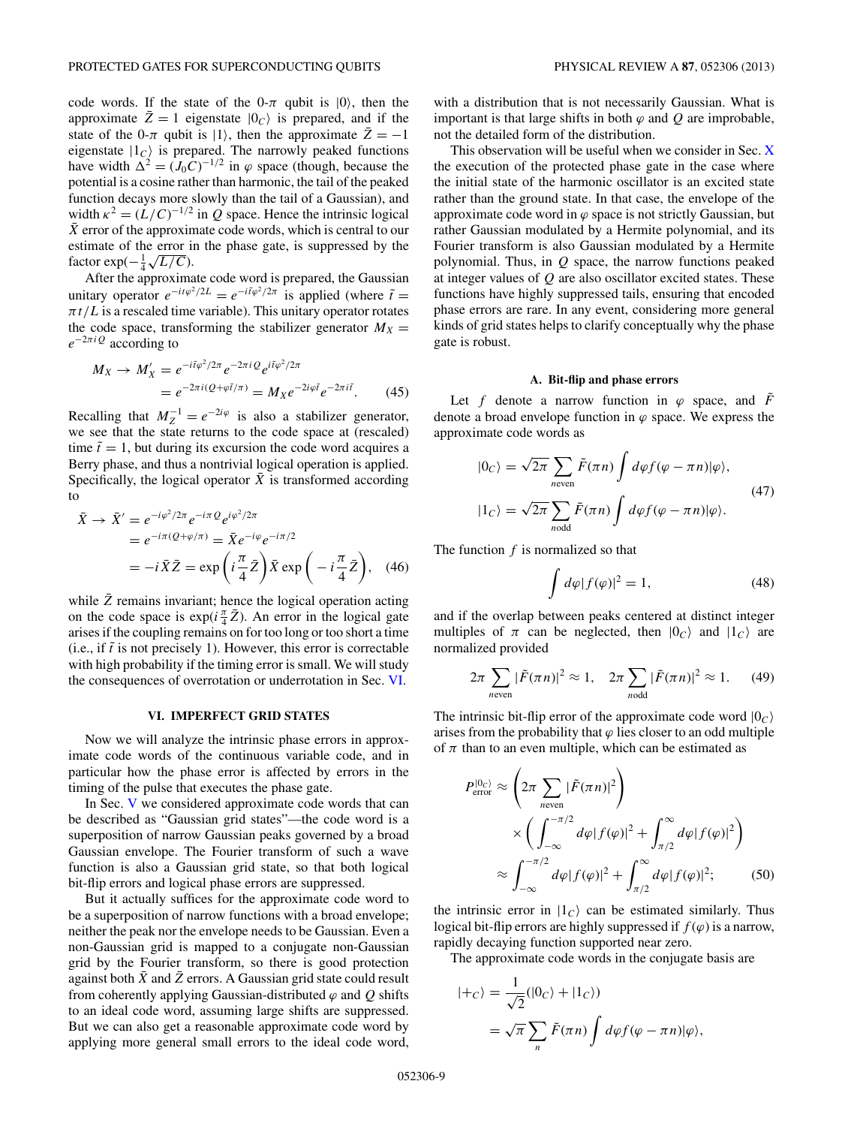<span id="page-8-0"></span>code words. If the state of the 0- $\pi$  qubit is  $|0\rangle$ , then the approximate  $\bar{Z} = 1$  eigenstate  $|0_C\rangle$  is prepared, and if the state of the 0- $\pi$  qubit is  $|1\rangle$ , then the approximate  $\overline{Z} = -1$ eigenstate  $|1_c\rangle$  is prepared. The narrowly peaked functions have width  $\Delta^2 = (J_0 C)^{-1/2}$  in  $\varphi$  space (though, because the potential is a cosine rather than harmonic, the tail of the peaked function decays more slowly than the tail of a Gaussian), and width  $\kappa^2 = (L/C)^{-1/2}$  in *Q* space. Hence the intrinsic logical  $\overline{X}$  error of the approximate code words, which is central to our estimate of the error in the phase gate, is suppressed by the estimate of the error 1<br>factor exp( $-\frac{1}{4}\sqrt{L/C}$ ).

After the approximate code word is prepared, the Gaussian unitary operator  $e^{-it\varphi^2/2L} = e^{-i\tilde{t}\varphi^2/2\pi}$  is applied (where  $\tilde{t} =$  $\pi t/L$  is a rescaled time variable). This unitary operator rotates the code space, transforming the stabilizer generator  $M_X =$ *e*<sup>−</sup>2*πiQ* according to

$$
M_X \to M'_X = e^{-i\tilde{t}\varphi^2/2\pi} e^{-2\pi i Q} e^{i\tilde{t}\varphi^2/2\pi} = e^{-2\pi i (Q + \varphi \tilde{t}/\pi)} = M_X e^{-2i\varphi \tilde{t}} e^{-2\pi i \tilde{t}}.
$$
 (45)

Recalling that  $M_Z^{-1} = e^{-2i\varphi}$  is also a stabilizer generator, we see that the state returns to the code space at (rescaled) time  $\tilde{t} = 1$ , but during its excursion the code word acquires a Berry phase, and thus a nontrivial logical operation is applied. Specifically, the logical operator  $\bar{X}$  is transformed according to

$$
\bar{X} \rightarrow \bar{X}' = e^{-i\varphi^2/2\pi} e^{-i\pi Q} e^{i\varphi^2/2\pi}
$$
  
=  $e^{-i\pi(Q+\varphi/\pi)} = \bar{X} e^{-i\varphi} e^{-i\pi/2}$   
=  $-i\bar{X}\bar{Z} = \exp\left(i\frac{\pi}{4}\bar{Z}\right) \bar{X} \exp\left(-i\frac{\pi}{4}\bar{Z}\right),$  (46)

while  $\bar{Z}$  remains invariant; hence the logical operation acting on the code space is  $exp(i\frac{\pi}{4}\bar{Z})$ . An error in the logical gate arises if the coupling remains on for too long or too short a time  $(i.e., if  $t$  is not precisely 1). However, this error is correctable$ with high probability if the timing error is small. We will study the consequences of overrotation or underrotation in Sec. VI.

#### **VI. IMPERFECT GRID STATES**

Now we will analyze the intrinsic phase errors in approximate code words of the continuous variable code, and in particular how the phase error is affected by errors in the timing of the pulse that executes the phase gate.

In Sec. [V](#page-6-0) we considered approximate code words that can be described as "Gaussian grid states"—the code word is a superposition of narrow Gaussian peaks governed by a broad Gaussian envelope. The Fourier transform of such a wave function is also a Gaussian grid state, so that both logical bit-flip errors and logical phase errors are suppressed.

But it actually suffices for the approximate code word to be a superposition of narrow functions with a broad envelope; neither the peak nor the envelope needs to be Gaussian. Even a non-Gaussian grid is mapped to a conjugate non-Gaussian grid by the Fourier transform, so there is good protection against both *X* and *Z* errors. A Gaussian grid state could result from coherently applying Gaussian-distributed  $\varphi$  and  $\varphi$  shifts to an ideal code word, assuming large shifts are suppressed. But we can also get a reasonable approximate code word by applying more general small errors to the ideal code word,

with a distribution that is not necessarily Gaussian. What is important is that large shifts in both  $\varphi$  and  $Q$  are improbable, not the detailed form of the distribution.

This observation will be useful when we consider in Sec. [X](#page-14-0) the execution of the protected phase gate in the case where the initial state of the harmonic oscillator is an excited state rather than the ground state. In that case, the envelope of the approximate code word in  $\varphi$  space is not strictly Gaussian, but rather Gaussian modulated by a Hermite polynomial, and its Fourier transform is also Gaussian modulated by a Hermite polynomial. Thus, in *Q* space, the narrow functions peaked at integer values of *Q* are also oscillator excited states. These functions have highly suppressed tails, ensuring that encoded phase errors are rare. In any event, considering more general kinds of grid states helps to clarify conceptually why the phase gate is robust.

## **A. Bit-flip and phase errors**

Let *f* denote a narrow function in  $\varphi$  space, and  $\tilde{F}$ denote a broad envelope function in  $\varphi$  space. We express the approximate code words as

$$
|0_C\rangle = \sqrt{2\pi} \sum_{n\text{even}} \tilde{F}(\pi n) \int d\varphi f(\varphi - \pi n) |\varphi\rangle,
$$
  

$$
|1_C\rangle = \sqrt{2\pi} \sum_{n\text{odd}} \tilde{F}(\pi n) \int d\varphi f(\varphi - \pi n) |\varphi\rangle.
$$
 (47)

The function *f* is normalized so that

$$
\int d\varphi |f(\varphi)|^2 = 1,\tag{48}
$$

and if the overlap between peaks centered at distinct integer multiples of  $\pi$  can be neglected, then  $|0_C\rangle$  and  $|1_C\rangle$  are normalized provided

$$
2\pi \sum_{n\text{even}} |\tilde{F}(\pi n)|^2 \approx 1, \quad 2\pi \sum_{n\text{odd}} |\tilde{F}(\pi n)|^2 \approx 1. \tag{49}
$$

The intrinsic bit-flip error of the approximate code word  $|0_C\rangle$ arises from the probability that  $\varphi$  lies closer to an odd multiple of  $\pi$  than to an even multiple, which can be estimated as

$$
P_{\text{error}}^{|0_C\rangle} \approx \left(2\pi \sum_{n\text{even}} |\tilde{F}(\pi n)|^2\right)
$$

$$
\times \left(\int_{-\infty}^{-\pi/2} d\varphi |f(\varphi)|^2 + \int_{\pi/2}^{\infty} d\varphi |f(\varphi)|^2\right)
$$

$$
\approx \int_{-\infty}^{-\pi/2} d\varphi |f(\varphi)|^2 + \int_{\pi/2}^{\infty} d\varphi |f(\varphi)|^2; \qquad (50)
$$

the intrinsic error in  $|1_c\rangle$  can be estimated similarly. Thus logical bit-flip errors are highly suppressed if  $f(\varphi)$  is a narrow, rapidly decaying function supported near zero.

The approximate code words in the conjugate basis are

$$
\begin{aligned} |+c\rangle &= \frac{1}{\sqrt{2}}(|0_c\rangle + |1_c\rangle) \\ &= \sqrt{\pi} \sum_n \tilde{F}(\pi n) \int d\varphi f(\varphi - \pi n) |\varphi\rangle, \end{aligned}
$$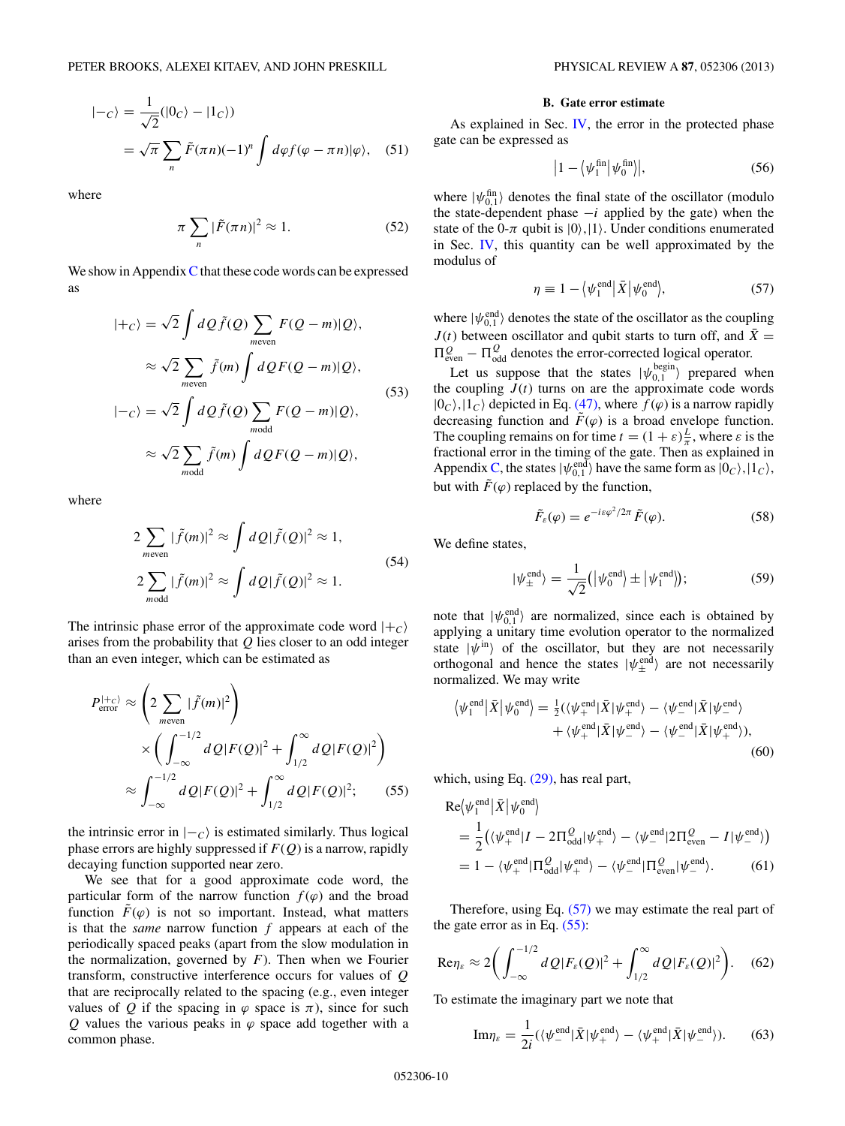<span id="page-9-0"></span>
$$
\begin{aligned} | -c \rangle &= \frac{1}{\sqrt{2}} (|0_C\rangle - |1_C\rangle) \\ &= \sqrt{\pi} \sum_n \tilde{F}(\pi n)(-1)^n \int d\varphi f(\varphi - \pi n) |\varphi\rangle, \quad (51) \end{aligned}
$$

where

$$
\pi \sum_{n} |\tilde{F}(\pi n)|^2 \approx 1. \tag{52}
$$

We show in Appendix  $C$  that these code words can be expressed as

$$
|+_{C}\rangle = \sqrt{2} \int dQ \tilde{f}(Q) \sum_{m \text{even}} F(Q-m)|Q\rangle,
$$
  
\n
$$
\approx \sqrt{2} \sum_{m \text{even}} \tilde{f}(m) \int dQ F(Q-m)|Q\rangle,
$$
  
\n
$$
|-_{C}\rangle = \sqrt{2} \int dQ \tilde{f}(Q) \sum_{\substack{modd}} F(Q-m)|Q\rangle,
$$
  
\n
$$
\approx \sqrt{2} \sum_{\substack{modd}} \tilde{f}(m) \int dQ F(Q-m)|Q\rangle,
$$
\n(53)

where

$$
2\sum_{m \text{even}} |\tilde{f}(m)|^2 \approx \int dQ |\tilde{f}(Q)|^2 \approx 1,
$$
  

$$
2\sum_{m \text{odd}} |\tilde{f}(m)|^2 \approx \int dQ |\tilde{f}(Q)|^2 \approx 1.
$$
 (54)

The intrinsic phase error of the approximate code word  $|+c\rangle$ arises from the probability that *Q* lies closer to an odd integer than an even integer, which can be estimated as

$$
P_{\text{error}}^{(+c)} \approx \left(2 \sum_{m \text{even}} |\tilde{f}(m)|^2\right) \times \left(\int_{-\infty}^{-1/2} dQ |F(Q)|^2 + \int_{1/2}^{\infty} dQ |F(Q)|^2\right) \approx \int_{-\infty}^{-1/2} dQ |F(Q)|^2 + \int_{1/2}^{\infty} dQ |F(Q)|^2; \quad (55)
$$

the intrinsic error in  $|-c\rangle$  is estimated similarly. Thus logical phase errors are highly suppressed if  $F(Q)$  is a narrow, rapidly decaying function supported near zero.

We see that for a good approximate code word, the particular form of the narrow function  $f(\varphi)$  and the broad function  $\tilde{F}(\varphi)$  is not so important. Instead, what matters is that the *same* narrow function *f* appears at each of the periodically spaced peaks (apart from the slow modulation in the normalization, governed by *F*). Then when we Fourier transform, constructive interference occurs for values of *Q* that are reciprocally related to the spacing (e.g., even integer values of Q if the spacing in  $\varphi$  space is  $\pi$ ), since for such *Q* values the various peaks in  $\varphi$  space add together with a common phase.

#### **B. Gate error estimate**

As explained in Sec.  $\mathbf{IV}$ , the error in the protected phase gate can be expressed as

$$
\left|1-\left\langle \psi_1^{\text{fin}}\right|\psi_0^{\text{fin}}\right|\right|,\tag{56}
$$

where  $|\psi_{0,1}^{\text{fin}}\rangle$  denotes the final state of the oscillator (modulo the state-dependent phase −*i* applied by the gate) when the state of the 0- $\pi$  qubit is  $|0\rangle$ ,  $|1\rangle$ . Under conditions enumerated in Sec. [IV,](#page-5-0) this quantity can be well approximated by the modulus of

$$
\eta \equiv 1 - \langle \psi_1^{\text{end}} | \bar{X} | \psi_0^{\text{end}} \rangle, \tag{57}
$$

where  $|\psi_{0,1}^{\text{end}}\rangle$  denotes the state of the oscillator as the coupling *J*(*t*) between oscillator and qubit starts to turn off, and  $\bar{X}$  =  $\Pi_{\text{even}}^Q - \Pi_{\text{odd}}^Q$  denotes the error-corrected logical operator.

Let us suppose that the states  $|\psi_{0,1}^{\text{begin}}\rangle$  prepared when the coupling  $J(t)$  turns on are the approximate code words  $|0_c\rangle$ ,  $|1_c\rangle$  depicted in Eq. [\(47\),](#page-8-0) where  $f(\varphi)$  is a narrow rapidly decreasing function and  $\tilde{F}(\varphi)$  is a broad envelope function. The coupling remains on for time  $t = (1 + \varepsilon) \frac{L}{\pi}$ , where  $\varepsilon$  is the fractional error in the timing of the gate. Then as explained in Appendix [C,](#page-22-0) the states  $|\psi_{0,1}^{\text{end}}\rangle$  have the same form as  $|0_C\rangle, |1_C\rangle$ , but with  $\tilde{F}(\varphi)$  replaced by the function,

$$
\tilde{F}_{\varepsilon}(\varphi) = e^{-i\varepsilon\varphi^2/2\pi} \tilde{F}(\varphi). \tag{58}
$$

We define states,

$$
|\psi_{\pm}^{\text{end}}\rangle = \frac{1}{\sqrt{2}} (|\psi_0^{\text{end}}\rangle \pm |\psi_1^{\text{end}}\rangle); \tag{59}
$$

note that  $|\psi_{0,1}^{\text{end}}\rangle$  are normalized, since each is obtained by applying a unitary time evolution operator to the normalized state  $|\psi^{\text{in}}\rangle$  of the oscillator, but they are not necessarily orthogonal and hence the states  $|\psi_{\pm}^{\text{end}}\rangle$  are not necessarily normalized. We may write

$$
\langle \psi_1^{\text{end}} | \bar{X} | \psi_0^{\text{end}} \rangle = \frac{1}{2} (\langle \psi_+^{\text{end}} | \bar{X} | \psi_+^{\text{end}} \rangle - \langle \psi_-^{\text{end}} | \bar{X} | \psi_-^{\text{end}} \rangle
$$

$$
+ \langle \psi_+^{\text{end}} | \bar{X} | \psi_-^{\text{end}} \rangle - \langle \psi_-^{\text{end}} | \bar{X} | \psi_+^{\text{end}} \rangle),
$$

$$
(60)
$$

which, using Eq.  $(29)$ , has real part,

$$
\operatorname{Re}\langle\psi_{1}^{\text{end}}|\bar{X}|\psi_{0}^{\text{end}}\rangle
$$
\n
$$
= \frac{1}{2} \big(\langle\psi_{+}^{\text{end}}|I - 2\Pi_{\text{odd}}^{Q}|\psi_{+}^{\text{end}}\rangle - \langle\psi_{-}^{\text{end}}|2\Pi_{\text{even}}^{Q} - I|\psi_{-}^{\text{end}}\rangle)
$$
\n
$$
= 1 - \langle\psi_{+}^{\text{end}}|\Pi_{\text{odd}}^{Q}|\psi_{+}^{\text{end}}\rangle - \langle\psi_{-}^{\text{end}}|\Pi_{\text{even}}^{Q}|\psi_{-}^{\text{end}}\rangle.
$$
\n(61)

Therefore, using Eq.  $(57)$  we may estimate the real part of the gate error as in Eq.  $(55)$ :

$$
\text{Re}\eta_{\varepsilon} \approx 2\bigg(\int_{-\infty}^{-1/2} dQ |F_{\varepsilon}(Q)|^2 + \int_{1/2}^{\infty} dQ |F_{\varepsilon}(Q)|^2\bigg). \quad (62)
$$

To estimate the imaginary part we note that

Im
$$
\eta_{\varepsilon} = \frac{1}{2i} (\langle \psi_{-}^{\text{end}} | \bar{X} | \psi_{+}^{\text{end}} \rangle - \langle \psi_{+}^{\text{end}} | \bar{X} | \psi_{-}^{\text{end}} \rangle).
$$
 (63)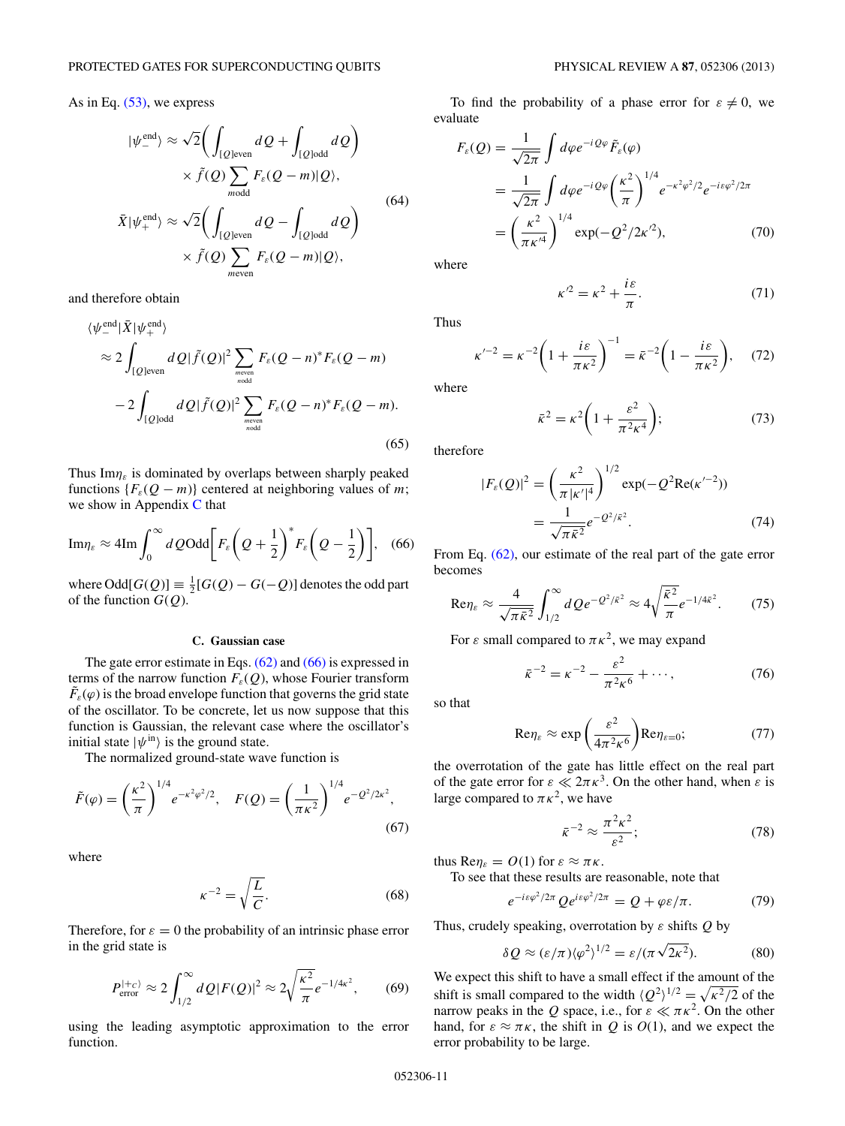## <span id="page-10-0"></span>As in Eq. [\(53\),](#page-9-0) we express

$$
|\psi_{-}^{\text{end}}\rangle \approx \sqrt{2} \Biggl( \int_{[Q] \text{even}} dQ + \int_{[Q] \text{odd}} dQ \Biggr)
$$
  
 
$$
\times \tilde{f}(Q) \sum_{\text{modd}} F_{\varepsilon}(Q - m)|Q\rangle,
$$
  

$$
\bar{X}|\psi_{+}^{\text{end}}\rangle \approx \sqrt{2} \Biggl( \int_{[Q] \text{even}} dQ - \int_{[Q] \text{odd}} dQ \Biggr)
$$
  

$$
\times \tilde{f}(Q) \sum_{\text{meven}} F_{\varepsilon}(Q - m)|Q\rangle,
$$
  
(64)

and therefore obtain

$$
\langle \psi_{-}^{\text{end}} | \bar{X} | \psi_{+}^{\text{end}} \rangle
$$
  
\n
$$
\approx 2 \int_{[Q] \text{even}} dQ | \tilde{f}(Q) |^2 \sum_{m \text{even} \atop n \text{odd}} F_{\varepsilon} (Q - n)^* F_{\varepsilon} (Q - m)
$$
  
\n
$$
-2 \int_{[Q] \text{odd}} dQ | \tilde{f}(Q) |^2 \sum_{m \text{even} \atop n \text{odd}} F_{\varepsilon} (Q - n)^* F_{\varepsilon} (Q - m). \tag{65}
$$

Thus Im*ηε* is dominated by overlaps between sharply peaked functions  ${F<sub>\varepsilon</sub>Q - m}$  centered at neighboring values of *m*; we show in Appendix [C](#page-22-0) that

$$
\mathrm{Im}\eta_{\varepsilon} \approx 4\mathrm{Im}\int_0^\infty dQ \mathrm{Odd}\bigg[F_{\varepsilon}\bigg(Q+\frac{1}{2}\bigg)^*F_{\varepsilon}\bigg(Q-\frac{1}{2}\bigg)\bigg],\quad(66)
$$

where  $\text{Odd}[G(Q)] \equiv \frac{1}{2}[G(Q) - G(-Q)]$  denotes the odd part of the function  $G(Q)$ .

#### **C. Gaussian case**

The gate error estimate in Eqs.  $(62)$  and  $(66)$  is expressed in terms of the narrow function  $F_{\varepsilon}(Q)$ , whose Fourier transform  $\tilde{F}_\varepsilon(\varphi)$  is the broad envelope function that governs the grid state of the oscillator. To be concrete, let us now suppose that this function is Gaussian, the relevant case where the oscillator's initial state  $|\psi^{\text{in}}\rangle$  is the ground state.

The normalized ground-state wave function is

$$
\tilde{F}(\varphi) = \left(\frac{\kappa^2}{\pi}\right)^{1/4} e^{-\kappa^2 \varphi^2/2}, \quad F(Q) = \left(\frac{1}{\pi \kappa^2}\right)^{1/4} e^{-Q^2/2\kappa^2},\tag{67}
$$

where

$$
\kappa^{-2} = \sqrt{\frac{L}{C}}.\tag{68}
$$

Therefore, for  $\varepsilon = 0$  the probability of an intrinsic phase error in the grid state is

$$
P_{\text{error}}^{(+c)} \approx 2 \int_{1/2}^{\infty} dQ |F(Q)|^2 \approx 2 \sqrt{\frac{\kappa^2}{\pi}} e^{-1/4\kappa^2},\qquad(69)
$$

using the leading asymptotic approximation to the error function.

To find the probability of a phase error for  $\varepsilon \neq 0$ , we evaluate

$$
F_{\varepsilon}(Q) = \frac{1}{\sqrt{2\pi}} \int d\varphi e^{-iQ\varphi} \tilde{F}_{\varepsilon}(\varphi)
$$
  
= 
$$
\frac{1}{\sqrt{2\pi}} \int d\varphi e^{-iQ\varphi} \left(\frac{\kappa^2}{\pi}\right)^{1/4} e^{-\kappa^2 \varphi^2/2} e^{-i\varepsilon \varphi^2/2\pi}
$$
  
= 
$$
\left(\frac{\kappa^2}{\pi \kappa^{\prime 4}}\right)^{1/4} \exp(-Q^2/2\kappa^{\prime 2}), \tag{70}
$$

where

Thus

$$
\kappa^2 = \kappa^2 + \frac{i\varepsilon}{\pi}.\tag{71}
$$

 $\kappa'^{-2} = \kappa^{-2} \left( 1 + \frac{i \varepsilon}{\varepsilon} \right)$ *πκ*<sup>2</sup>  $\int$ <sup>-1</sup> =  $\bar{\kappa}$ <sup>-2</sup>  $\left(1 - \frac{i\varepsilon}{\pi \kappa^2}\right)$  $\overline{\phantom{0}}$ *,* (72)

where

$$
\bar{\kappa}^2 = \kappa^2 \left( 1 + \frac{\varepsilon^2}{\pi^2 \kappa^4} \right); \tag{73}
$$

therefore

$$
|F_{\varepsilon}(Q)|^2 = \left(\frac{\kappa^2}{\pi |\kappa'|^4}\right)^{1/2} \exp(-Q^2 \text{Re}(\kappa'^{-2}))
$$
  
= 
$$
\frac{1}{\sqrt{\pi \bar{\kappa}^2}} e^{-Q^2/\bar{\kappa}^2}.
$$
 (74)

From Eq. [\(62\),](#page-9-0) our estimate of the real part of the gate error becomes

$$
\text{Re}\eta_{\varepsilon} \approx \frac{4}{\sqrt{\pi\bar{\kappa}^2}} \int_{1/2}^{\infty} dQ e^{-Q^2/\bar{\kappa}^2} \approx 4 \sqrt{\frac{\bar{\kappa}^2}{\pi}} e^{-1/4\bar{\kappa}^2}.
$$
 (75)

For  $\varepsilon$  small compared to  $\pi \kappa^2$ , we may expand

$$
\bar{\kappa}^{-2} = \kappa^{-2} - \frac{\varepsilon^2}{\pi^2 \kappa^6} + \cdots,
$$
 (76)

so that

$$
\text{Re}\eta_{\varepsilon} \approx \exp\left(\frac{\varepsilon^2}{4\pi^2 \kappa^6}\right) \text{Re}\eta_{\varepsilon=0};\tag{77}
$$

the overrotation of the gate has little effect on the real part of the gate error for  $\varepsilon \ll 2\pi \kappa^3$ . On the other hand, when  $\varepsilon$  is large compared to  $\pi \kappa^2$ , we have

$$
\bar{\kappa}^{-2} \approx \frac{\pi^2 \kappa^2}{\varepsilon^2};\tag{78}
$$

thus  $\text{Re}\eta_{\varepsilon} = O(1)$  for  $\varepsilon \approx \pi \kappa$ .

To see that these results are reasonable, note that

$$
e^{-i\varepsilon\varphi^2/2\pi} Q e^{i\varepsilon\varphi^2/2\pi} = Q + \varphi\varepsilon/\pi.
$$
 (79)

Thus, crudely speaking, overrotation by *ε* shifts *Q* by

$$
\delta Q \approx (\varepsilon/\pi) \langle \varphi^2 \rangle^{1/2} = \varepsilon / (\pi \sqrt{2\kappa^2}). \tag{80}
$$

We expect this shift to have a small effect if the amount of the shift is small compared to the width  $\langle Q^2 \rangle^{1/2} = \sqrt{\kappa^2/2}$  of the narrow peaks in the *Q* space, i.e., for  $\varepsilon \ll \pi \kappa^2$ . On the other hand, for  $\varepsilon \approx \pi \kappa$ , the shift in *Q* is *O*(1), and we expect the error probability to be large.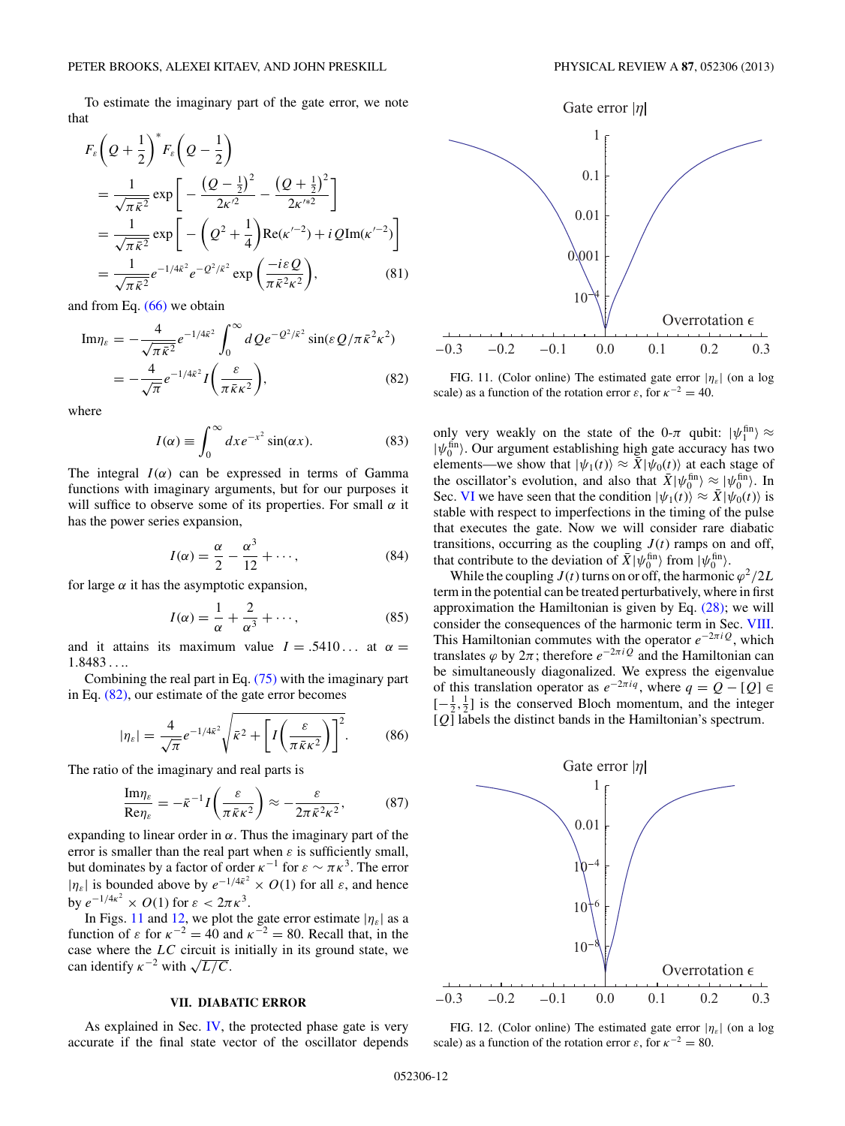<span id="page-11-0"></span>To estimate the imaginary part of the gate error, we note that

$$
F_{\varepsilon}\left(Q + \frac{1}{2}\right)^{*} F_{\varepsilon}\left(Q - \frac{1}{2}\right)
$$
  
=  $\frac{1}{\sqrt{\pi \bar{\kappa}^{2}}}\exp\left[-\frac{(Q - \frac{1}{2})^{2}}{2\kappa'^{2}} - \frac{(Q + \frac{1}{2})^{2}}{2\kappa'^{*2}}\right]$   
=  $\frac{1}{\sqrt{\pi \bar{\kappa}^{2}}}\exp\left[-\left(Q^{2} + \frac{1}{4}\right)\text{Re}(\kappa'^{-2}) + iQ\text{Im}(\kappa'^{-2})\right]$   
=  $\frac{1}{\sqrt{\pi \bar{\kappa}^{2}}}e^{-1/4\bar{\kappa}^{2}}e^{-Q^{2}/\bar{\kappa}^{2}}\exp\left(\frac{-i\varepsilon Q}{\pi \bar{\kappa}^{2}\kappa^{2}}\right),$  (81)

and from Eq.  $(66)$  we obtain

$$
\text{Im}\eta_{\varepsilon} = -\frac{4}{\sqrt{\pi}\bar{\kappa}^2}e^{-1/4\bar{\kappa}^2} \int_0^{\infty} dQ e^{-Q^2/\bar{\kappa}^2} \sin(\varepsilon Q/\pi\bar{\kappa}^2 \kappa^2)
$$

$$
= -\frac{4}{\sqrt{\pi}}e^{-1/4\bar{\kappa}^2} I\left(\frac{\varepsilon}{\pi\bar{\kappa}\kappa^2}\right),\tag{82}
$$

where

$$
I(\alpha) \equiv \int_0^\infty dx e^{-x^2} \sin(\alpha x). \tag{83}
$$

The integral  $I(\alpha)$  can be expressed in terms of Gamma functions with imaginary arguments, but for our purposes it will suffice to observe some of its properties. For small  $\alpha$  it has the power series expansion,

$$
I(\alpha) = \frac{\alpha}{2} - \frac{\alpha^3}{12} + \cdots,
$$
 (84)

for large  $\alpha$  it has the asymptotic expansion,

$$
I(\alpha) = \frac{1}{\alpha} + \frac{2}{\alpha^3} + \cdots,
$$
 (85)

and it attains its maximum value  $I = .5410...$  at  $\alpha =$ 1*.*8483 *...*.

Combining the real part in Eq. [\(75\)](#page-10-0) with the imaginary part in Eq. (82), our estimate of the gate error becomes

$$
|\eta_{\varepsilon}| = \frac{4}{\sqrt{\pi}} e^{-1/4\bar{\kappa}^2} \sqrt{\bar{\kappa}^2 + \left[ I\left(\frac{\varepsilon}{\pi \bar{\kappa} \kappa^2}\right) \right]^2}.
$$
 (86)

The ratio of the imaginary and real parts is

$$
\frac{\mathrm{Im}\eta_{\varepsilon}}{\mathrm{Re}\eta_{\varepsilon}} = -\bar{\kappa}^{-1} I\left(\frac{\varepsilon}{\pi \bar{\kappa}\kappa^2}\right) \approx -\frac{\varepsilon}{2\pi \bar{\kappa}^2 \kappa^2},\tag{87}
$$

expanding to linear order in  $\alpha$ . Thus the imaginary part of the error is smaller than the real part when  $\varepsilon$  is sufficiently small, but dominates by a factor of order  $\kappa^{-1}$  for  $\varepsilon \sim \pi \kappa^3$ . The error | $|\eta_{\varepsilon}|$  is bounded above by  $e^{-1/4\bar{\kappa}^2} \times O(1)$  for all  $\varepsilon$ , and hence by  $e^{-1/4\kappa^2} \times O(1)$  for  $\varepsilon < 2\pi \kappa^3$ .

In Figs. 11 and 12, we plot the gate error estimate  $|\eta_{\varepsilon}|$  as a function of  $\varepsilon$  for  $\kappa^{-2} = 40$  and  $\kappa^{-2} = 80$ . Recall that, in the case where the *LC* circuit is initially in its ground state, we can identify  $\kappa^{-2}$  with  $\sqrt{L/C}$ .

## **VII. DIABATIC ERROR**

As explained in Sec. [IV,](#page-5-0) the protected phase gate is very accurate if the final state vector of the oscillator depends



FIG. 11. (Color online) The estimated gate error |*ηε*| (on a log scale) as a function of the rotation error  $\varepsilon$ , for  $\kappa^{-2} = 40$ .

only very weakly on the state of the 0- $\pi$  qubit:  $|\psi_1^{\text{fin}}\rangle \approx$  $|\psi_0^{\text{fin}}\rangle$ . Our argument establishing high gate accuracy has two elements—we show that  $|\psi_1(t)\rangle \approx \bar{X}|\psi_0(t)\rangle$  at each stage of the oscillator's evolution, and also that  $\bar{X}|\psi_0^{\text{fin}}\rangle \approx |\psi_0^{\text{fin}}\rangle$ . In Sec. [VI](#page-8-0) we have seen that the condition  $|\psi_1(t)\rangle \approx \bar{X}|\psi_0(t)\rangle$  is stable with respect to imperfections in the timing of the pulse that executes the gate. Now we will consider rare diabatic transitions, occurring as the coupling  $J(t)$  ramps on and off, that contribute to the deviation of  $\bar{X}$  | $\psi_0^{\text{fin}}$  from  $\psi_0^{\text{fin}}$ .

While the coupling  $J(t)$  turns on or off, the harmonic  $\varphi^2/2L$ term in the potential can be treated perturbatively, where in first approximation the Hamiltonian is given by Eq. [\(28\);](#page-5-0) we will consider the consequences of the harmonic term in Sec. [VIII.](#page-13-0) This Hamiltonian commutes with the operator  $e^{-2\pi iQ}$ , which translates  $\varphi$  by  $2\pi$ ; therefore  $e^{-2\pi i Q}$  and the Hamiltonian can be simultaneously diagonalized. We express the eigenvalue of this translation operator as  $e^{-2\pi i q}$ , where  $q = Q - [Q] \in$  $[-\frac{1}{2}, \frac{1}{2}]$  is the conserved Bloch momentum, and the integer  $[Q]$  labels the distinct bands in the Hamiltonian's spectrum.



FIG. 12. (Color online) The estimated gate error  $|\eta_{\varepsilon}|$  (on a log scale) as a function of the rotation error  $\varepsilon$ , for  $\kappa^{-2} = 80$ .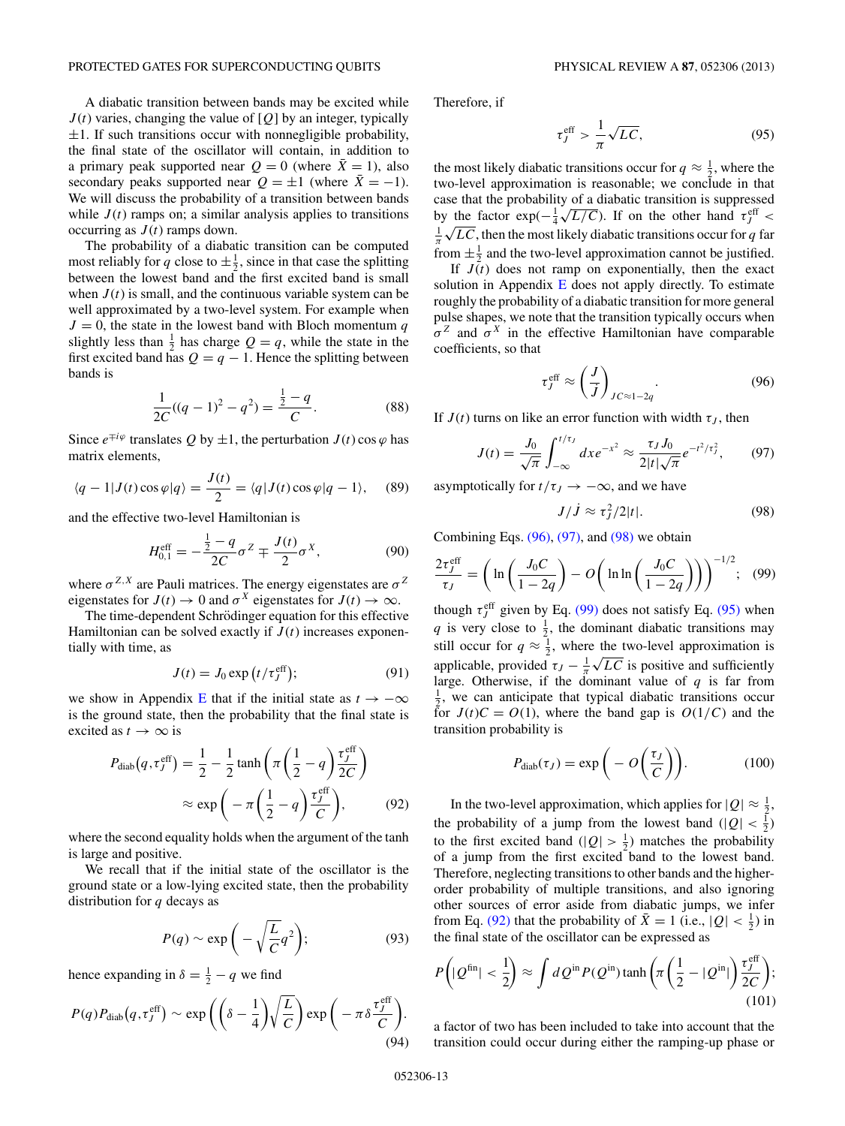A diabatic transition between bands may be excited while  $J(t)$  varies, changing the value of [ $Q$ ] by an integer, typically  $\pm 1$ . If such transitions occur with nonnegligible probability, the final state of the oscillator will contain, in addition to a primary peak supported near  $Q = 0$  (where  $\bar{X} = 1$ ), also secondary peaks supported near  $Q = \pm 1$  (where  $\bar{X} = -1$ ). We will discuss the probability of a transition between bands while  $J(t)$  ramps on; a similar analysis applies to transitions occurring as  $J(t)$  ramps down.

The probability of a diabatic transition can be computed most reliably for q close to  $\pm \frac{1}{2}$ , since in that case the splitting between the lowest band and the first excited band is small when  $J(t)$  is small, and the continuous variable system can be well approximated by a two-level system. For example when  $J = 0$ , the state in the lowest band with Bloch momentum *q* slightly less than  $\frac{1}{2}$  has charge  $Q = q$ , while the state in the first excited band has  $Q = q - 1$ . Hence the splitting between bands is

$$
\frac{1}{2C}((q-1)^2 - q^2) = \frac{\frac{1}{2} - q}{C}.
$$
 (88)

Since  $e^{\mp i\varphi}$  translates Q by  $\pm 1$ , the perturbation  $J(t)$  cos  $\varphi$  has matrix elements,

$$
\langle q-1|J(t)\cos\varphi|q\rangle = \frac{J(t)}{2} = \langle q|J(t)\cos\varphi|q-1\rangle, \quad (89)
$$

and the effective two-level Hamiltonian is

$$
H_{0,1}^{\text{eff}} = -\frac{\frac{1}{2} - q}{2C} \sigma^Z \mp \frac{J(t)}{2} \sigma^X, \tag{90}
$$

where  $\sigma^{Z,X}$  are Pauli matrices. The energy eigenstates are  $\sigma^Z$ eigenstates for  $J(t) \to 0$  and  $\sigma^X$  eigenstates for  $J(t) \to \infty$ .

The time-dependent Schrödinger equation for this effective Hamiltonian can be solved exactly if  $J(t)$  increases exponentially with time, as

$$
J(t) = J_0 \exp(t/\tau_j^{\text{eff}}); \tag{91}
$$

we show in Appendix [E](#page-24-0) that if the initial state as  $t \to -\infty$ is the ground state, then the probability that the final state is excited as  $t \to \infty$  is

$$
P_{\text{diab}}(q, \tau_j^{\text{eff}}) = \frac{1}{2} - \frac{1}{2} \tanh\left(\pi \left(\frac{1}{2} - q\right) \frac{\tau_j^{\text{eff}}}{2C}\right)
$$

$$
\approx \exp\left(-\pi \left(\frac{1}{2} - q\right) \frac{\tau_j^{\text{eff}}}{C}\right),\tag{92}
$$

where the second equality holds when the argument of the tanh is large and positive.

We recall that if the initial state of the oscillator is the ground state or a low-lying excited state, then the probability distribution for *q* decays as

$$
P(q) \sim \exp\bigg(-\sqrt{\frac{L}{C}}q^2\bigg); \tag{93}
$$

hence expanding in  $\delta = \frac{1}{2} - q$  we find

$$
P(q)P_{\text{diab}}(q,\tau_f^{\text{eff}}) \sim \exp\left(\left(\delta - \frac{1}{4}\right) \sqrt{\frac{L}{C}}\right) \exp\left(-\pi \delta \frac{\tau_f^{\text{eff}}}{C}\right).
$$
\n(94)

Therefore, if

$$
\tau_J^{\rm eff} > \frac{1}{\pi} \sqrt{LC},\tag{95}
$$

the most likely diabatic transitions occur for  $q \approx \frac{1}{2}$ , where the two-level approximation is reasonable; we conclude in that case that the probability of a diabatic transition is suppressed case that the probability of a diabatic transition is suppressed<br>by the factor  $\exp(-\frac{1}{4}\sqrt{L/C})$ . If on the other hand  $\tau_f^{\text{eff}}$  < by the ractor  $\exp(-\frac{1}{4}\sqrt{L/c})$ . If on the other hand  $t_f < \frac{1}{\pi}\sqrt{LC}$ , then the most likely diabatic transitions occur for *q* far from  $\pm \frac{1}{2}$  and the two-level approximation cannot be justified.

If  $J(t)$  does not ramp on exponentially, then the exact solution in Appendix  $E$  does not apply directly. To estimate roughly the probability of a diabatic transition for more general pulse shapes, we note that the transition typically occurs when  $σ<sup>Z</sup>$  and  $σ<sup>X</sup>$  in the effective Hamiltonian have comparable coefficients, so that

$$
\tau_J^{\text{eff}} \approx \left(\frac{J}{J}\right)_{JC \approx 1-2q}.\tag{96}
$$

If  $J(t)$  turns on like an error function with width  $\tau_J$ , then

$$
J(t) = \frac{J_0}{\sqrt{\pi}} \int_{-\infty}^{t/\tau_j} dx e^{-x^2} \approx \frac{\tau_J J_0}{2|t|\sqrt{\pi}} e^{-t^2/\tau_j^2},\qquad(97)
$$

asymptotically for  $t/\tau_J \rightarrow -\infty$ , and we have

$$
J/\dot{J} \approx \tau_J^2/2|t|.\tag{98}
$$

Combining Eqs.  $(96)$ ,  $(97)$ , and  $(98)$  we obtain

$$
\frac{2\tau_J^{\text{eff}}}{\tau_J} = \left(\ln\left(\frac{J_0C}{1-2q}\right) - O\left(\ln\ln\left(\frac{J_0C}{1-2q}\right)\right)\right)^{-1/2};\quad(99)
$$

though  $\tau_J^{\text{eff}}$  given by Eq. (99) does not satisfy Eq. (95) when *q* is very close to  $\frac{1}{2}$ , the dominant diabatic transitions may still occur for  $q \approx \frac{1}{2}$ , where the two-level approximation is applicable, provided  $\tau_J - \frac{1}{\pi} \sqrt{LC}$  is positive and sufficiently large. Otherwise, if the dominant value of  $q$  is far from  $\frac{1}{2}$ , we can anticipate that typical diabatic transitions occur for  $J(t)C = O(1)$ , where the band gap is  $O(1/C)$  and the transition probability is

$$
P_{\text{diab}}(\tau_J) = \exp\bigg(-O\bigg(\frac{\tau_J}{C}\bigg)\bigg). \tag{100}
$$

In the two-level approximation, which applies for  $|Q| \approx \frac{1}{2}$ , the probability of a jump from the lowest band  $(|Q| < \frac{1}{2})$ to the first excited band  $(|Q| > \frac{1}{2})$  matches the probability of a jump from the first excited band to the lowest band. Therefore, neglecting transitions to other bands and the higherorder probability of multiple transitions, and also ignoring other sources of error aside from diabatic jumps, we infer from Eq. (92) that the probability of  $\bar{X} = 1$  (i.e.,  $|Q| < \frac{1}{2}$ ) in the final state of the oscillator can be expressed as

$$
P\left(|\mathcal{Q}^{\text{fin}}| < \frac{1}{2}\right) \approx \int d\mathcal{Q}^{\text{in}} P(\mathcal{Q}^{\text{in}}) \tanh\left(\pi \left(\frac{1}{2} - |\mathcal{Q}^{\text{in}}|\right) \frac{\tau_J^{\text{eff}}}{2C}\right);\tag{101}
$$

a factor of two has been included to take into account that the transition could occur during either the ramping-up phase or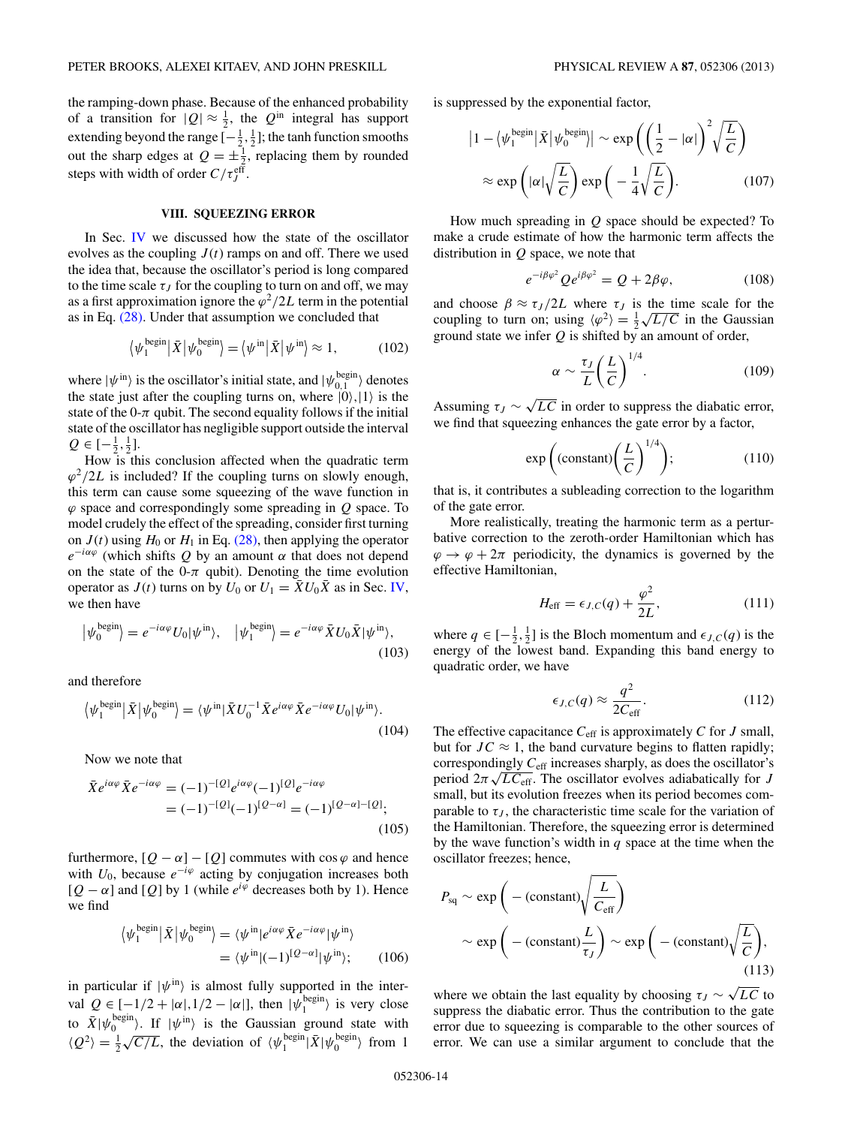<span id="page-13-0"></span>the ramping-down phase. Because of the enhanced probability of a transition for  $|Q| \approx \frac{1}{2}$ , the  $Q^{\text{in}}$  integral has support extending beyond the range  $[-\frac{1}{2},\frac{1}{2}]$ ; the tanh function smooths out the sharp edges at  $Q = \pm \frac{1}{2}$ , replacing them by rounded steps with width of order  $C/\tau_J^{\text{eff}}$ .

## **VIII. SQUEEZING ERROR**

In Sec. [IV](#page-5-0) we discussed how the state of the oscillator evolves as the coupling  $J(t)$  ramps on and off. There we used the idea that, because the oscillator's period is long compared to the time scale  $\tau_J$  for the coupling to turn on and off, we may as a first approximation ignore the  $\varphi^2/2L$  term in the potential as in Eq. [\(28\).](#page-5-0) Under that assumption we concluded that

$$
\langle \psi_1^{\text{begin}} | \bar{X} | \psi_0^{\text{begin}} \rangle = \langle \psi^{\text{in}} | \bar{X} | \psi^{\text{in}} \rangle \approx 1, \tag{102}
$$

where  $|\psi^{\text{in}}\rangle$  is the oscillator's initial state, and  $|\psi^{\text{begin}}_{0,1}\rangle$  denotes the state just after the coupling turns on, where  $|0\rangle, |1\rangle$  is the state of the  $0-\pi$  qubit. The second equality follows if the initial state of the oscillator has negligible support outside the interval  $Q \in [-\frac{1}{2}, \frac{1}{2}].$ 

How is this conclusion affected when the quadratic term  $\varphi^2/2L$  is included? If the coupling turns on slowly enough, this term can cause some squeezing of the wave function in *ϕ* space and correspondingly some spreading in *Q* space. To model crudely the effect of the spreading, consider first turning on  $J(t)$  using  $H_0$  or  $H_1$  in Eq. [\(28\),](#page-5-0) then applying the operator  $e^{-i\alpha\varphi}$  (which shifts Q by an amount  $\alpha$  that does not depend on the state of the 0- $\pi$  qubit). Denoting the time evolution operator as  $J(t)$  turns on by  $U_0$  or  $U_1 = \overline{X}U_0\overline{X}$  as in Sec. [IV,](#page-5-0) we then have

$$
|\psi_0^{\text{begin}}\rangle = e^{-i\alpha\varphi} U_0 |\psi^{\text{in}}\rangle, \quad |\psi_1^{\text{begin}}\rangle = e^{-i\alpha\varphi} \bar{X} U_0 \bar{X} |\psi^{\text{in}}\rangle,\tag{103}
$$

and therefore

$$
\langle \psi_1^{\text{begin}} | \bar{X} | \psi_0^{\text{begin}} \rangle = \langle \psi^{\text{in}} | \bar{X} U_0^{-1} \bar{X} e^{i\alpha\varphi} \bar{X} e^{-i\alpha\varphi} U_0 | \psi^{\text{in}} \rangle. \tag{104}
$$

Now we note that

$$
\bar{X}e^{i\alpha\varphi}\bar{X}e^{-i\alpha\varphi} = (-1)^{-[Q]}e^{i\alpha\varphi}(-1)^{[Q]}e^{-i\alpha\varphi}
$$

$$
= (-1)^{-[Q]}(-1)^{[Q-\alpha]} = (-1)^{[Q-\alpha]-[Q]},
$$
(105)

furthermore,  $[Q - \alpha] - [Q]$  commutes with cos  $\varphi$  and hence with  $U_0$ , because  $e^{-i\varphi}$  acting by conjugation increases both  $[Q - \alpha]$  and  $[Q]$  by 1 (while  $e^{i\varphi}$  decreases both by 1). Hence we find

$$
\langle \psi_1^{\text{begin}} | \bar{X} | \psi_0^{\text{begin}} \rangle = \langle \psi^{\text{in}} | e^{i\alpha\varphi} \bar{X} e^{-i\alpha\varphi} | \psi^{\text{in}} \rangle \\ = \langle \psi^{\text{in}} | (-1)^{[Q-\alpha]} | \psi^{\text{in}} \rangle; \qquad (106)
$$

in particular if  $|\psi^{in}\rangle$  is almost fully supported in the interval  $Q \in [-1/2 + |\alpha|, 1/2 - |\alpha|]$ , then  $|\psi_1^{\text{begin}}\rangle$  is very close to  $\bar{X}$  | $\psi_0^{\text{begin}}$  \. If  $|\psi^{\text{in}}\rangle$  is the Gaussian ground state with  $\langle Q^2 \rangle = \frac{1}{2} \sqrt{C/L}$ , the deviation of  $\langle \psi_1^{\text{begin}} | \bar{X} | \psi_0^{\text{begin}} \rangle \}$  from 1 is suppressed by the exponential factor,

$$
\left|1 - \langle \psi_1^{\text{begin}} | \bar{X} | \psi_0^{\text{begin}} \right| \right| \sim \exp\left(\left(\frac{1}{2} - |\alpha|\right)^2 \sqrt{\frac{L}{C}}\right) \approx \exp\left(|\alpha| \sqrt{\frac{L}{C}}\right) \exp\left(-\frac{1}{4} \sqrt{\frac{L}{C}}\right). \tag{107}
$$

How much spreading in *Q* space should be expected? To make a crude estimate of how the harmonic term affects the distribution in *Q* space, we note that

$$
e^{-i\beta\varphi^2}Qe^{i\beta\varphi^2} = Q + 2\beta\varphi,\tag{108}
$$

and choose  $\beta \approx \tau_J/2L$  where  $\tau_J$  is the time scale for the and choose  $p \approx \tau_J / 2L$  where  $\tau_J$  is the time scale for the coupling to turn on; using  $\langle \varphi^2 \rangle = \frac{1}{2} \sqrt{L/C}$  in the Gaussian ground state we infer *Q* is shifted by an amount of order,

$$
\alpha \sim \frac{\tau_J}{L} \left(\frac{L}{C}\right)^{1/4}.\tag{109}
$$

Assuming  $\tau_J \sim \sqrt{LC}$  in order to suppress the diabatic error, we find that squeezing enhances the gate error by a factor,

$$
\exp\left(\text{(constant)}\left(\frac{L}{C}\right)^{1/4}\right);\tag{110}
$$

that is, it contributes a subleading correction to the logarithm of the gate error.

More realistically, treating the harmonic term as a perturbative correction to the zeroth-order Hamiltonian which has  $\varphi \to \varphi + 2\pi$  periodicity, the dynamics is governed by the effective Hamiltonian,

$$
H_{\text{eff}} = \epsilon_{J,C}(q) + \frac{\varphi^2}{2L},\tag{111}
$$

where  $q \in \left[-\frac{1}{2}, \frac{1}{2}\right]$  is the Bloch momentum and  $\epsilon_{J,C}(q)$  is the energy of the lowest band. Expanding this band energy to quadratic order, we have

$$
\epsilon_{J,C}(q) \approx \frac{q^2}{2C_{\text{eff}}}.\tag{112}
$$

The effective capacitance  $C_{\text{eff}}$  is approximately *C* for *J* small, but for  $JC \approx 1$ , the band curvature begins to flatten rapidly; correspondingly *C*eff increases sharply, as does the oscillator's period 2*π* <sup>√</sup>*LC*eff. The oscillator evolves adiabatically for *<sup>J</sup>* small, but its evolution freezes when its period becomes comparable to  $\tau_J$ , the characteristic time scale for the variation of the Hamiltonian. Therefore, the squeezing error is determined by the wave function's width in *q* space at the time when the oscillator freezes; hence,

$$
P_{\text{sq}} \sim \exp\bigg(-(\text{constant})\sqrt{\frac{L}{C_{\text{eff}}}}\bigg)
$$

$$
\sim \exp\bigg(-(\text{constant})\frac{L}{\tau_J}\bigg) \sim \exp\bigg(-(\text{constant})\sqrt{\frac{L}{C}}\bigg),\tag{113}
$$

where we obtain the last equality by choosing  $\tau_J \sim \sqrt{LC}$  to suppress the diabatic error. Thus the contribution to the gate error due to squeezing is comparable to the other sources of error. We can use a similar argument to conclude that the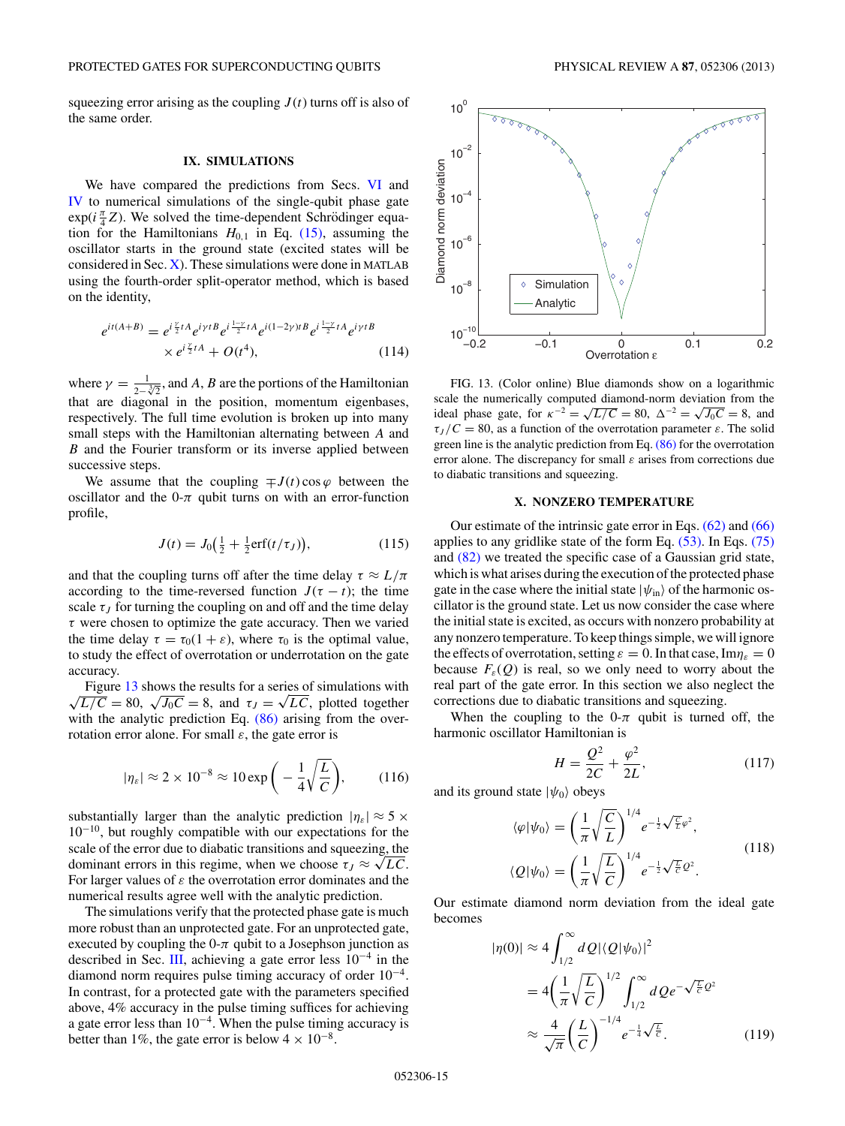<span id="page-14-0"></span>squeezing error arising as the coupling  $J(t)$  turns off is also of the same order.

#### **IX. SIMULATIONS**

We have compared the predictions from Secs. [VI](#page-8-0) and [IV](#page-5-0) to numerical simulations of the single-qubit phase gate  $\exp(i\frac{\pi}{4}Z)$ . We solved the time-dependent Schrödinger equation for the Hamiltonians  $H_{0,1}$  in Eq. [\(15\),](#page-3-0) assuming the oscillator starts in the ground state (excited states will be considered in Sec. X). These simulations were done in MATLAB using the fourth-order split-operator method, which is based on the identity,

$$
e^{it(A+B)} = e^{i\frac{\gamma}{2}tA} e^{i\gamma tB} e^{i\frac{1-\gamma}{2}tA} e^{i(1-2\gamma)tB} e^{i\frac{1-\gamma}{2}tA} e^{i\gamma tB}
$$
  
 
$$
\times e^{i\frac{\gamma}{2}tA} + O(t^4), \qquad (114)
$$

where  $\gamma = \frac{1}{2-\sqrt[3]{2}}$ , and *A*, *B* are the portions of the Hamiltonian that are diagonal in the position, momentum eigenbases, respectively. The full time evolution is broken up into many small steps with the Hamiltonian alternating between *A* and *B* and the Fourier transform or its inverse applied between successive steps.

We assume that the coupling  $\mp J(t) \cos \varphi$  between the oscillator and the  $0-\pi$  qubit turns on with an error-function profile,

$$
J(t) = J_0(\frac{1}{2} + \frac{1}{2}\text{erf}(t/\tau_J)),
$$
\n(115)

and that the coupling turns off after the time delay  $\tau \approx L/\pi$ according to the time-reversed function  $J(\tau - t)$ ; the time scale  $\tau_J$  for turning the coupling on and off and the time delay *τ* were chosen to optimize the gate accuracy. Then we varied the time delay  $\tau = \tau_0(1 + \varepsilon)$ , where  $\tau_0$  is the optimal value, to study the effect of overrotation or underrotation on the gate accuracy.

Figure 13 shows the results for a series of simulations with  $\sqrt{L/C} = 80$ ,  $\sqrt{J_0C} = 8$ , and  $\tau_J = \sqrt{LC}$ , plotted together Figure 13 shows the results for a series of simulations with with the analytic prediction Eq.  $(86)$  arising from the overrotation error alone. For small *ε*, the gate error is

$$
|\eta_{\varepsilon}| \approx 2 \times 10^{-8} \approx 10 \exp\bigg(-\frac{1}{4}\sqrt{\frac{L}{C}}\bigg),\qquad(116)
$$

substantially larger than the analytic prediction  $|\eta_{\varepsilon}| \approx 5 \times$  $10^{-10}$ , but roughly compatible with our expectations for the scale of the error due to diabatic transitions and squeezing, the dominant errors in this regime, when we choose  $\tau_J \approx \sqrt{LC}$ . For larger values of *ε* the overrotation error dominates and the numerical results agree well with the analytic prediction.

The simulations verify that the protected phase gate is much more robust than an unprotected gate. For an unprotected gate, executed by coupling the  $0-\pi$  qubit to a Josephson junction as described in Sec. [III,](#page-2-0) achieving a gate error less 10<sup>−</sup><sup>4</sup> in the diamond norm requires pulse timing accuracy of order 10<sup>−</sup>4. In contrast, for a protected gate with the parameters specified above, 4% accuracy in the pulse timing suffices for achieving a gate error less than  $10^{-4}$ . When the pulse timing accuracy is better than 1%, the gate error is below  $4 \times 10^{-8}$ .



FIG. 13. (Color online) Blue diamonds show on a logarithmic scale the numerically computed diamond-norm deviation from the ideal phase gate, for  $\kappa^{-2} = \sqrt{L/C} = 80$ ,  $\Delta^{-2} = \sqrt{J_0 C} = 8$ , and  $\tau_J/C = 80$ , as a function of the overrotation parameter *ε*. The solid green line is the analytic prediction from Eq. [\(86\)](#page-11-0) for the overrotation error alone. The discrepancy for small *ε* arises from corrections due to diabatic transitions and squeezing.

#### **X. NONZERO TEMPERATURE**

Our estimate of the intrinsic gate error in Eqs. [\(62\)](#page-9-0) and [\(66\)](#page-10-0) applies to any gridlike state of the form Eq.  $(53)$ . In Eqs.  $(75)$ and [\(82\)](#page-11-0) we treated the specific case of a Gaussian grid state, which is what arises during the execution of the protected phase gate in the case where the initial state  $|\psi_{\text{in}}\rangle$  of the harmonic oscillator is the ground state. Let us now consider the case where the initial state is excited, as occurs with nonzero probability at any nonzero temperature. To keep things simple, we will ignore the effects of overrotation, setting  $\varepsilon = 0$ . In that case, Im $\eta_{\varepsilon} = 0$ because  $F_{\varepsilon}(Q)$  is real, so we only need to worry about the real part of the gate error. In this section we also neglect the corrections due to diabatic transitions and squeezing.

When the coupling to the  $0-\pi$  qubit is turned off, the harmonic oscillator Hamiltonian is

$$
H = \frac{Q^2}{2C} + \frac{\varphi^2}{2L},
$$
\n(117)

and its ground state  $|\psi_0\rangle$  obeys

$$
\langle \varphi | \psi_0 \rangle = \left( \frac{1}{\pi} \sqrt{\frac{C}{L}} \right)^{1/4} e^{-\frac{1}{2} \sqrt{\frac{C}{L}} \varphi^2},
$$
  

$$
\langle Q | \psi_0 \rangle = \left( \frac{1}{\pi} \sqrt{\frac{L}{C}} \right)^{1/4} e^{-\frac{1}{2} \sqrt{\frac{L}{C}} Q^2}.
$$
 (118)

Our estimate diamond norm deviation from the ideal gate becomes

$$
|\eta(0)| \approx 4 \int_{1/2}^{\infty} dQ |\langle Q|\psi_0\rangle|^2
$$
  
=  $4\left(\frac{1}{\pi}\sqrt{\frac{L}{C}}\right)^{1/2} \int_{1/2}^{\infty} dQ e^{-\sqrt{\frac{L}{C}}} Q^2$   
 $\approx \frac{4}{\sqrt{\pi}} \left(\frac{L}{C}\right)^{-1/4} e^{-\frac{1}{4}\sqrt{\frac{L}{C}}}. \tag{119}$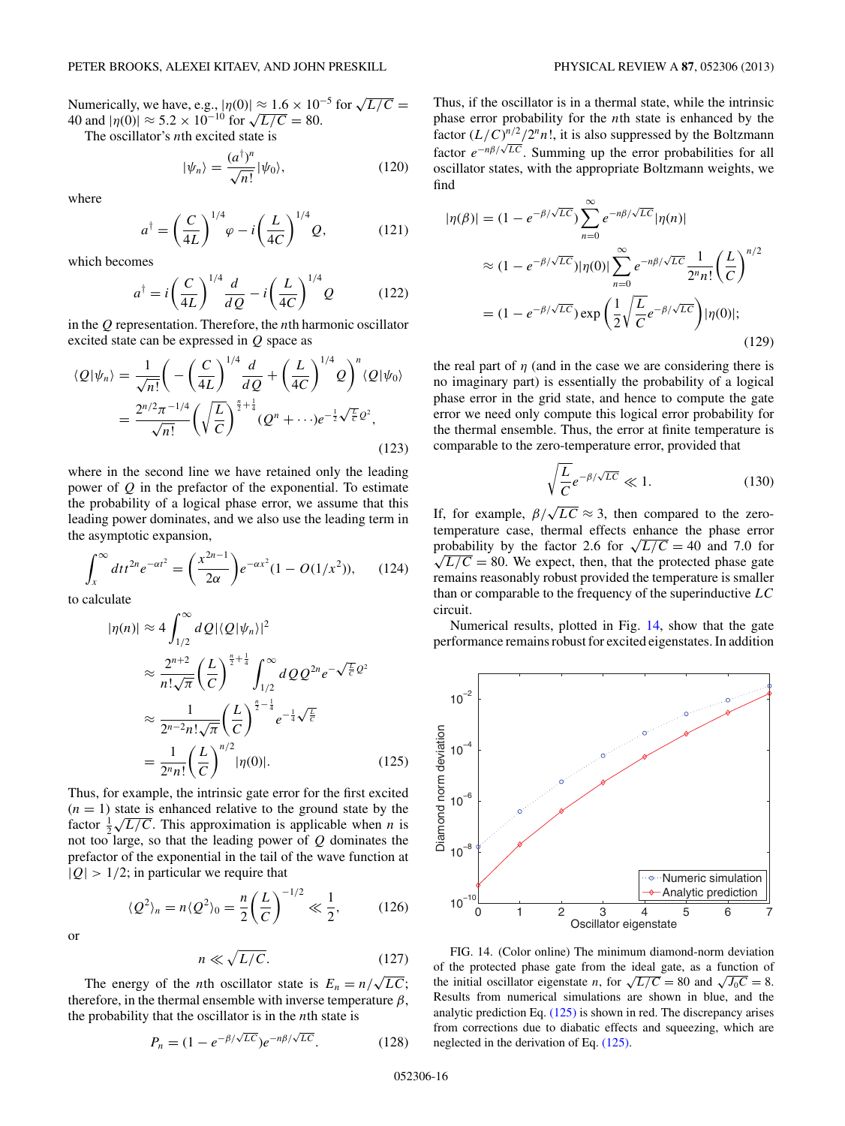<span id="page-15-0"></span>Numerically, we have, e.g.,  $|\eta(0)| \approx 1.6 \times 10^{-5}$  for  $\sqrt{L/C} =$ Numerically, we have, e.g.,  $|\eta(0)| \approx 1.6 \times 10^{-10}$ <br>40 and  $|\eta(0)| \approx 5.2 \times 10^{-10}$  for  $\sqrt{L/C} = 80$ .

The oscillator's *n*th excited state is

$$
|\psi_n\rangle = \frac{(a^\dagger)^n}{\sqrt{n!}} |\psi_0\rangle,\tag{120}
$$

where

$$
a^{\dagger} = \left(\frac{C}{4L}\right)^{1/4} \varphi - i \left(\frac{L}{4C}\right)^{1/4} Q, \tag{121}
$$

which becomes

$$
a^{\dagger} = i \left(\frac{C}{4L}\right)^{1/4} \frac{d}{dQ} - i \left(\frac{L}{4C}\right)^{1/4} Q \tag{122}
$$

in the *Q* representation. Therefore, the *n*th harmonic oscillator excited state can be expressed in *Q* space as

$$
\langle Q|\psi_n\rangle = \frac{1}{\sqrt{n!}} \left( -\left(\frac{C}{4L}\right)^{1/4} \frac{d}{dQ} + \left(\frac{L}{4C}\right)^{1/4} Q \right)^n \langle Q|\psi_0\rangle
$$
  

$$
= \frac{2^{n/2} \pi^{-1/4}}{\sqrt{n!}} \left( \sqrt{\frac{L}{C}} \right)^{\frac{n}{2} + \frac{1}{4}} (Q^n + \cdots) e^{-\frac{1}{2} \sqrt{\frac{L}{C}} Q^2},
$$
(123)

where in the second line we have retained only the leading power of *Q* in the prefactor of the exponential. To estimate the probability of a logical phase error, we assume that this leading power dominates, and we also use the leading term in the asymptotic expansion,

$$
\int_{x}^{\infty} dt t^{2n} e^{-\alpha t^{2}} = \left(\frac{x^{2n-1}}{2\alpha}\right) e^{-\alpha x^{2}} (1 - O(1/x^{2})), \quad (124)
$$

to calculate

$$
|\eta(n)| \approx 4 \int_{1/2}^{\infty} dQ |\langle Q|\psi_n\rangle|^2
$$
  
\n
$$
\approx \frac{2^{n+2}}{n!\sqrt{\pi}} \left(\frac{L}{C}\right)^{\frac{n}{2}+\frac{1}{4}} \int_{1/2}^{\infty} dQ Q^{2n} e^{-\sqrt{\frac{L}{C}}} Q^2
$$
  
\n
$$
\approx \frac{1}{2^{n-2}n!\sqrt{\pi}} \left(\frac{L}{C}\right)^{\frac{n}{2}-\frac{1}{4}} e^{-\frac{1}{4}\sqrt{\frac{L}{C}}}
$$
  
\n
$$
= \frac{1}{2^n n!} \left(\frac{L}{C}\right)^{n/2} |\eta(0)|.
$$
 (125)

Thus, for example, the intrinsic gate error for the first excited  $(n = 1)$  state is enhanced relative to the ground state by the  $(n = 1)$  state is enhanced relative to the ground state by the factor  $\frac{1}{2}\sqrt{L/C}$ . This approximation is applicable when *n* is not too large, so that the leading power of *Q* dominates the prefactor of the exponential in the tail of the wave function at  $|Q| > 1/2$ ; in particular we require that

$$
\langle Q^2 \rangle_n = n \langle Q^2 \rangle_0 = \frac{n}{2} \left( \frac{L}{C} \right)^{-1/2} \ll \frac{1}{2}, \quad (126)
$$

or

$$
n \ll \sqrt{L/C}.\tag{127}
$$

The energy of the *n*th oscillator state is  $E_n = n/\sqrt{LC}$ ; therefore, in the thermal ensemble with inverse temperature  $\beta$ , the probability that the oscillator is in the *n*th state is

$$
P_n = (1 - e^{-\beta/\sqrt{LC}})e^{-n\beta/\sqrt{LC}}.\tag{128}
$$

Thus, if the oscillator is in a thermal state, while the intrinsic phase error probability for the *n*th state is enhanced by the factor  $(L/C)^{n/2}/2^n n!$ , it is also suppressed by the Boltzmann factor *<sup>e</sup>*<sup>−</sup>*nβ/*√*LC*. Summing up the error probabilities for all oscillator states, with the appropriate Boltzmann weights, we find

$$
|\eta(\beta)| = (1 - e^{-\beta/\sqrt{LC}}) \sum_{n=0}^{\infty} e^{-n\beta/\sqrt{LC}} |\eta(n)|
$$
  
\n
$$
\approx (1 - e^{-\beta/\sqrt{LC}}) |\eta(0)| \sum_{n=0}^{\infty} e^{-n\beta/\sqrt{LC}} \frac{1}{2^n n!} \left(\frac{L}{C}\right)^{n/2}
$$
  
\n
$$
= (1 - e^{-\beta/\sqrt{LC}}) \exp\left(\frac{1}{2}\sqrt{\frac{L}{C}}e^{-\beta/\sqrt{LC}}\right) |\eta(0)|;
$$
\n(129)

the real part of  $\eta$  (and in the case we are considering there is no imaginary part) is essentially the probability of a logical phase error in the grid state, and hence to compute the gate error we need only compute this logical error probability for the thermal ensemble. Thus, the error at finite temperature is comparable to the zero-temperature error, provided that

$$
\sqrt{\frac{L}{C}}e^{-\beta/\sqrt{LC}} \ll 1.
$$
\n(130)

If, for example,  $\beta/\sqrt{LC} \approx 3$ , then compared to the zerotemperature case, thermal effects enhance the phase error emperature case, thermal effects enhance the phase error<br>probability by the factor 2.6 for  $\sqrt{L/C} = 40$  and 7.0 for  $\sqrt{L/C}$  = 80. We expect, then, that the protected phase gate remains reasonably robust provided the temperature is smaller than or comparable to the frequency of the superinductive *LC* circuit.

Numerical results, plotted in Fig. 14, show that the gate performance remains robust for excited eigenstates. In addition



FIG. 14. (Color online) The minimum diamond-norm deviation of the protected phase gate from the ideal gate, as a function of the initial oscillator eigenstate *n*, for  $\sqrt{L/C} = 80$  and  $\sqrt{J_0C} = 8$ . Results from numerical simulations are shown in blue, and the analytic prediction Eq.  $(125)$  is shown in red. The discrepancy arises from corrections due to diabatic effects and squeezing, which are neglected in the derivation of Eq. (125).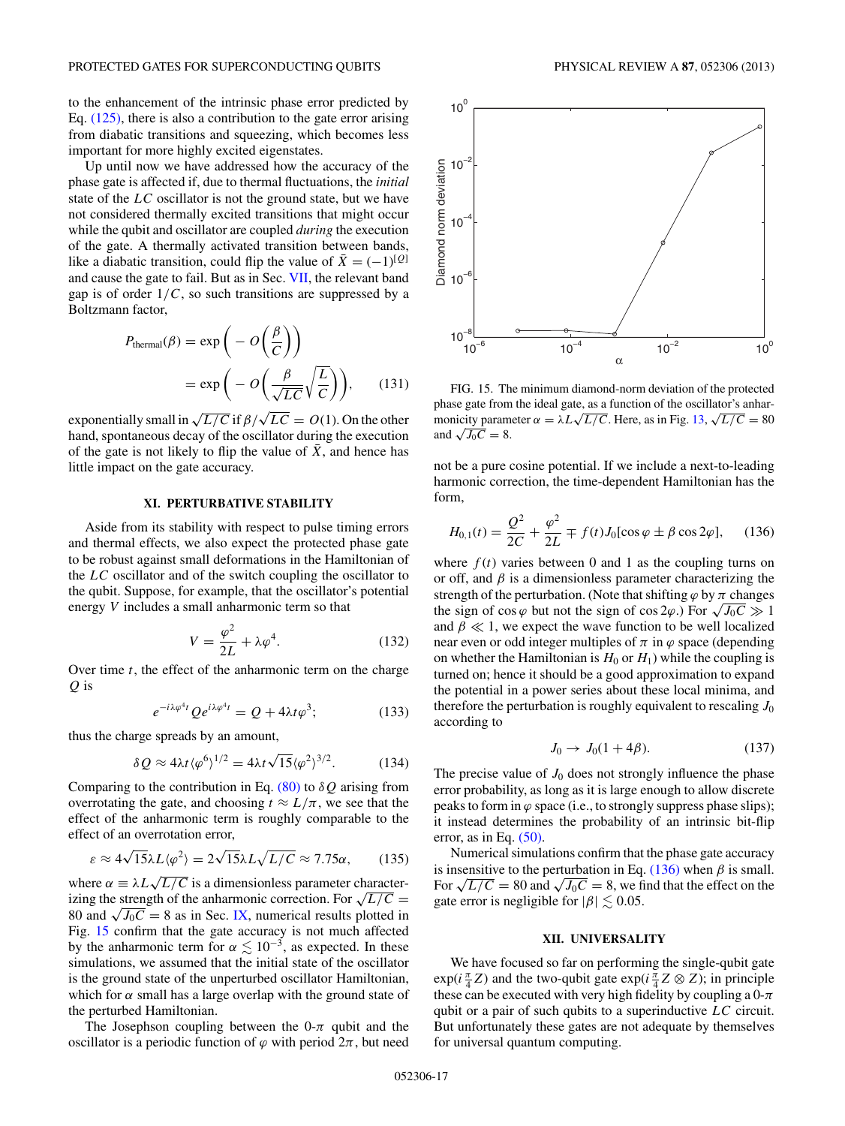<span id="page-16-0"></span>to the enhancement of the intrinsic phase error predicted by Eq. [\(125\),](#page-15-0) there is also a contribution to the gate error arising from diabatic transitions and squeezing, which becomes less important for more highly excited eigenstates.

Up until now we have addressed how the accuracy of the phase gate is affected if, due to thermal fluctuations, the *initial* state of the *LC* oscillator is not the ground state, but we have not considered thermally excited transitions that might occur while the qubit and oscillator are coupled *during* the execution of the gate. A thermally activated transition between bands, like a diabatic transition, could flip the value of  $\bar{X} = (-1)^{[Q]}$ and cause the gate to fail. But as in Sec. [VII,](#page-11-0) the relevant band gap is of order  $1/C$ , so such transitions are suppressed by a Boltzmann factor,

$$
P_{\text{thermal}}(\beta) = \exp\left(-O\left(\frac{\beta}{C}\right)\right)
$$

$$
= \exp\left(-O\left(\frac{\beta}{\sqrt{LC}}\sqrt{\frac{L}{C}}\right)\right),\qquad(131)
$$

exponentially small in  $\sqrt{L/C}$  if  $\beta/\sqrt{LC} = O(1)$ . On the other hand, spontaneous decay of the oscillator during the execution of the gate is not likely to flip the value of  $\bar{X}$ , and hence has little impact on the gate accuracy.

# **XI. PERTURBATIVE STABILITY**

Aside from its stability with respect to pulse timing errors and thermal effects, we also expect the protected phase gate to be robust against small deformations in the Hamiltonian of the *LC* oscillator and of the switch coupling the oscillator to the qubit. Suppose, for example, that the oscillator's potential energy *V* includes a small anharmonic term so that

$$
V = \frac{\varphi^2}{2L} + \lambda \varphi^4. \tag{132}
$$

Over time *t*, the effect of the anharmonic term on the charge *Q* is

$$
e^{-i\lambda\varphi^{4}t}Qe^{i\lambda\varphi^{4}t} = Q + 4\lambda t\varphi^{3};
$$
 (133)

thus the charge spreads by an amount,

$$
\delta Q \approx 4\lambda t \langle \varphi^6 \rangle^{1/2} = 4\lambda t \sqrt{15} \langle \varphi^2 \rangle^{3/2}.
$$
 (134)

Comparing to the contribution in Eq. [\(80\)](#page-10-0) to *δQ* arising from overrotating the gate, and choosing  $t \approx L/\pi$ , we see that the effect of the anharmonic term is roughly comparable to the effect of an overrotation error,

$$
\varepsilon \approx 4\sqrt{15}\lambda L \langle \varphi^2 \rangle = 2\sqrt{15}\lambda L \sqrt{L/C} \approx 7.75\alpha, \qquad (135)
$$

where  $\alpha \equiv \lambda L \sqrt{L/C}$  is a dimensionless parameter characterizing the strength of the anharmonic correction. For  $\sqrt{L/C}$  = 80 and  $\sqrt{J_0C} = 8$  as in Sec. [IX,](#page-14-0) numerical results plotted in Fig. 15 confirm that the gate accuracy is not much affected by the anharmonic term for  $\alpha \lesssim 10^{-3}$ , as expected. In these simulations, we assumed that the initial state of the oscillator is the ground state of the unperturbed oscillator Hamiltonian, which for  $\alpha$  small has a large overlap with the ground state of the perturbed Hamiltonian.

The Josephson coupling between the  $0-\pi$  qubit and the oscillator is a periodic function of  $\varphi$  with period  $2\pi$ , but need



FIG. 15. The minimum diamond-norm deviation of the protected phase gate from the ideal gate, as a function of the oscillator's anharphase gate from the ideal gate, as a function of the oscillator *s* annal-<br>monicity parameter  $\alpha = \lambda L \sqrt{L/C}$ . Here, as in Fig. [13,](#page-14-0)  $\sqrt{L/C} = 80$ and  $\sqrt{J_0C} = 8$ .

not be a pure cosine potential. If we include a next-to-leading harmonic correction, the time-dependent Hamiltonian has the form,

$$
H_{0,1}(t) = \frac{Q^2}{2C} + \frac{\varphi^2}{2L} \mp f(t)J_0[\cos\varphi \pm \beta\cos 2\varphi], \quad (136)
$$

where  $f(t)$  varies between 0 and 1 as the coupling turns on or off, and  $\beta$  is a dimensionless parameter characterizing the strength of the perturbation. (Note that shifting  $\varphi$  by  $\pi$  changes the sign of cos  $\varphi$  but not the sign of cos 2 $\varphi$ .) For  $\sqrt{J_0C} \gg 1$ and  $\beta \ll 1$ , we expect the wave function to be well localized near even or odd integer multiples of  $\pi$  in  $\varphi$  space (depending on whether the Hamiltonian is  $H_0$  or  $H_1$ ) while the coupling is turned on; hence it should be a good approximation to expand the potential in a power series about these local minima, and therefore the perturbation is roughly equivalent to rescaling  $J_0$ according to

$$
J_0 \to J_0(1+4\beta). \tag{137}
$$

The precise value of  $J_0$  does not strongly influence the phase error probability, as long as it is large enough to allow discrete peaks to form in  $\varphi$  space (i.e., to strongly suppress phase slips); it instead determines the probability of an intrinsic bit-flip error, as in Eq.  $(50)$ .

Numerical simulations confirm that the phase gate accuracy is insensitive to the perturbation in Eq.  $(136)$  when  $\beta$  is small. For  $\sqrt{L/C} = 80$  and  $\sqrt{J_0C} = 8$ , we find that the effect on the gate error is negligible for  $|\beta| \lesssim 0.05$ .

## **XII. UNIVERSALITY**

We have focused so far on performing the single-qubit gate  $\exp(i\frac{\pi}{4}Z)$  and the two-qubit gate  $\exp(i\frac{\pi}{4}Z \otimes Z)$ ; in principle these can be executed with very high fidelity by coupling a  $0-\pi$ qubit or a pair of such qubits to a superinductive *LC* circuit. But unfortunately these gates are not adequate by themselves for universal quantum computing.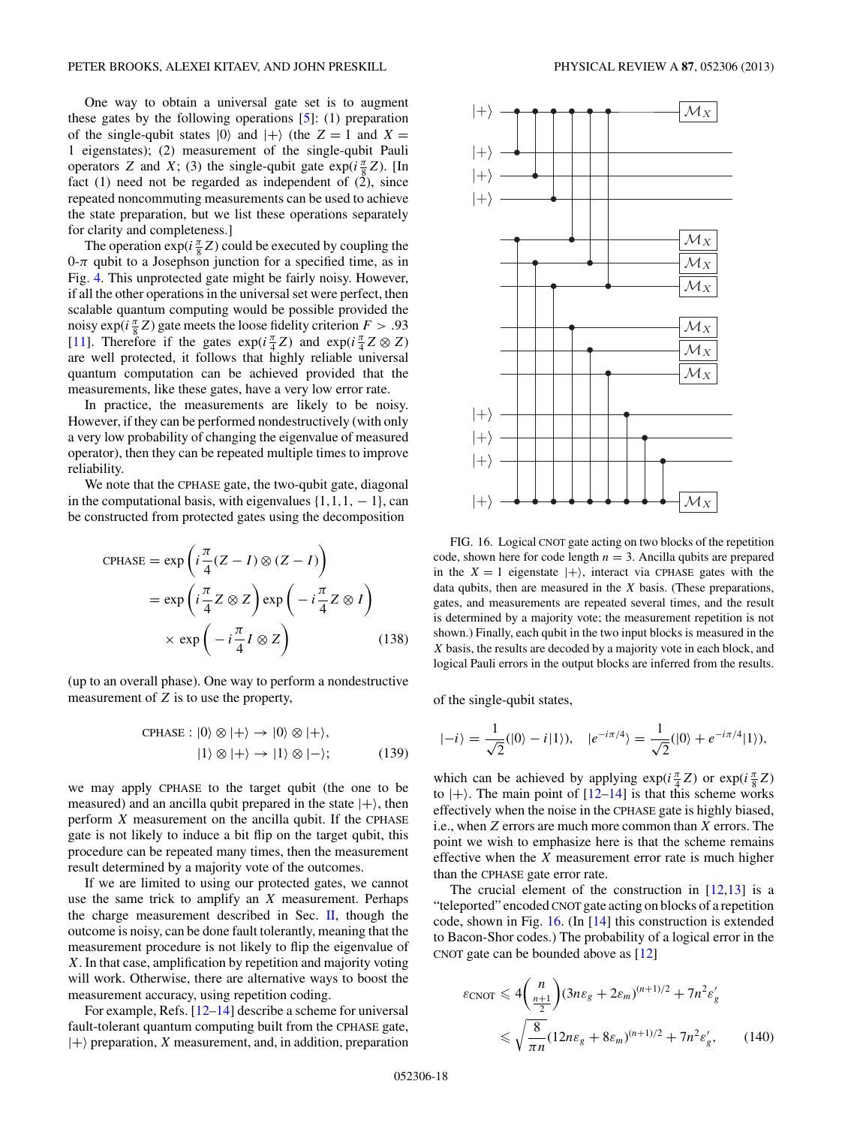One way to obtain a universal gate set is to augment these gates by the following operations  $[5]$ : (1) preparation of the single-qubit states  $|0\rangle$  and  $|+\rangle$  (the  $Z = 1$  and  $X =$ 1 eigenstates); (2) measurement of the single-qubit Pauli operators *Z* and *X*; (3) the single-qubit gate  $exp(i\frac{\pi}{8}Z)$ . [In fact (1) need not be regarded as independent of (2), since repeated noncommuting measurements can be used to achieve the state preparation, but we list these operations separately for clarity and completeness.]

The operation  $exp(i\frac{\pi}{8}Z)$  could be executed by coupling the  $0-\pi$  qubit to a Josephson junction for a specified time, as in Fig. [4.](#page-2-0) This unprotected gate might be fairly noisy. However, if all the other operations in the universal set were perfect, then scalable quantum computing would be possible provided the noisy  $\exp(i\frac{\pi}{8}Z)$  gate meets the loose fidelity criterion  $F > .93$ [\[11\]](#page-25-0). Therefore if the gates  $exp(i\frac{\pi}{4}Z)$  and  $exp(i\frac{\pi}{4}Z \otimes Z)$ are well protected, it follows that highly reliable universal quantum computation can be achieved provided that the measurements, like these gates, have a very low error rate.

In practice, the measurements are likely to be noisy. However, if they can be performed nondestructively (with only a very low probability of changing the eigenvalue of measured operator), then they can be repeated multiple times to improve reliability.

We note that the CPHASE gate, the two-qubit gate, diagonal in the computational basis, with eigenvalues  $\{1, 1, 1, -1\}$ , can be constructed from protected gates using the decomposition

$$
CPHASE = \exp\left(i\frac{\pi}{4}(Z - I) \otimes (Z - I)\right)
$$

$$
= \exp\left(i\frac{\pi}{4}Z \otimes Z\right)\exp\left(-i\frac{\pi}{4}Z \otimes I\right)
$$

$$
\times \exp\left(-i\frac{\pi}{4}I \otimes Z\right) \tag{138}
$$

(up to an overall phase). One way to perform a nondestructive measurement of *Z* is to use the property,

$$
CPHASE: |0\rangle \otimes |+\rangle \to |0\rangle \otimes |+\rangle,
$$
  

$$
|1\rangle \otimes |+\rangle \to |1\rangle \otimes |-\rangle;
$$
 (139)

we may apply CPHASE to the target qubit (the one to be measured) and an ancilla qubit prepared in the state  $|+\rangle$ , then perform *X* measurement on the ancilla qubit. If the CPHASE gate is not likely to induce a bit flip on the target qubit, this procedure can be repeated many times, then the measurement result determined by a majority vote of the outcomes.

If we are limited to using our protected gates, we cannot use the same trick to amplify an *X* measurement. Perhaps the charge measurement described in Sec.  $\mathbf{II}$ , though the outcome is noisy, can be done fault tolerantly, meaning that the measurement procedure is not likely to flip the eigenvalue of *X*. In that case, amplification by repetition and majority voting will work. Otherwise, there are alternative ways to boost the measurement accuracy, using repetition coding.

For example, Refs. [\[12–14\]](#page-25-0) describe a scheme for universal fault-tolerant quantum computing built from the CPHASE gate,  $|+\rangle$  preparation, *X* measurement, and, in addition, preparation



FIG. 16. Logical CNOT gate acting on two blocks of the repetition code, shown here for code length  $n = 3$ . Ancilla qubits are prepared in the  $X = 1$  eigenstate  $|+\rangle$ , interact via CPHASE gates with the data qubits, then are measured in the *X* basis. (These preparations, gates, and measurements are repeated several times, and the result is determined by a majority vote; the measurement repetition is not shown.) Finally, each qubit in the two input blocks is measured in the *X* basis, the results are decoded by a majority vote in each block, and logical Pauli errors in the output blocks are inferred from the results.

of the single-qubit states,

$$
|-i\rangle = \frac{1}{\sqrt{2}}(|0\rangle - i|1\rangle), \quad |e^{-i\pi/4}\rangle = \frac{1}{\sqrt{2}}(|0\rangle + e^{-i\pi/4}|1\rangle),
$$

which can be achieved by applying  $exp(i\frac{\pi}{4}Z)$  or  $exp(i\frac{\pi}{8}Z)$ to  $|+\rangle$ . The main point of  $[12-14]$  is that this scheme works effectively when the noise in the CPHASE gate is highly biased, i.e., when *Z* errors are much more common than *X* errors. The point we wish to emphasize here is that the scheme remains effective when the *X* measurement error rate is much higher than the CPHASE gate error rate.

The crucial element of the construction in  $[12,13]$  is a "teleported" encoded CNOT gate acting on blocks of a repetition code, shown in Fig. 16. (In [\[14\]](#page-25-0) this construction is extended to Bacon-Shor codes.) The probability of a logical error in the CNOT gate can be bounded above as [\[12\]](#page-25-0)

$$
\varepsilon_{\text{CNOT}} \leq 4 \left( \frac{n}{\frac{n+1}{2}} \right) (3n\varepsilon_g + 2\varepsilon_m)^{(n+1)/2} + 7n^2 \varepsilon'_g
$$
  

$$
\leq \sqrt{\frac{8}{\pi n}} (12n\varepsilon_g + 8\varepsilon_m)^{(n+1)/2} + 7n^2 \varepsilon'_g, \qquad (140)
$$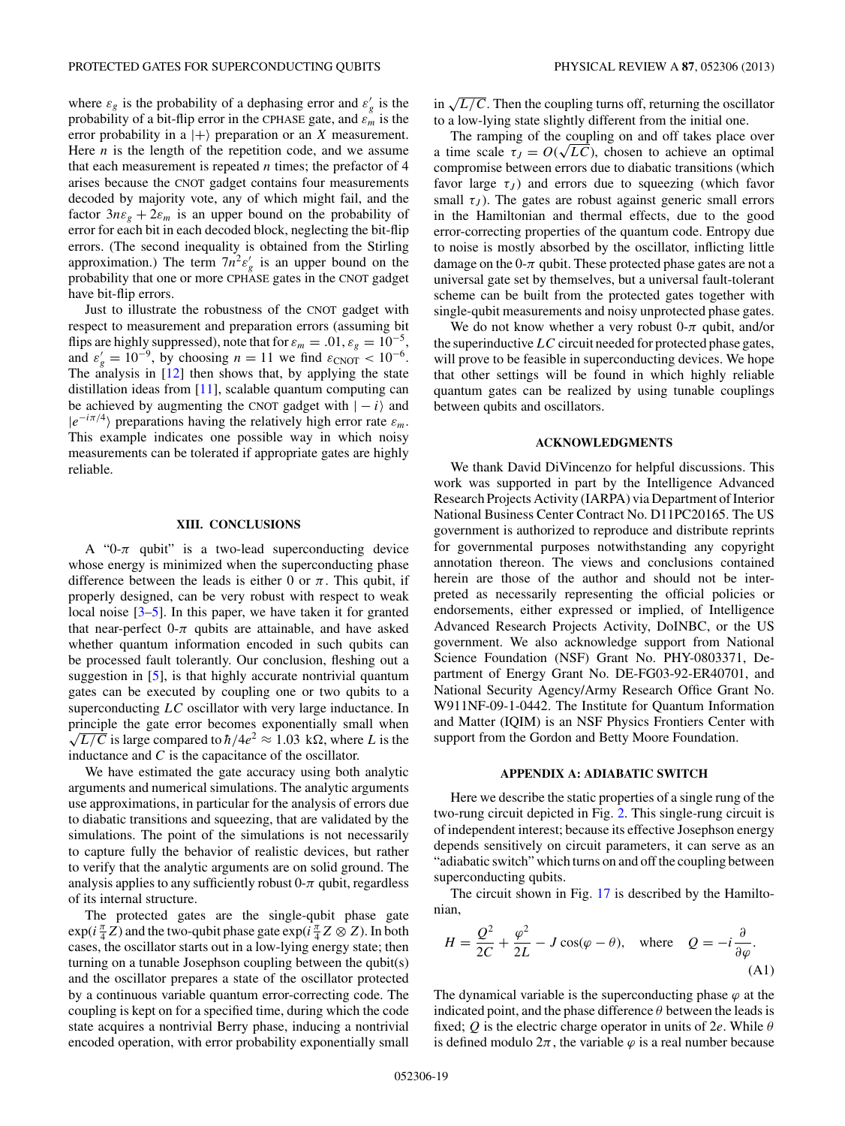<span id="page-18-0"></span>where  $\varepsilon_g$  is the probability of a dephasing error and  $\varepsilon'_g$  is the probability of a bit-flip error in the CPHASE gate, and  $\varepsilon_m$  is the error probability in a  $|+\rangle$  preparation or an *X* measurement. Here  $n$  is the length of the repetition code, and we assume that each measurement is repeated *n* times; the prefactor of 4 arises because the CNOT gadget contains four measurements decoded by majority vote, any of which might fail, and the factor  $3n\varepsilon_g + 2\varepsilon_m$  is an upper bound on the probability of error for each bit in each decoded block, neglecting the bit-flip errors. (The second inequality is obtained from the Stirling approximation.) The term  $7n^2 \varepsilon'_g$  is an upper bound on the probability that one or more CPHASE gates in the CNOT gadget have bit-flip errors.

Just to illustrate the robustness of the CNOT gadget with respect to measurement and preparation errors (assuming bit flips are highly suppressed), note that for  $\varepsilon_m = .01$ ,  $\varepsilon_g = 10^{-5}$ , and  $\varepsilon'_{g} = 10^{-9}$ , by choosing  $n = 11$  we find  $\varepsilon_{\text{CNOT}} < 10^{-6}$ . The analysis in [\[12\]](#page-25-0) then shows that, by applying the state distillation ideas from  $[11]$ , scalable quantum computing can be achieved by augmenting the CNOT gadget with  $|-i\rangle$  and  $|e^{-i\pi/4}\rangle$  preparations having the relatively high error rate  $\varepsilon_m$ . This example indicates one possible way in which noisy measurements can be tolerated if appropriate gates are highly reliable.

## **XIII. CONCLUSIONS**

A " $0$ - $\pi$  qubit" is a two-lead superconducting device whose energy is minimized when the superconducting phase difference between the leads is either 0 or  $\pi$ . This qubit, if properly designed, can be very robust with respect to weak local noise [\[3–5\]](#page-25-0). In this paper, we have taken it for granted that near-perfect  $0-\pi$  qubits are attainable, and have asked whether quantum information encoded in such qubits can be processed fault tolerantly. Our conclusion, fleshing out a suggestion in [\[5\]](#page-25-0), is that highly accurate nontrivial quantum gates can be executed by coupling one or two qubits to a superconducting *LC* oscillator with very large inductance. In principle the gate error becomes exponentially small when  $\sqrt{L/C}$  is large compared to  $\hbar/4e^2 \approx 1.03 \text{ k}\Omega$ , where *L* is the inductance and *C* is the capacitance of the oscillator.

We have estimated the gate accuracy using both analytic arguments and numerical simulations. The analytic arguments use approximations, in particular for the analysis of errors due to diabatic transitions and squeezing, that are validated by the simulations. The point of the simulations is not necessarily to capture fully the behavior of realistic devices, but rather to verify that the analytic arguments are on solid ground. The analysis applies to any sufficiently robust  $0-\pi$  qubit, regardless of its internal structure.

The protected gates are the single-qubit phase gate  $\exp(i\frac{\pi}{4}Z)$  and the two-qubit phase gate  $\exp(i\frac{\pi}{4}Z\otimes Z)$ . In both cases, the oscillator starts out in a low-lying energy state; then turning on a tunable Josephson coupling between the qubit(s) and the oscillator prepares a state of the oscillator protected by a continuous variable quantum error-correcting code. The coupling is kept on for a specified time, during which the code state acquires a nontrivial Berry phase, inducing a nontrivial encoded operation, with error probability exponentially small in  $\sqrt{L/C}$ . Then the coupling turns off, returning the oscillator to a low-lying state slightly different from the initial one.

The ramping of the coupling on and off takes place over The ramping of the coupling on and off takes place over<br>a time scale  $\tau_J = O(\sqrt{LC})$ , chosen to achieve an optimal compromise between errors due to diabatic transitions (which favor large  $\tau_J$ ) and errors due to squeezing (which favor small  $\tau_J$ ). The gates are robust against generic small errors in the Hamiltonian and thermal effects, due to the good error-correcting properties of the quantum code. Entropy due to noise is mostly absorbed by the oscillator, inflicting little damage on the  $0-\pi$  qubit. These protected phase gates are not a universal gate set by themselves, but a universal fault-tolerant scheme can be built from the protected gates together with single-qubit measurements and noisy unprotected phase gates.

We do not know whether a very robust  $0-\pi$  qubit, and/or the superinductive*LC* circuit needed for protected phase gates, will prove to be feasible in superconducting devices. We hope that other settings will be found in which highly reliable quantum gates can be realized by using tunable couplings between qubits and oscillators.

### **ACKNOWLEDGMENTS**

We thank David DiVincenzo for helpful discussions. This work was supported in part by the Intelligence Advanced Research Projects Activity (IARPA) via Department of Interior National Business Center Contract No. D11PC20165. The US government is authorized to reproduce and distribute reprints for governmental purposes notwithstanding any copyright annotation thereon. The views and conclusions contained herein are those of the author and should not be interpreted as necessarily representing the official policies or endorsements, either expressed or implied, of Intelligence Advanced Research Projects Activity, DoINBC, or the US government. We also acknowledge support from National Science Foundation (NSF) Grant No. PHY-0803371, Department of Energy Grant No. DE-FG03-92-ER40701, and National Security Agency/Army Research Office Grant No. W911NF-09-1-0442. The Institute for Quantum Information and Matter (IQIM) is an NSF Physics Frontiers Center with support from the Gordon and Betty Moore Foundation.

### **APPENDIX A: ADIABATIC SWITCH**

Here we describe the static properties of a single rung of the two-rung circuit depicted in Fig. [2.](#page-1-0) This single-rung circuit is of independent interest; because its effective Josephson energy depends sensitively on circuit parameters, it can serve as an "adiabatic switch" which turns on and off the coupling between superconducting qubits.

The circuit shown in Fig. [17](#page-19-0) is described by the Hamiltonian,

$$
H = \frac{Q^2}{2C} + \frac{\varphi^2}{2L} - J\cos(\varphi - \theta), \text{ where } Q = -i\frac{\partial}{\partial\varphi}.
$$
\n(A1)

The dynamical variable is the superconducting phase  $\varphi$  at the indicated point, and the phase difference  $\theta$  between the leads is fixed; *Q* is the electric charge operator in units of 2*e*. While *θ* is defined modulo  $2\pi$ , the variable  $\varphi$  is a real number because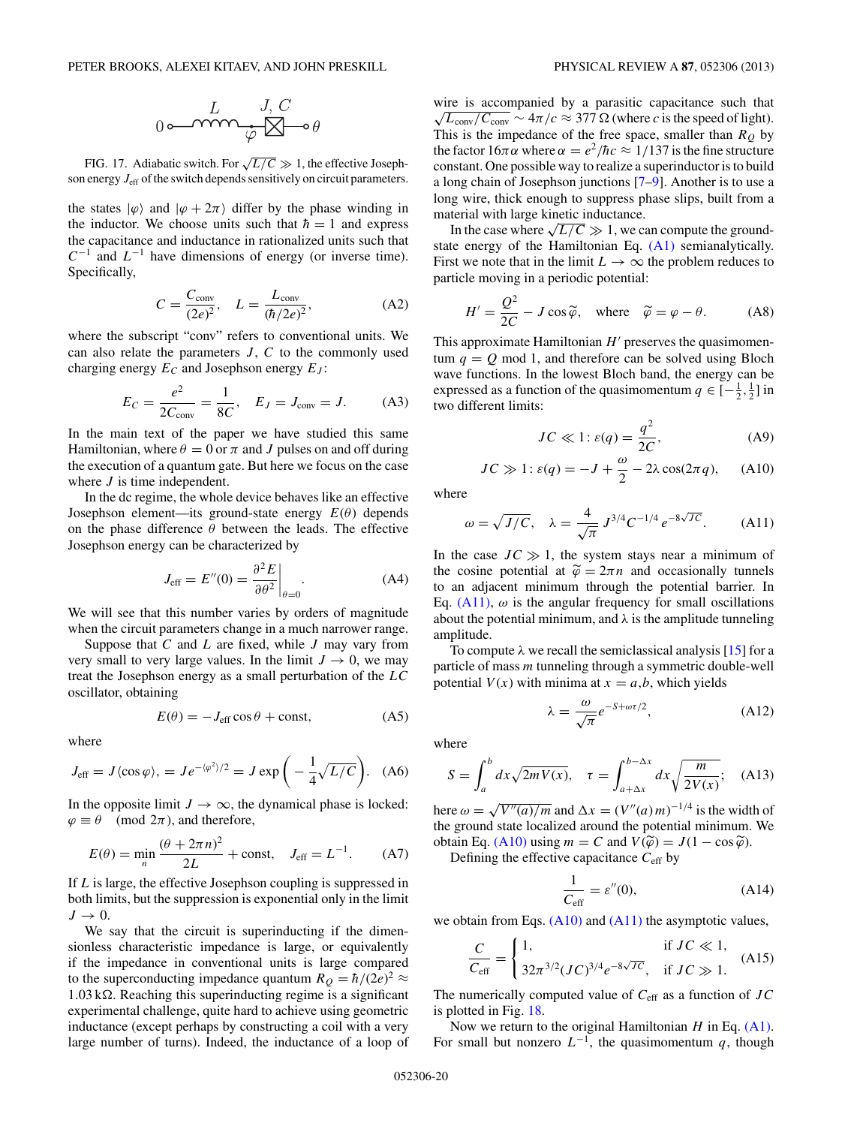<span id="page-19-0"></span>FIG. 17. Adiabatic switch. For  $\sqrt{L/C} \gg 1$ , the effective Josephson energy  $J_{\text{eff}}$  of the switch depends sensitively on circuit parameters.

the states  $|\varphi\rangle$  and  $|\varphi + 2\pi\rangle$  differ by the phase winding in the inductor. We choose units such that  $\hbar = 1$  and express the capacitance and inductance in rationalized units such that *C*<sup>−</sup><sup>1</sup> and *L*<sup>−</sup><sup>1</sup> have dimensions of energy (or inverse time). Specifically,

$$
C = \frac{C_{\text{conv}}}{(2e)^2}, \quad L = \frac{L_{\text{conv}}}{(\hbar/2e)^2},
$$
 (A2)

where the subscript "conv" refers to conventional units. We can also relate the parameters *J* , *C* to the commonly used charging energy  $E_C$  and Josephson energy  $E_J$ :

$$
E_C = \frac{e^2}{2C_{\text{conv}}} = \frac{1}{8C}, \quad E_J = J_{\text{conv}} = J.
$$
 (A3)

In the main text of the paper we have studied this same Hamiltonian, where  $\theta = 0$  or  $\pi$  and *J* pulses on and off during the execution of a quantum gate. But here we focus on the case where *J* is time independent.

In the dc regime, the whole device behaves like an effective Josephson element—its ground-state energy *E*(*θ*) depends on the phase difference  $\theta$  between the leads. The effective Josephson energy can be characterized by

$$
J_{\text{eff}} = E''(0) = \frac{\partial^2 E}{\partial \theta^2}\bigg|_{\theta=0}.
$$
 (A4)

We will see that this number varies by orders of magnitude when the circuit parameters change in a much narrower range.

Suppose that *C* and *L* are fixed, while *J* may vary from very small to very large values. In the limit  $J \to 0$ , we may treat the Josephson energy as a small perturbation of the *LC* oscillator, obtaining

$$
E(\theta) = -J_{\text{eff}} \cos \theta + \text{const}, \tag{A5}
$$

where

$$
J_{\text{eff}} = J \langle \cos \varphi \rangle, = Je^{-\langle \varphi^2 \rangle/2} = J \exp\left(-\frac{1}{4} \sqrt{L/C}\right). \quad (A6)
$$

In the opposite limit  $J \to \infty$ , the dynamical phase is locked:  $\varphi \equiv \theta \pmod{2\pi}$ , and therefore,

$$
E(\theta) = \min_{n} \frac{(\theta + 2\pi n)^2}{2L} + \text{const}, \quad J_{\text{eff}} = L^{-1}.
$$
 (A7)

If *L* is large, the effective Josephson coupling is suppressed in both limits, but the suppression is exponential only in the limit  $J \rightarrow 0$ .

We say that the circuit is superinducting if the dimensionless characteristic impedance is large, or equivalently if the impedance in conventional units is large compared to the superconducting impedance quantum  $R_Q = \hbar/(2e)^2 \approx$  $1.03 \text{ k}\Omega$ . Reaching this superinducting regime is a significant experimental challenge, quite hard to achieve using geometric inductance (except perhaps by constructing a coil with a very large number of turns). Indeed, the inductance of a loop of wire is accompanied by a parasitic capacitance such that  $\sqrt{L_{\text{conv}}/C_{\text{conv}}}$  ~  $4\pi/c \approx 377 \Omega$  (where *c* is the speed of light). This is the impedance of the free space, smaller than  $R<sub>O</sub>$  by the factor  $16\pi\alpha$  where  $\alpha = e^2/\hbar c \approx 1/137$  is the fine structure constant. One possible way to realize a superinductor is to build a long chain of Josephson junctions [\[7–9\]](#page-25-0). Another is to use a long wire, thick enough to suppress phase slips, built from a material with large kinetic inductance.

In the case where  $\sqrt{L/C} \gg 1$ , we can compute the groundstate energy of the Hamiltonian Eq. [\(A1\)](#page-18-0) semianalytically. First we note that in the limit  $L \to \infty$  the problem reduces to particle moving in a periodic potential:

$$
H' = \frac{Q^2}{2C} - J\cos\tilde{\varphi}, \text{ where } \tilde{\varphi} = \varphi - \theta.
$$
 (A8)

This approximate Hamiltonian  $H'$  preserves the quasimomentum  $q = Q$  mod 1, and therefore can be solved using Bloch wave functions. In the lowest Bloch band, the energy can be expressed as a function of the quasimomentum  $q \in \left[-\frac{1}{2},\frac{1}{2}\right]$  in two different limits:

$$
JC \ll 1: \varepsilon(q) = \frac{q^2}{2C},\tag{A9}
$$

$$
JC \gg 1: \varepsilon(q) = -J + \frac{\omega}{2} - 2\lambda \cos(2\pi q), \quad (A10)
$$

where

$$
\omega = \sqrt{J/C}
$$
,  $\lambda = \frac{4}{\sqrt{\pi}} J^{3/4} C^{-1/4} e^{-8\sqrt{JC}}$ . (A11)

In the case  $JC \gg 1$ , the system stays near a minimum of the cosine potential at  $\tilde{\varphi} = 2\pi n$  and occasionally tunnels to an adjacent minimum through the potential barrier. In Eq.  $(A11)$ ,  $\omega$  is the angular frequency for small oscillations about the potential minimum, and  $\lambda$  is the amplitude tunneling amplitude.

To compute  $\lambda$  we recall the semiclassical analysis [\[15\]](#page-25-0) for a particle of mass *m* tunneling through a symmetric double-well potential  $V(x)$  with minima at  $x = a,b$ , which yields

$$
\lambda = \frac{\omega}{\sqrt{\pi}} e^{-S + \omega \tau/2},\tag{A12}
$$

where

$$
S = \int_{a}^{b} dx \sqrt{2mV(x)}, \quad \tau = \int_{a+\Delta x}^{b-\Delta x} dx \sqrt{\frac{m}{2V(x)}}; \quad \text{(A13)}
$$

here  $\omega = \sqrt{V''(a)/m}$  and  $\Delta x = (V''(a) m)^{-1/4}$  is the width of the ground state localized around the potential minimum. We obtain Eq. (A10) using  $m = C$  and  $V(\tilde{\varphi}) = J(1 - \cos \tilde{\varphi})$ .

Defining the effective capacitance *C*eff by

$$
\frac{1}{C_{\text{eff}}} = \varepsilon''(0),\tag{A14}
$$

we obtain from Eqs.  $(A10)$  and  $(A11)$  the asymptotic values,

$$
\frac{C}{C_{\text{eff}}} = \begin{cases} 1, & \text{if } JC \ll 1, \\ 32\pi^{3/2} (JC)^{3/4} e^{-8\sqrt{JC}}, & \text{if } JC \gg 1. \end{cases}
$$
 (A15)

The numerically computed value of *C*eff as a function of *JC* is plotted in Fig. [18.](#page-20-0)

Now we return to the original Hamiltonian *H* in Eq. [\(A1\).](#page-18-0) For small but nonzero  $L^{-1}$ , the quasimomentum *q*, though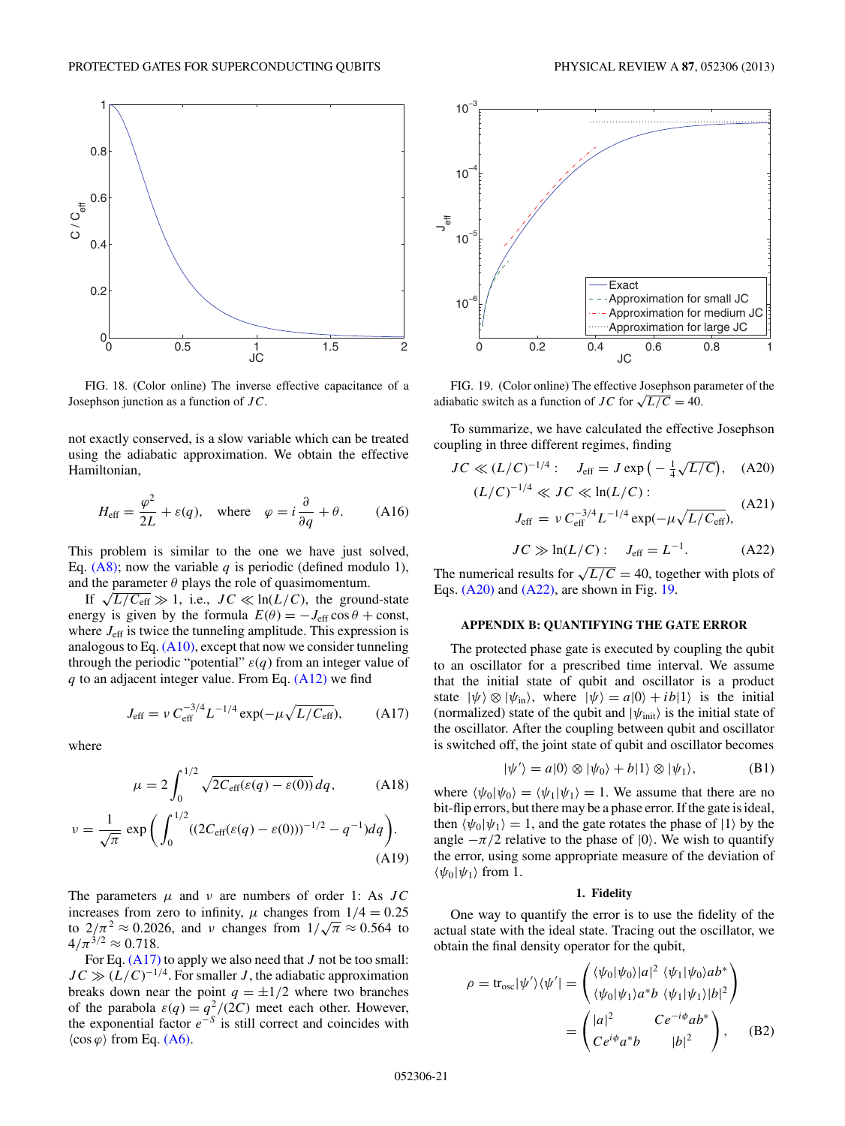<span id="page-20-0"></span>

FIG. 18. (Color online) The inverse effective capacitance of a Josephson junction as a function of *JC*.

not exactly conserved, is a slow variable which can be treated using the adiabatic approximation. We obtain the effective Hamiltonian,

$$
H_{\text{eff}} = \frac{\varphi^2}{2L} + \varepsilon(q), \quad \text{where} \quad \varphi = i\frac{\partial}{\partial q} + \theta. \tag{A16}
$$

This problem is similar to the one we have just solved, Eq.  $(A8)$ ; now the variable *q* is periodic (defined modulo 1), and the parameter  $\theta$  plays the role of quasimomentum.

If  $\sqrt{L/C_{\text{eff}}} \gg 1$ , i.e.,  $JC \ll \ln(L/C)$ , the ground-state energy is given by the formula  $E(\theta) = -J_{\text{eff}} \cos \theta + \text{const}$ , where  $J_{\text{eff}}$  is twice the tunneling amplitude. This expression is analogous to Eq. [\(A10\),](#page-19-0) except that now we consider tunneling through the periodic "potential"  $\varepsilon(q)$  from an integer value of *q* to an adjacent integer value. From Eq. [\(A12\)](#page-19-0) we find

$$
J_{\rm eff} = \nu C_{\rm eff}^{-3/4} L^{-1/4} \exp(-\mu \sqrt{L/C_{\rm eff}}), \quad (A17)
$$

where

$$
\mu = 2 \int_0^{1/2} \sqrt{2C_{\text{eff}}(\varepsilon(q) - \varepsilon(0))} \, dq,\tag{A18}
$$

$$
\nu = \frac{1}{\sqrt{\pi}} \exp\bigg(\int_0^{1/2} ((2C_{\rm eff}(\varepsilon(q) - \varepsilon(0)))^{-1/2} - q^{-1})dq\bigg). \tag{A19}
$$

The parameters *μ* and *ν* are numbers of order 1: As *JC* increases from zero to infinity,  $\mu$  changes from  $1/4 = 0.25$ to  $2/\pi^2 \approx 0.2026$ , and *ν* changes from  $1/\sqrt{\pi} \approx 0.564$  to  $2/\pi^2 \approx 0.2026$ , and *ν* changes from  $1/\sqrt{\pi} \approx 0.564$  to  $4/\pi^{3/2} \approx 0.718$ .

For Eq. (A17) to apply we also need that *J* not be too small:  $JC \gg (L/C)^{-1/4}$ . For smaller *J*, the adiabatic approximation breaks down near the point  $q = \pm 1/2$  where two branches of the parabola  $\varepsilon(q) = q^2/(2C)$  meet each other. However, the exponential factor  $e^{-S}$  is still correct and coincides with  $\langle \cos \varphi \rangle$  from Eq. [\(A6\).](#page-19-0)



FIG. 19. (Color online) The effective Josephson parameter of the adiabatic switch as a function of *JC* for  $\sqrt{L/C} = 40$ .

To summarize, we have calculated the effective Josephson coupling in three different regimes, finding

$$
JC \ll (L/C)^{-1/4} : J_{\text{eff}} = J \exp\left(-\frac{1}{4}\sqrt{L/C}\right), \quad (A20)
$$

$$
(L/C)^{-1/4} \ll JC \ll \ln(L/C):
$$
  

$$
J_{\text{eff}} = \nu C_{\text{eff}}^{-3/4} L^{-1/4} \exp(-\mu \sqrt{L/C_{\text{eff}}}),
$$
 (A21)

$$
JC \gg \ln(L/C): \quad J_{\text{eff}} = L^{-1}.
$$
 (A22)

The numerical results for  $\sqrt{L/C} = 40$ , together with plots of Eqs. (A20) and (A22), are shown in Fig. 19.

## **APPENDIX B: QUANTIFYING THE GATE ERROR**

The protected phase gate is executed by coupling the qubit to an oscillator for a prescribed time interval. We assume that the initial state of qubit and oscillator is a product state  $|\psi\rangle \otimes |\psi_{\text{in}}\rangle$ , where  $|\psi\rangle = a|0\rangle + ib|1\rangle$  is the initial (normalized) state of the qubit and  $|\psi_{init}\rangle$  is the initial state of the oscillator. After the coupling between qubit and oscillator is switched off, the joint state of qubit and oscillator becomes

$$
|\psi'\rangle = a|0\rangle \otimes |\psi_0\rangle + b|1\rangle \otimes |\psi_1\rangle, \tag{B1}
$$

where  $\langle \psi_0 | \psi_0 \rangle = \langle \psi_1 | \psi_1 \rangle = 1$ . We assume that there are no bit-flip errors, but there may be a phase error. If the gate is ideal, then  $\langle \psi_0 | \psi_1 \rangle = 1$ , and the gate rotates the phase of  $|1\rangle$  by the angle  $-\pi/2$  relative to the phase of  $|0\rangle$ . We wish to quantify the error, using some appropriate measure of the deviation of  $\langle \psi_0 | \psi_1 \rangle$  from 1.

#### **1. Fidelity**

One way to quantify the error is to use the fidelity of the actual state with the ideal state. Tracing out the oscillator, we obtain the final density operator for the qubit,

$$
\rho = \text{tr}_{\text{osc}}|\psi'\rangle\langle\psi'| = \begin{pmatrix} \langle\psi_0|\psi_0\rangle|a|^2 \ \langle\psi_1|\psi_0\rangle ab^*\\ \langle\psi_0|\psi_1\rangle a^*b \ \langle\psi_1|\psi_1\rangle|b|^2 \end{pmatrix}
$$

$$
= \begin{pmatrix} |a|^2 & Ce^{-i\phi}ab^*\\ Ce^{i\phi}a^*b & |b|^2 \end{pmatrix}, \quad (B2)
$$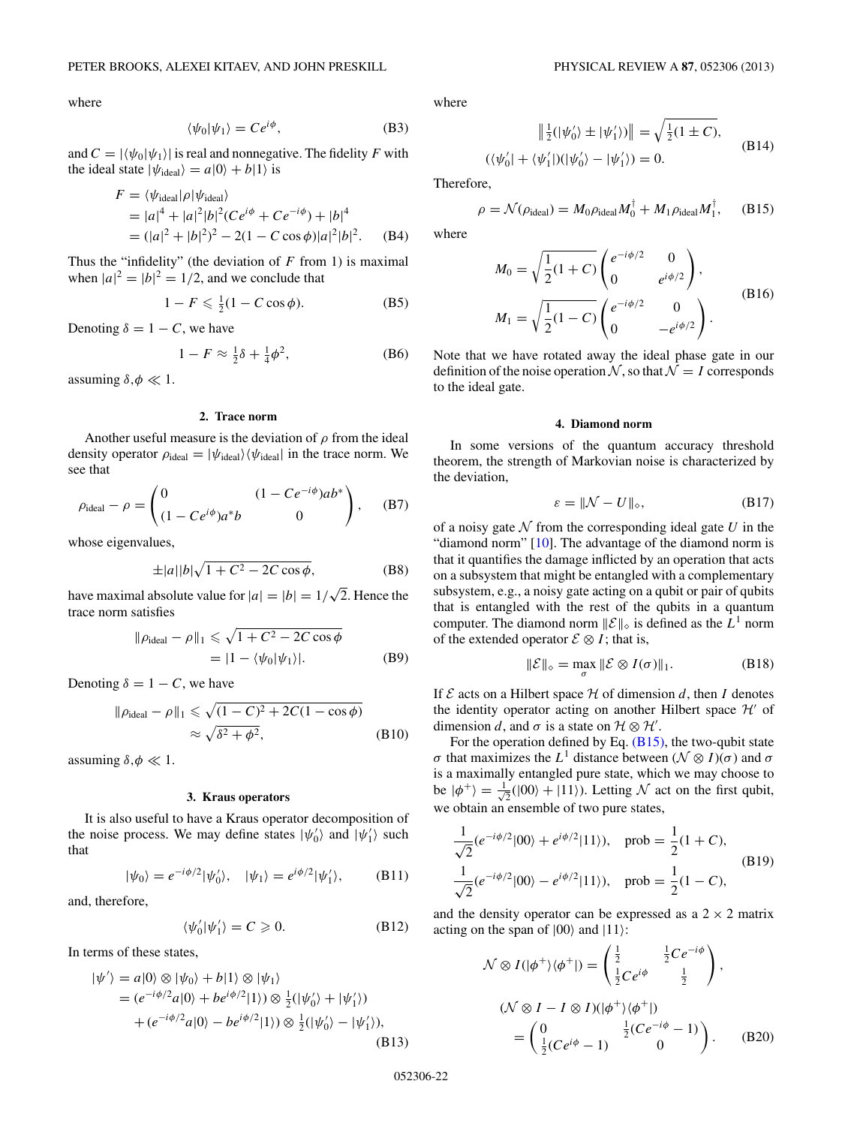<span id="page-21-0"></span>where

$$
\langle \psi_0 | \psi_1 \rangle = C e^{i\phi}, \tag{B3}
$$

and  $C = |\langle \psi_0 | \psi_1 \rangle|$  is real and nonnegative. The fidelity *F* with the ideal state  $|\psi_{\text{ideal}}\rangle = a|0\rangle + b|1\rangle$  is

$$
F = \langle \psi_{\text{ideal}} | \rho | \psi_{\text{ideal}} \rangle
$$
  
=  $|a|^4 + |a|^2 |b|^2 (Ce^{i\phi} + Ce^{-i\phi}) + |b|^4$   
=  $(|a|^2 + |b|^2)^2 - 2(1 - C \cos \phi) |a|^2 |b|^2$ . (B4)

Thus the "infidelity" (the deviation of *F* from 1) is maximal when  $|a|^2 = |b|^2 = 1/2$ , and we conclude that

$$
1 - F \leqslant \frac{1}{2}(1 - C\cos\phi). \tag{B5}
$$

Denoting  $\delta = 1 - C$ , we have

$$
1 - F \approx \frac{1}{2}\delta + \frac{1}{4}\phi^2,\tag{B6}
$$

assuming  $\delta, \phi \ll 1$ .

### **2. Trace norm**

Another useful measure is the deviation of  $\rho$  from the ideal density operator  $\rho_{\text{ideal}} = |\psi_{\text{ideal}}\rangle \langle \psi_{\text{ideal}}|$  in the trace norm. We see that

$$
\rho_{\text{ideal}} - \rho = \begin{pmatrix} 0 & (1 - Ce^{-i\phi})ab^* \\ (1 - Ce^{i\phi})a^*b & 0 \end{pmatrix}, \quad \text{(B7)}
$$

whose eigenvalues,

$$
\pm |a||b|\sqrt{1+C^2 - 2C\cos\phi},
$$
 (B8)

have maximal absolute value for  $|a|=|b|=1/\sqrt{2}$ . Hence the trace norm satisfies

$$
\|\rho_{\text{ideal}} - \rho\|_1 \le \sqrt{1 + C^2 - 2C\cos\phi}
$$
  
=  $|1 - \langle \psi_0 | \psi_1 \rangle|$ . (B9)

Denoting  $\delta = 1 - C$ , we have

$$
\|\rho_{\text{ideal}} - \rho\|_1 \leqslant \sqrt{(1 - C)^2 + 2C(1 - \cos \phi)}
$$
  
 
$$
\approx \sqrt{\delta^2 + \phi^2},
$$
 (B10)

assuming  $\delta, \phi \ll 1$ .

### **3. Kraus operators**

It is also useful to have a Kraus operator decomposition of the noise process. We may define states  $|\psi_0\rangle$  and  $|\psi_1\rangle$  such that

$$
|\psi_0\rangle = e^{-i\phi/2}|\psi'_0\rangle, \quad |\psi_1\rangle = e^{i\phi/2}|\psi'_1\rangle, \quad (B11)
$$

and, therefore,

$$
\langle \psi'_0 | \psi'_1 \rangle = C \geqslant 0. \tag{B12}
$$

In terms of these states,

$$
|\psi'\rangle = a|0\rangle \otimes |\psi_0\rangle + b|1\rangle \otimes |\psi_1\rangle
$$
  
=  $(e^{-i\phi/2}a|0\rangle + be^{i\phi/2}|1\rangle) \otimes \frac{1}{2}(|\psi'_0\rangle + |\psi'_1\rangle)$   
+  $(e^{-i\phi/2}a|0\rangle - be^{i\phi/2}|1\rangle) \otimes \frac{1}{2}(|\psi'_0\rangle - |\psi'_1\rangle),$  (B13)

where

$$
\|\frac{1}{2}(|\psi'_0\rangle \pm |\psi'_1\rangle)\| = \sqrt{\frac{1}{2}(1 \pm C)},
$$
  

$$
(\langle \psi'_0 | + \langle \psi'_1 |)(|\psi'_0\rangle - |\psi'_1\rangle) = 0.
$$
 (B14)

Therefore,

$$
\rho = \mathcal{N}(\rho_{\text{ideal}}) = M_0 \rho_{\text{ideal}} M_0^{\dagger} + M_1 \rho_{\text{ideal}} M_1^{\dagger}, \quad (B15)
$$

where

$$
M_0 = \sqrt{\frac{1}{2}(1+C)} \begin{pmatrix} e^{-i\phi/2} & 0\\ 0 & e^{i\phi/2} \end{pmatrix},
$$
  
\n
$$
M_1 = \sqrt{\frac{1}{2}(1-C)} \begin{pmatrix} e^{-i\phi/2} & 0\\ 0 & -e^{i\phi/2} \end{pmatrix}.
$$
 (B16)

Note that we have rotated away the ideal phase gate in our definition of the noise operation  $N$ , so that  $N = I$  corresponds to the ideal gate.

### **4. Diamond norm**

In some versions of the quantum accuracy threshold theorem, the strength of Markovian noise is characterized by the deviation,

$$
\varepsilon = \|\mathcal{N} - U\|_{\diamond},\tag{B17}
$$

of a noisy gate  $N$  from the corresponding ideal gate  $U$  in the "diamond norm" [\[10\]](#page-25-0). The advantage of the diamond norm is that it quantifies the damage inflicted by an operation that acts on a subsystem that might be entangled with a complementary subsystem, e.g., a noisy gate acting on a qubit or pair of qubits that is entangled with the rest of the qubits in a quantum computer. The diamond norm  $\|\mathcal{E}\|_{\diamond}$  is defined as the  $L^1$  norm of the extended operator  $\mathcal{E} \otimes I$ ; that is,

$$
\|\mathcal{E}\|_{\diamond} = \max_{\sigma} \|\mathcal{E} \otimes I(\sigma)\|_{1}.
$$
 (B18)

If  $\mathcal E$  acts on a Hilbert space  $\mathcal H$  of dimension  $d$ , then  $I$  denotes the identity operator acting on another Hilbert space  $\mathcal{H}'$  of dimension *d*, and  $\sigma$  is a state on  $\mathcal{H} \otimes \mathcal{H}'$ .

For the operation defined by Eq. (B15), the two-qubit state *σ* that maximizes the *L*<sup>1</sup> distance between ( $\mathcal{N} \otimes I$ )(*σ*) and *σ* is a maximally entangled pure state, which we may choose to be  $|\phi^+\rangle = \frac{1}{\sqrt{2}}$  $\overline{Z}(0|0\rangle + |11\rangle)$ . Letting N act on the first qubit, we obtain an ensemble of two pure states,

$$
\frac{1}{\sqrt{2}}(e^{-i\phi/2}|00\rangle + e^{i\phi/2}|11\rangle), \text{ prob} = \frac{1}{2}(1+C),
$$
\n
$$
\frac{1}{\sqrt{2}}(e^{-i\phi/2}|00\rangle - e^{i\phi/2}|11\rangle), \text{ prob} = \frac{1}{2}(1-C),
$$
\n(B19)

and the density operator can be expressed as a  $2 \times 2$  matrix acting on the span of  $|00\rangle$  and  $|11\rangle$ :

$$
\mathcal{N} \otimes I(|\phi^+\rangle\langle\phi^+|) = \begin{pmatrix} \frac{1}{2} & \frac{1}{2}Ce^{-i\phi} \\ \frac{1}{2}Ce^{i\phi} & \frac{1}{2} \end{pmatrix},
$$
  
\n
$$
(\mathcal{N} \otimes I - I \otimes I)(|\phi^+\rangle\langle\phi^+|)
$$
  
\n
$$
= \begin{pmatrix} 0 & \frac{1}{2}(Ce^{-i\phi} - 1) \\ \frac{1}{2}(Ce^{i\phi} - 1) & 0 \end{pmatrix}.
$$
 (B20)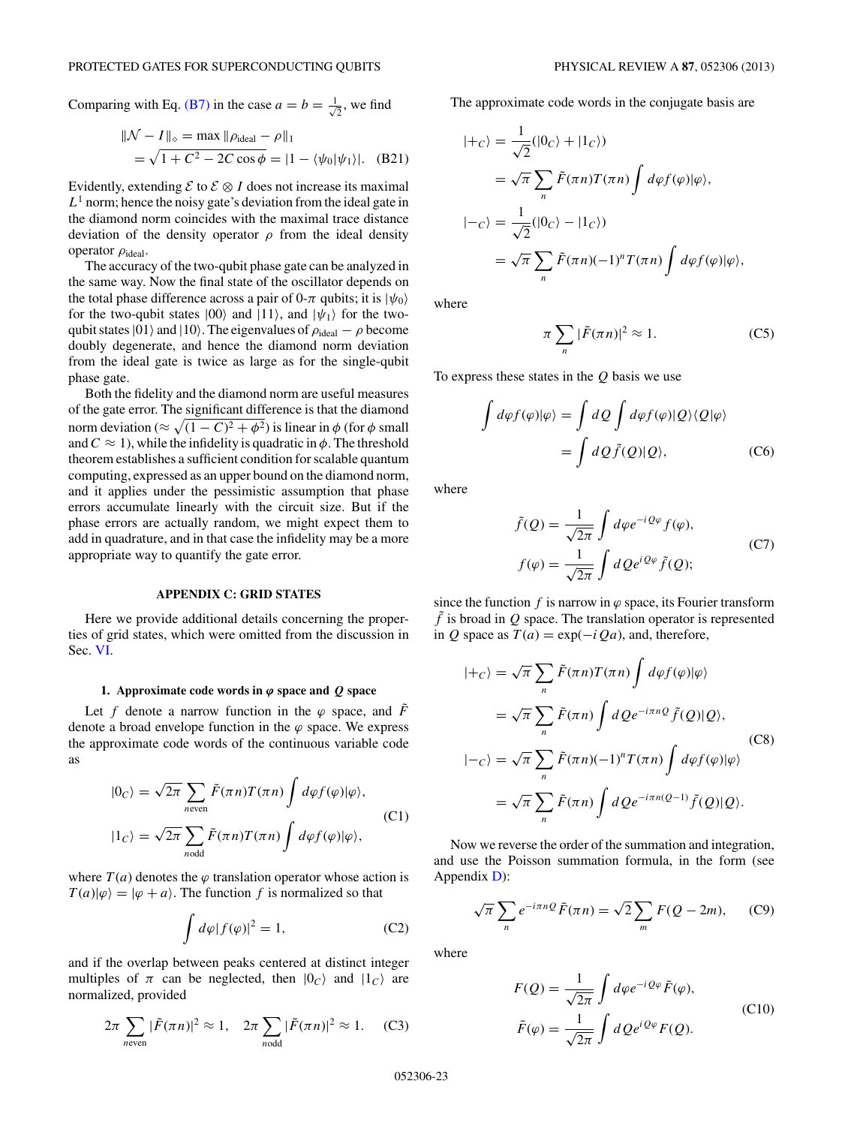<span id="page-22-0"></span>Comparing with Eq. [\(B7\)](#page-21-0) in the case  $a = b = \frac{1}{4}$  $\frac{1}{2}$ , we find

$$
\| \mathcal{N} - I \|_{\diamond} = \max \| \rho_{\text{ideal}} - \rho \|_{1}
$$
  
=  $\sqrt{1 + C^2 - 2C \cos \phi} = |1 - \langle \psi_0 | \psi_1 \rangle|.$  (B21)

Evidently, extending  $\mathcal{E}$  to  $\mathcal{E} \otimes I$  does not increase its maximal  $L<sup>1</sup>$  norm; hence the noisy gate's deviation from the ideal gate in the diamond norm coincides with the maximal trace distance deviation of the density operator  $\rho$  from the ideal density operator *ρ*ideal.

The accuracy of the two-qubit phase gate can be analyzed in the same way. Now the final state of the oscillator depends on the total phase difference across a pair of 0- $\pi$  qubits; it is  $|\psi_0\rangle$ for the two-qubit states  $|00\rangle$  and  $|11\rangle$ , and  $|\psi_1\rangle$  for the twoqubit states  $|01\rangle$  and  $|10\rangle$ . The eigenvalues of  $\rho_{ideal} - \rho$  become doubly degenerate, and hence the diamond norm deviation from the ideal gate is twice as large as for the single-qubit phase gate.

Both the fidelity and the diamond norm are useful measures of the gate error. The significant difference is that the diamond norm deviation ( $\approx \sqrt{(1-C)^2 + \phi^2}$ ) is linear in  $\phi$  (for  $\phi$  small and  $C \approx 1$ , while the infidelity is quadratic in  $\phi$ . The threshold theorem establishes a sufficient condition for scalable quantum computing, expressed as an upper bound on the diamond norm, and it applies under the pessimistic assumption that phase errors accumulate linearly with the circuit size. But if the phase errors are actually random, we might expect them to add in quadrature, and in that case the infidelity may be a more appropriate way to quantify the gate error.

## **APPENDIX C: GRID STATES**

Here we provide additional details concerning the properties of grid states, which were omitted from the discussion in Sec. [VI.](#page-8-0)

## **1.** Approximate code words in  $\varphi$  space and  $Q$  space

Let *f* denote a narrow function in the  $\varphi$  space, and  $\tilde{F}$ denote a broad envelope function in the  $\varphi$  space. We express the approximate code words of the continuous variable code as

$$
|0_C\rangle = \sqrt{2\pi} \sum_{n \text{even}} \tilde{F}(\pi n) T(\pi n) \int d\varphi f(\varphi) |\varphi\rangle,
$$
  

$$
|1_C\rangle = \sqrt{2\pi} \sum_{n \text{odd}} \tilde{F}(\pi n) T(\pi n) \int d\varphi f(\varphi) |\varphi\rangle,
$$
 (C1)

where  $T(a)$  denotes the  $\varphi$  translation operator whose action is  $T(a)|\varphi\rangle=|\varphi+a\rangle$ . The function *f* is normalized so that

$$
\int d\varphi |f(\varphi)|^2 = 1,
$$
 (C2)

and if the overlap between peaks centered at distinct integer multiples of  $\pi$  can be neglected, then  $|0_c\rangle$  and  $|1_c\rangle$  are normalized, provided

$$
2\pi \sum_{n \text{even}} |\tilde{F}(\pi n)|^2 \approx 1, \quad 2\pi \sum_{n \text{odd}} |\tilde{F}(\pi n)|^2 \approx 1. \tag{C3}
$$

The approximate code words in the conjugate basis are

$$
\begin{aligned} |+c\rangle &= \frac{1}{\sqrt{2}}(|0_C\rangle + |1_C\rangle) \\ &= \sqrt{\pi} \sum_n \tilde{F}(\pi n) T(\pi n) \int d\varphi f(\varphi) |\varphi\rangle, \\ |-c\rangle &= \frac{1}{\sqrt{2}} (|0_C\rangle - |1_C\rangle) \\ &= \sqrt{\pi} \sum_n \tilde{F}(\pi n) (-1)^n T(\pi n) \int d\varphi f(\varphi) |\varphi\rangle, \end{aligned}
$$

where

$$
\pi \sum_{n} |\tilde{F}(\pi n)|^2 \approx 1. \tag{C5}
$$

To express these states in the *Q* basis we use

$$
\int d\varphi f(\varphi)|\varphi\rangle = \int dQ \int d\varphi f(\varphi)|Q\rangle\langle Q|\varphi\rangle
$$

$$
= \int dQ \tilde{f}(Q)|Q\rangle, \qquad (C6)
$$

where

$$
\tilde{f}(Q) = \frac{1}{\sqrt{2\pi}} \int d\varphi e^{-iQ\varphi} f(\varphi),
$$
  

$$
f(\varphi) = \frac{1}{\sqrt{2\pi}} \int dQ e^{iQ\varphi} \tilde{f}(Q);
$$
 (C7)

since the function  $f$  is narrow in  $\varphi$  space, its Fourier transform  $\tilde{f}$  is broad in  $Q$  space. The translation operator is represented in *Q* space as  $T(a) = \exp(-iQa)$ , and, therefore,

$$
|+c\rangle = \sqrt{\pi} \sum_{n} \tilde{F}(\pi n) T(\pi n) \int d\varphi f(\varphi) | \varphi \rangle
$$
  

$$
= \sqrt{\pi} \sum_{n} \tilde{F}(\pi n) \int dQ e^{-i\pi n Q} \tilde{f}(Q) | Q \rangle,
$$
  

$$
|-c\rangle = \sqrt{\pi} \sum_{n} \tilde{F}(\pi n) (-1)^{n} T(\pi n) \int d\varphi f(\varphi) | \varphi \rangle
$$
  

$$
= \sqrt{\pi} \sum_{n} \tilde{F}(\pi n) \int dQ e^{-i\pi n (Q-1)} \tilde{f}(Q) | Q \rangle.
$$
 (C8)

Now we reverse the order of the summation and integration, and use the Poisson summation formula, in the form (see Appendix [D\)](#page-24-0):

$$
\sqrt{\pi} \sum_{n} e^{-i\pi n Q} \tilde{F}(\pi n) = \sqrt{2} \sum_{m} F(Q - 2m), \quad \text{(C9)}
$$

where

$$
F(Q) = \frac{1}{\sqrt{2\pi}} \int d\varphi e^{-iQ\varphi} \tilde{F}(\varphi),
$$
  

$$
\tilde{F}(\varphi) = \frac{1}{\sqrt{2\pi}} \int dQ e^{iQ\varphi} F(Q).
$$
 (C10)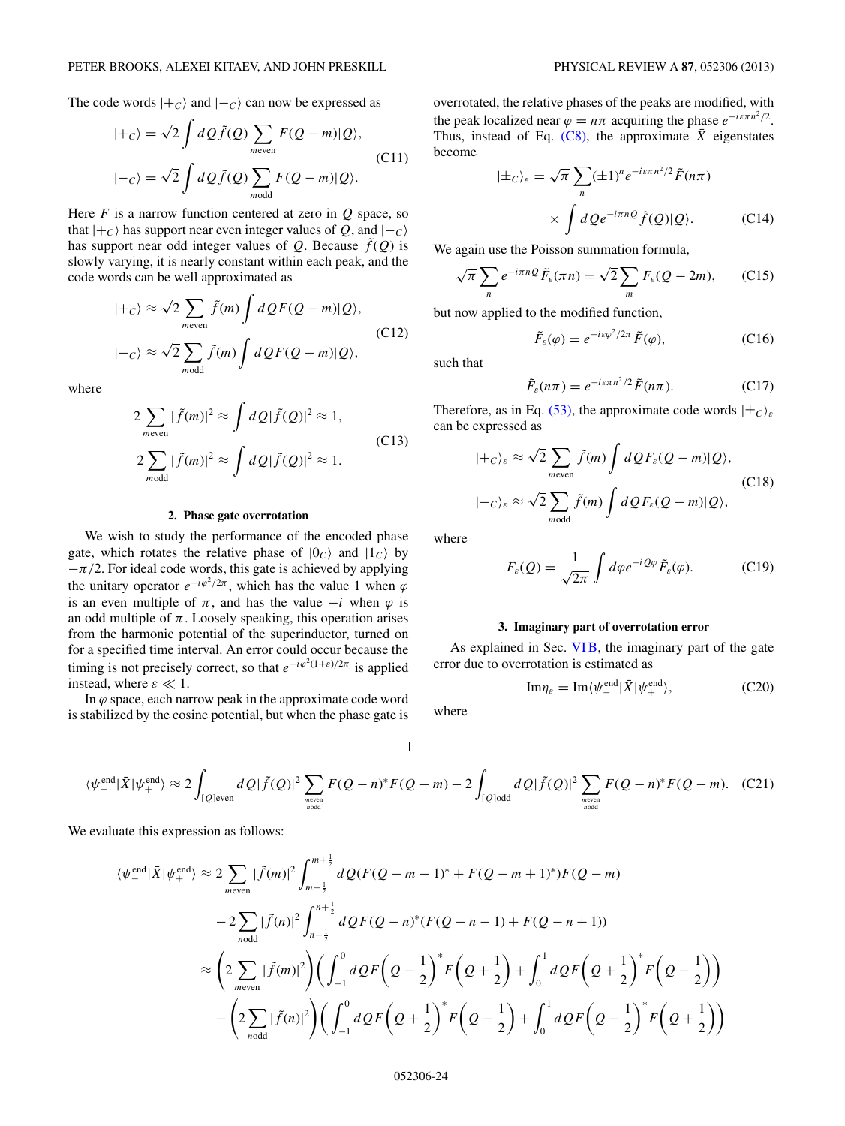The code words  $|+c\rangle$  and  $|-c\rangle$  can now be expressed as

$$
|+c\rangle = \sqrt{2} \int dQ \tilde{f}(Q) \sum_{m \text{even}} F(Q-m)|Q\rangle,
$$
  

$$
|-c\rangle = \sqrt{2} \int dQ \tilde{f}(Q) \sum_{m \text{odd}} F(Q-m)|Q\rangle.
$$
 (C11)

Here  $F$  is a narrow function centered at zero in  $Q$  space, so that  $|+c\rangle$  has support near even integer values of *Q*, and  $|-c\rangle$ has support near odd integer values of  $Q$ . Because  $\tilde{f}(Q)$  is slowly varying, it is nearly constant within each peak, and the code words can be well approximated as

$$
|+c\rangle \approx \sqrt{2} \sum_{m \text{even}} \tilde{f}(m) \int dQ F(Q-m)|Q\rangle,
$$
  

$$
|-c\rangle \approx \sqrt{2} \sum_{m \text{odd}} \tilde{f}(m) \int dQ F(Q-m)|Q\rangle,
$$
 (C12)

where

$$
2\sum_{m\text{even}}|\tilde{f}(m)|^2 \approx \int dQ|\tilde{f}(Q)|^2 \approx 1,
$$
  

$$
2\sum_{m\text{odd}}|\tilde{f}(m)|^2 \approx \int dQ|\tilde{f}(Q)|^2 \approx 1.
$$
 (C13)

### **2. Phase gate overrotation**

We wish to study the performance of the encoded phase gate, which rotates the relative phase of  $|0_c\rangle$  and  $|1_c\rangle$  by  $-\pi/2$ . For ideal code words, this gate is achieved by applying the unitary operator  $e^{-i\varphi^2/2\pi}$ , which has the value 1 when  $\varphi$ is an even multiple of  $\pi$ , and has the value  $-i$  when  $\varphi$  is an odd multiple of  $\pi$ . Loosely speaking, this operation arises from the harmonic potential of the superinductor, turned on for a specified time interval. An error could occur because the timing is not precisely correct, so that  $e^{-i\varphi^2(1+\varepsilon)/2\pi}$  is applied instead, where  $\varepsilon \ll 1$ .

In  $\varphi$  space, each narrow peak in the approximate code word is stabilized by the cosine potential, but when the phase gate is overrotated, the relative phases of the peaks are modified, with the peak localized near  $\varphi = n\pi$  acquiring the phase  $e^{-i\epsilon \pi n^2/2}$ . Thus, instead of Eq.  $(C8)$ , the approximate  $\overline{X}$  eigenstates become

$$
|\pm_C\rangle_{\varepsilon} = \sqrt{\pi} \sum_{n} (\pm 1)^n e^{-i\varepsilon \pi n^2/2} \tilde{F}(n\pi)
$$

$$
\times \int dQ e^{-i\pi n Q} \tilde{f}(Q) |Q\rangle.
$$
 (C14)

We again use the Poisson summation formula,

$$
\sqrt{\pi} \sum_{n} e^{-i\pi n Q} \tilde{F}_{\varepsilon}(\pi n) = \sqrt{2} \sum_{m} F_{\varepsilon} (Q - 2m), \qquad (C15)
$$

but now applied to the modified function,

$$
\tilde{F}_{\varepsilon}(\varphi) = e^{-i\varepsilon\varphi^2/2\pi} \tilde{F}(\varphi), \tag{C16}
$$

such that

$$
\tilde{F}_{\varepsilon}(n\pi) = e^{-i\varepsilon\pi n^2/2} \tilde{F}(n\pi).
$$
 (C17)

Therefore, as in Eq. [\(53\),](#page-9-0) the approximate code words  $|\pm_C\rangle_{\varepsilon}$ can be expressed as

$$
|+c\rangle_{\varepsilon} \approx \sqrt{2} \sum_{m \text{even}} \tilde{f}(m) \int dQ F_{\varepsilon}(Q-m)|Q\rangle,
$$
  

$$
|-c\rangle_{\varepsilon} \approx \sqrt{2} \sum_{m \text{odd}} \tilde{f}(m) \int dQ F_{\varepsilon}(Q-m)|Q\rangle,
$$
 (C18)

where

$$
F_{\varepsilon}(Q) = \frac{1}{\sqrt{2\pi}} \int d\varphi e^{-iQ\varphi} \tilde{F}_{\varepsilon}(\varphi). \tag{C19}
$$

## **3. Imaginary part of overrotation error**

As explained in Sec. VIB, the imaginary part of the gate error due to overrotation is estimated as

$$
\mathrm{Im}\eta_{\varepsilon} = \mathrm{Im}\langle\psi_{-}^{\text{end}}|\bar{X}|\psi_{+}^{\text{end}}\rangle, \tag{C20}
$$

where

$$
\langle \psi_{-}^{\text{end}} | \bar{X} | \psi_{+}^{\text{end}} \rangle \approx 2 \int_{[Q] \text{even}} dQ |\tilde{f}(Q)|^{2} \sum_{\text{meven} \atop n \text{odd}} F(Q-n)^{*} F(Q-m) - 2 \int_{[Q] \text{odd}} dQ |\tilde{f}(Q)|^{2} \sum_{\text{meven} \atop n \text{odd}} F(Q-n)^{*} F(Q-m). \quad (C21)
$$

We evaluate this expression as follows:

$$
\langle \psi_{-}^{\text{end}} | \bar{X} | \psi_{+}^{\text{end}} \rangle \approx 2 \sum_{m \text{even}} |\tilde{f}(m)|^{2} \int_{m-\frac{1}{2}}^{m+\frac{1}{2}} dQ(F(Q-m-1)^{*} + F(Q-m+1)^{*}) F(Q-m)
$$
  

$$
-2 \sum_{n \text{odd}} |\tilde{f}(n)|^{2} \int_{n-\frac{1}{2}}^{n+\frac{1}{2}} dQF(Q-n)^{*} (F(Q-n-1) + F(Q-n+1))
$$
  

$$
\approx \left(2 \sum_{m \text{even}} |\tilde{f}(m)|^{2} \right) \left(\int_{-1}^{0} dQF\left(Q-\frac{1}{2}\right)^{*} F\left(Q+\frac{1}{2}\right) + \int_{0}^{1} dQF\left(Q+\frac{1}{2}\right)^{*} F\left(Q-\frac{1}{2}\right) \right)
$$
  

$$
-\left(2 \sum_{n \text{odd}} |\tilde{f}(n)|^{2} \right) \left(\int_{-1}^{0} dQF\left(Q+\frac{1}{2}\right)^{*} F\left(Q-\frac{1}{2}\right) + \int_{0}^{1} dQF\left(Q-\frac{1}{2}\right)^{*} F\left(Q+\frac{1}{2}\right) \right)
$$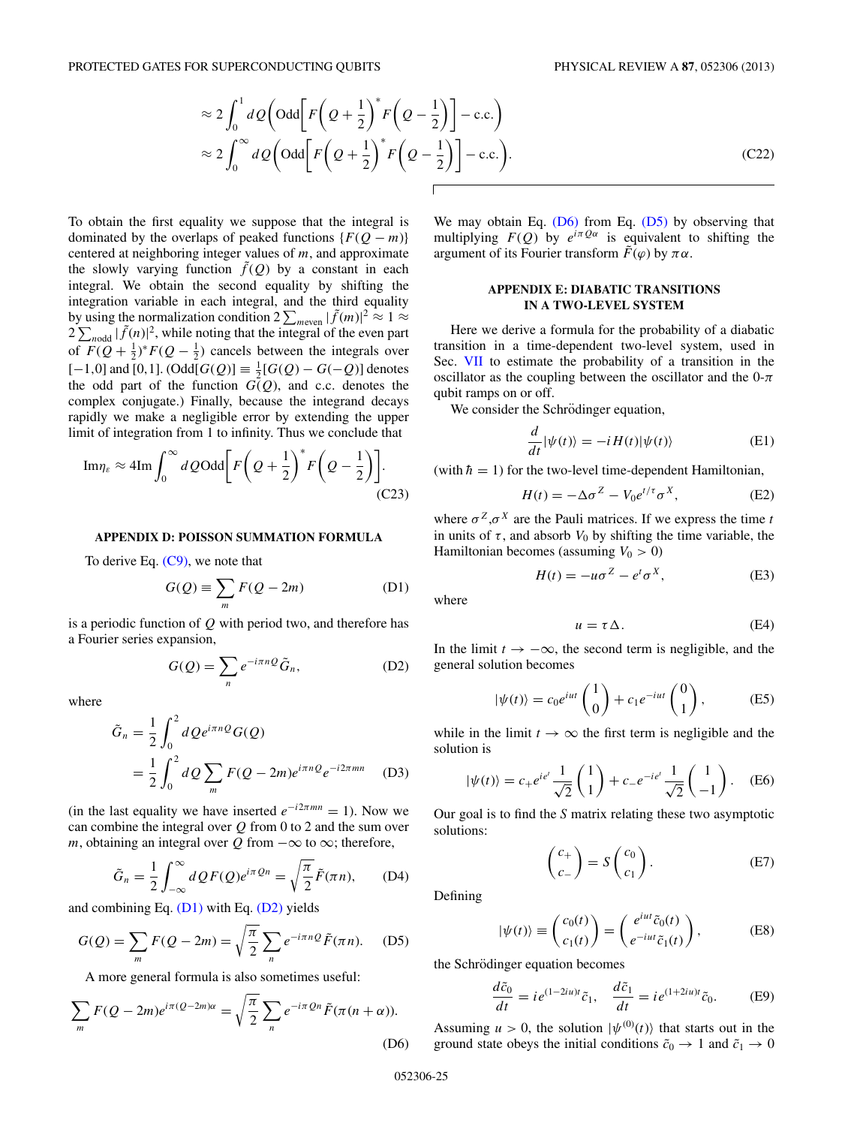<span id="page-24-0"></span>
$$
\approx 2 \int_0^1 dQ \left( \text{Odd} \left[ F \left( Q + \frac{1}{2} \right)^* F \left( Q - \frac{1}{2} \right) \right] - \text{c.c.} \right)
$$
  

$$
\approx 2 \int_0^\infty dQ \left( \text{Odd} \left[ F \left( Q + \frac{1}{2} \right)^* F \left( Q - \frac{1}{2} \right) \right] - \text{c.c.} \right).
$$
 (C22)

To obtain the first equality we suppose that the integral is dominated by the overlaps of peaked functions  $\{F(Q - m)\}$ centered at neighboring integer values of *m*, and approximate the slowly varying function  $\tilde{f}(Q)$  by a constant in each integral. We obtain the second equality by shifting the integration variable in each integral, and the third equality by using the normalization condition  $2 \sum_{m \text{even}} |\tilde{f}(m)|^2 \approx 1 \approx$  $2\sum_{n\text{odd}}|\tilde{f}(n)|^2$ , while noting that the integral of the even part of  $F(Q + \frac{1}{2})^* F(Q - \frac{1}{2})$  cancels between the integrals over  $[-1,0]$  and  $[0,1]$ .  $(Odd[G(Q)] \equiv \frac{1}{2}[G(Q) - G(-Q)]$  denotes the odd part of the function  $G(Q)$ , and c.c. denotes the complex conjugate.) Finally, because the integrand decays rapidly we make a negligible error by extending the upper limit of integration from 1 to infinity. Thus we conclude that

$$
\mathrm{Im}\eta_{\varepsilon} \approx 4\mathrm{Im} \int_0^\infty dQ \mathrm{Odd}\bigg[ F\bigg(Q + \frac{1}{2}\bigg)^* F\bigg(Q - \frac{1}{2}\bigg) \bigg].\tag{C23}
$$

### **APPENDIX D: POISSON SUMMATION FORMULA**

To derive Eq.  $(C9)$ , we note that

$$
G(Q) \equiv \sum_{m} F(Q - 2m) \tag{D1}
$$

is a periodic function of *Q* with period two, and therefore has a Fourier series expansion,

$$
G(Q) = \sum_{n} e^{-i\pi n Q} \tilde{G}_n,
$$
 (D2)

where

$$
\tilde{G}_n = \frac{1}{2} \int_0^2 dQ e^{i\pi n Q} G(Q)
$$
  
= 
$$
\frac{1}{2} \int_0^2 dQ \sum_m F(Q - 2m) e^{i\pi n Q} e^{-i2\pi mn}
$$
 (D3)

(in the last equality we have inserted  $e^{-i2\pi mn} = 1$ ). Now we can combine the integral over *Q* from 0 to 2 and the sum over *m*, obtaining an integral over  $Q$  from  $-\infty$  to  $\infty$ ; therefore,

$$
\tilde{G}_n = \frac{1}{2} \int_{-\infty}^{\infty} dQ F(Q) e^{i\pi Q n} = \sqrt{\frac{\pi}{2}} \tilde{F}(\pi n), \quad (D4)
$$

and combining Eq.  $(D1)$  with Eq.  $(D2)$  yields

$$
G(Q) = \sum_{m} F(Q - 2m) = \sqrt{\frac{\pi}{2}} \sum_{n} e^{-i\pi n Q} \tilde{F}(\pi n). \quad (D5)
$$

A more general formula is also sometimes useful:

$$
\sum_{m} F(Q - 2m)e^{i\pi(Q - 2m)\alpha} = \sqrt{\frac{\pi}{2}} \sum_{n} e^{-i\pi Qn} \tilde{F}(\pi(n + \alpha)).
$$
\n(D6)

We may obtain Eq. (D6) from Eq. (D5) by observing that multiplying  $F(Q)$  by  $e^{i\pi Q\alpha}$  is equivalent to shifting the argument of its Fourier transform  $\tilde{F}$ (*ϕ*) by  $\pi \alpha$ .

## **APPENDIX E: DIABATIC TRANSITIONS IN A TWO-LEVEL SYSTEM**

Here we derive a formula for the probability of a diabatic transition in a time-dependent two-level system, used in Sec. [VII](#page-11-0) to estimate the probability of a transition in the oscillator as the coupling between the oscillator and the  $0-\pi$ qubit ramps on or off.

We consider the Schrödinger equation,

$$
\frac{d}{dt}|\psi(t)\rangle = -iH(t)|\psi(t)\rangle
$$
 (E1)

(with  $\hbar = 1$ ) for the two-level time-dependent Hamiltonian,

$$
H(t) = -\Delta \sigma^Z - V_0 e^{t/\tau} \sigma^X, \tag{E2}
$$

where  $\sigma^Z$ , $\sigma^X$  are the Pauli matrices. If we express the time *t* in units of  $\tau$ , and absorb  $V_0$  by shifting the time variable, the Hamiltonian becomes (assuming  $V_0 > 0$ )

$$
H(t) = -u\sigma^Z - e^t \sigma^X, \tag{E3}
$$

where

$$
u = \tau \Delta. \tag{E4}
$$

In the limit  $t \to -\infty$ , the second term is negligible, and the general solution becomes

$$
|\psi(t)\rangle = c_0 e^{iut} \begin{pmatrix} 1 \\ 0 \end{pmatrix} + c_1 e^{-iut} \begin{pmatrix} 0 \\ 1 \end{pmatrix},
$$
 (E5)

while in the limit  $t \to \infty$  the first term is negligible and the solution is

$$
|\psi(t)\rangle = c_{+}e^{ie^{t}}\frac{1}{\sqrt{2}}\begin{pmatrix}1\\1\end{pmatrix} + c_{-}e^{-ie^{t}}\frac{1}{\sqrt{2}}\begin{pmatrix}1\\-1\end{pmatrix}.
$$
 (E6)

Our goal is to find the *S* matrix relating these two asymptotic solutions:

$$
\begin{pmatrix} c_+ \\ c_- \end{pmatrix} = S \begin{pmatrix} c_0 \\ c_1 \end{pmatrix} . \tag{E7}
$$

Defining

$$
|\psi(t)\rangle \equiv \begin{pmatrix} c_0(t) \\ c_1(t) \end{pmatrix} = \begin{pmatrix} e^{iut}\tilde{c}_0(t) \\ e^{-iut}\tilde{c}_1(t) \end{pmatrix},
$$
 (E8)

the Schrödinger equation becomes

$$
\frac{d\tilde{c}_0}{dt} = ie^{(1-2iu)t}\tilde{c}_1, \quad \frac{d\tilde{c}_1}{dt} = ie^{(1+2iu)t}\tilde{c}_0.
$$
 (E9)

Assuming  $u > 0$ , the solution  $|\psi^{(0)}(t)\rangle$  that starts out in the ground state obeys the initial conditions  $\tilde{c}_0 \rightarrow 1$  and  $\tilde{c}_1 \rightarrow 0$